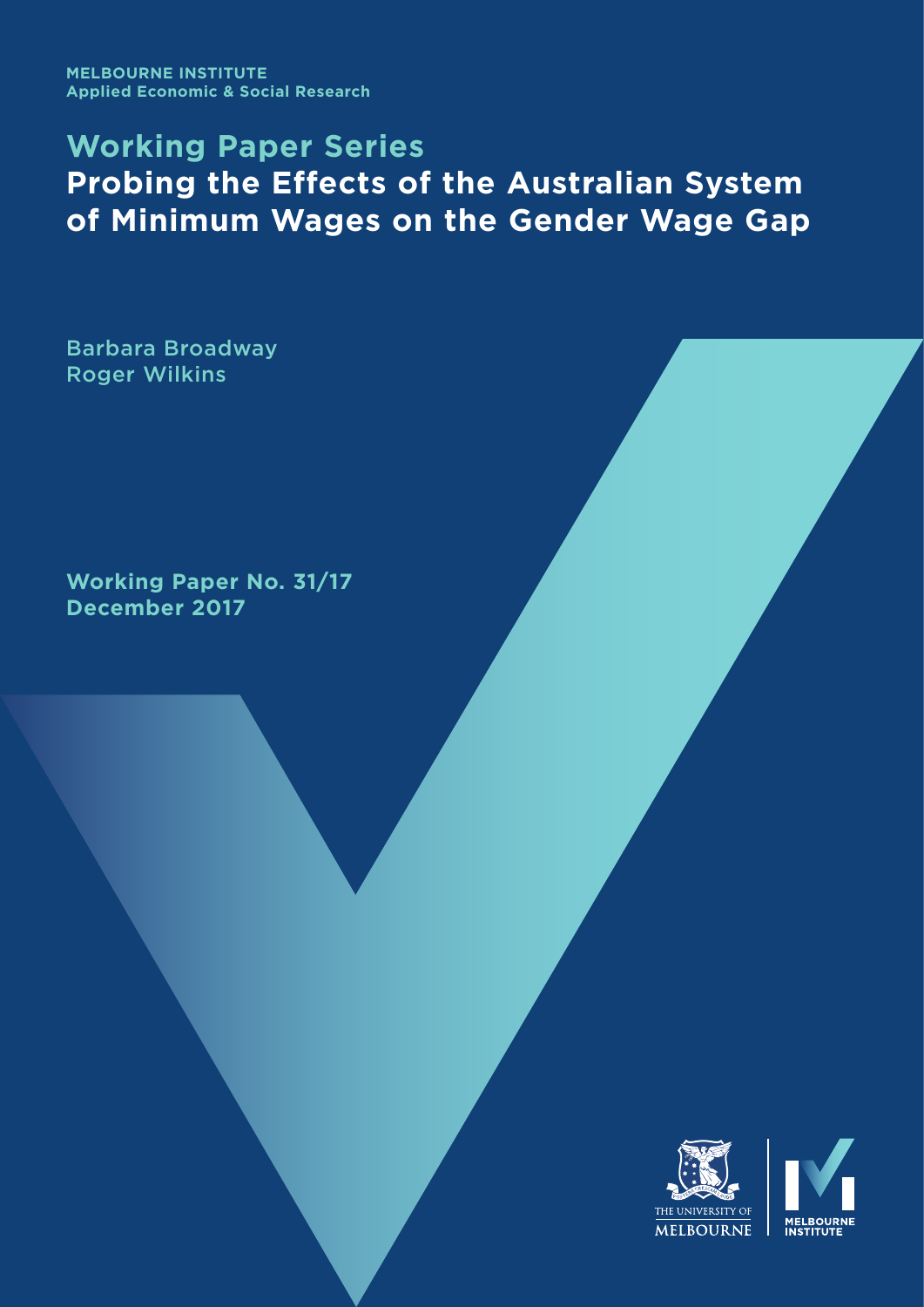**MELBOURNE INSTITUTE Applied Economic & Social Research**

# **Working Paper Series Probing the Effects of the Australian System of Minimum Wages on the Gender Wage Gap**

Barbara Broadway Roger Wilkins

**Working Paper No. 31/17 December 2017**

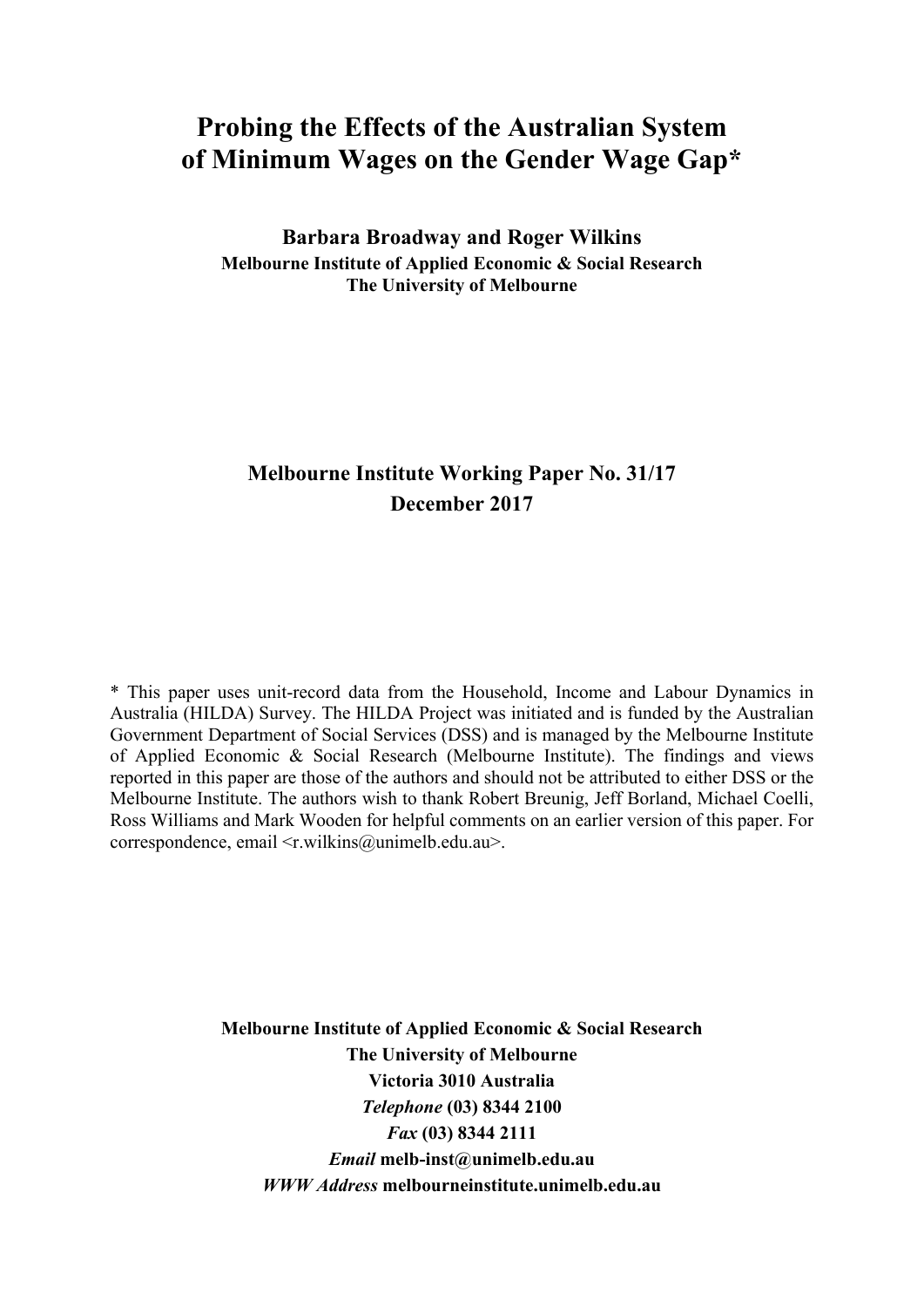## **Probing the Effects of the Australian System of Minimum Wages on the Gender Wage Gap\***

**Barbara Broadway and Roger Wilkins Melbourne Institute of Applied Economic & Social Research The University of Melbourne** 

## **Melbourne Institute Working Paper No. 31/17 December 2017**

\* This paper uses unit-record data from the Household, Income and Labour Dynamics in Australia (HILDA) Survey. The HILDA Project was initiated and is funded by the Australian Government Department of Social Services (DSS) and is managed by the Melbourne Institute of Applied Economic & Social Research (Melbourne Institute). The findings and views reported in this paper are those of the authors and should not be attributed to either DSS or the Melbourne Institute. The authors wish to thank Robert Breunig, Jeff Borland, Michael Coelli, Ross Williams and Mark Wooden for helpful comments on an earlier version of this paper. For correspondence, email <r.wilkins@unimelb.edu.au>.

> **Melbourne Institute of Applied Economic & Social Research The University of Melbourne Victoria 3010 Australia**  *Telephone* **(03) 8344 2100**  *Fax* **(03) 8344 2111**  *Email* **melb-inst@unimelb.edu.au**  *WWW Address* **melbourneinstitute.unimelb.edu.au**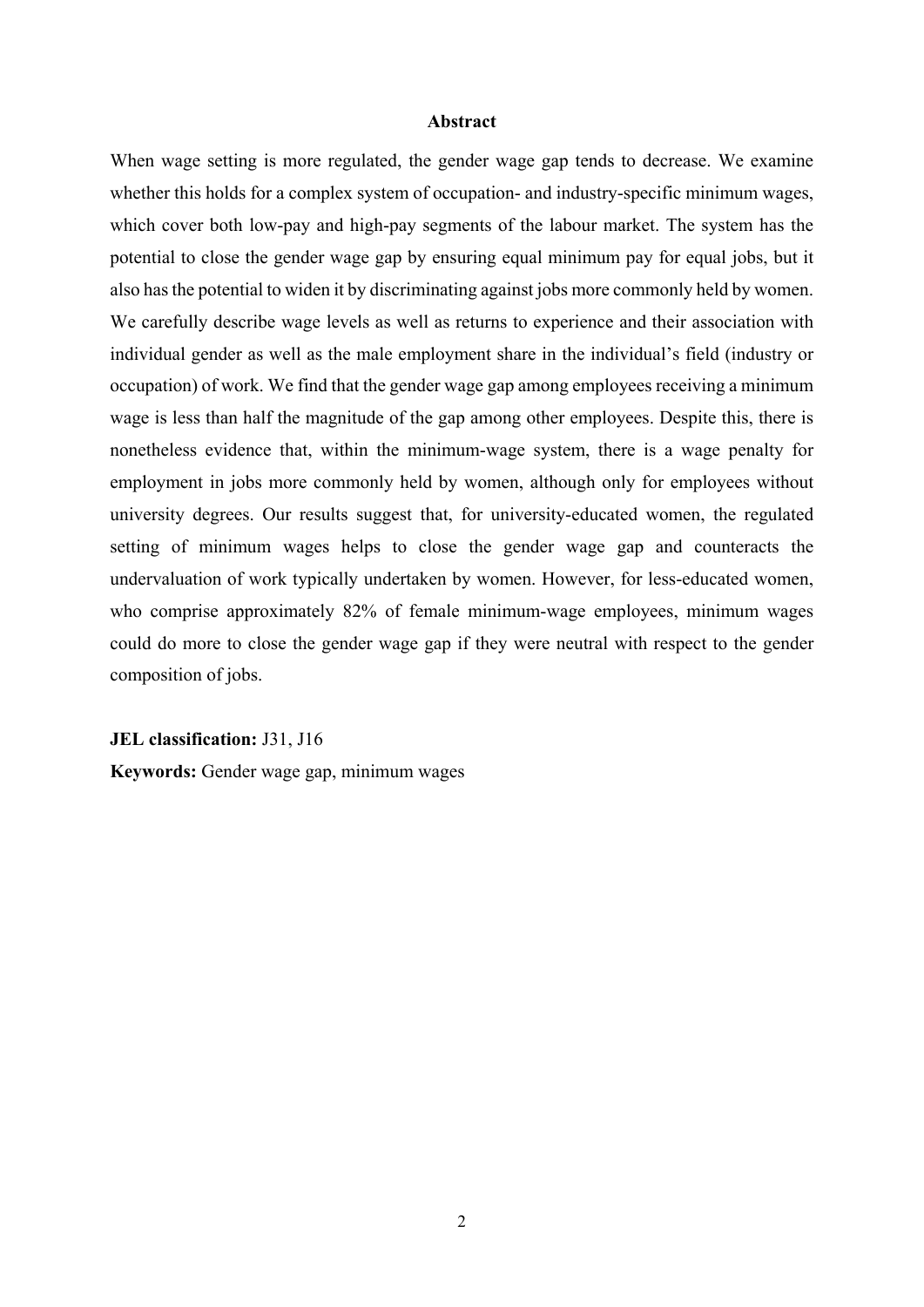#### **Abstract**

When wage setting is more regulated, the gender wage gap tends to decrease. We examine whether this holds for a complex system of occupation- and industry-specific minimum wages, which cover both low-pay and high-pay segments of the labour market. The system has the potential to close the gender wage gap by ensuring equal minimum pay for equal jobs, but it also has the potential to widen it by discriminating against jobs more commonly held by women. We carefully describe wage levels as well as returns to experience and their association with individual gender as well as the male employment share in the individual's field (industry or occupation) of work. We find that the gender wage gap among employees receiving a minimum wage is less than half the magnitude of the gap among other employees. Despite this, there is nonetheless evidence that, within the minimum-wage system, there is a wage penalty for employment in jobs more commonly held by women, although only for employees without university degrees. Our results suggest that, for university-educated women, the regulated setting of minimum wages helps to close the gender wage gap and counteracts the undervaluation of work typically undertaken by women. However, for less-educated women, who comprise approximately 82% of female minimum-wage employees, minimum wages could do more to close the gender wage gap if they were neutral with respect to the gender composition of jobs.

**JEL classification:** J31, J16

**Keywords:** Gender wage gap, minimum wages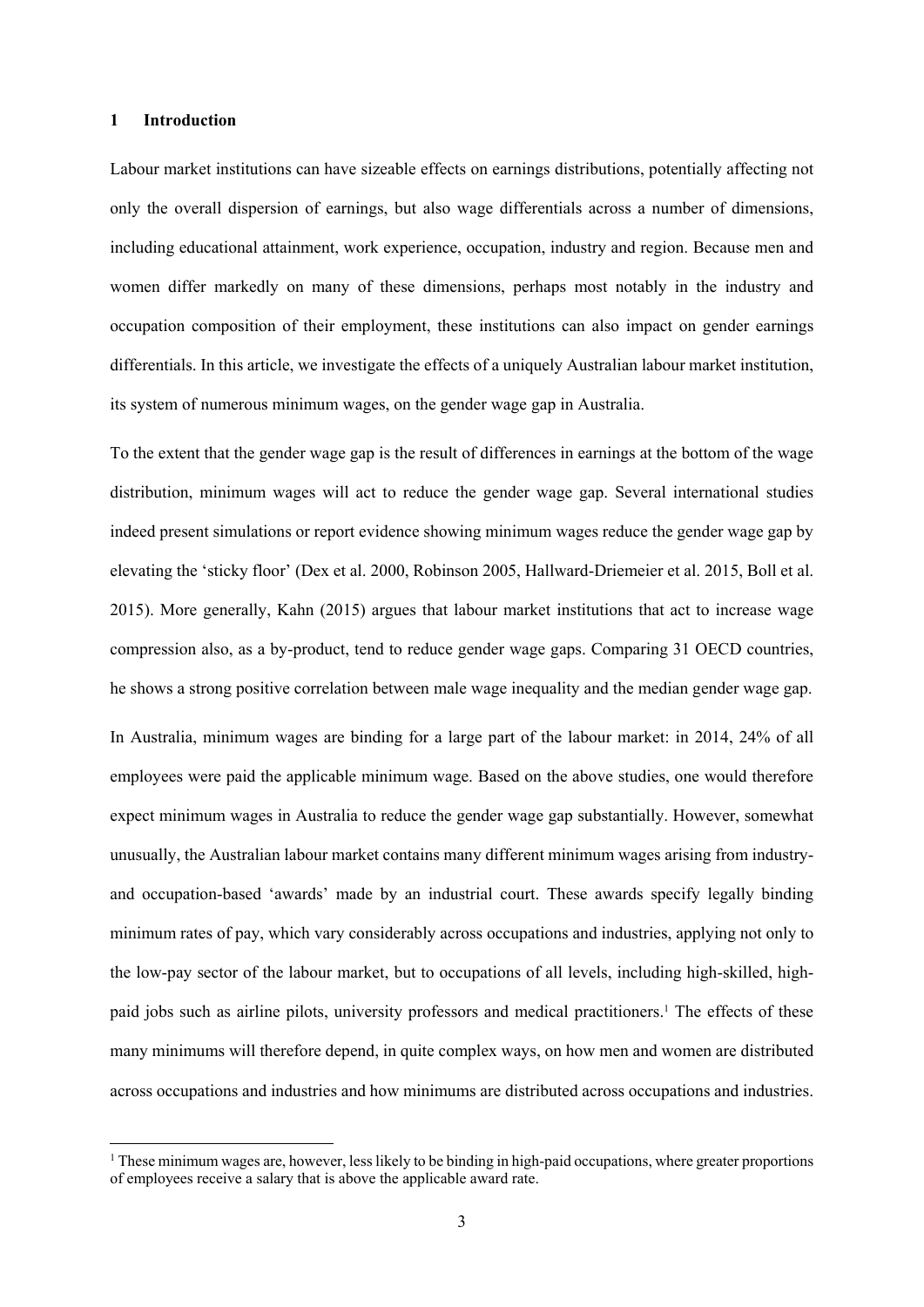## **1 Introduction**

Labour market institutions can have sizeable effects on earnings distributions, potentially affecting not only the overall dispersion of earnings, but also wage differentials across a number of dimensions, including educational attainment, work experience, occupation, industry and region. Because men and women differ markedly on many of these dimensions, perhaps most notably in the industry and occupation composition of their employment, these institutions can also impact on gender earnings differentials. In this article, we investigate the effects of a uniquely Australian labour market institution, its system of numerous minimum wages, on the gender wage gap in Australia.

To the extent that the gender wage gap is the result of differences in earnings at the bottom of the wage distribution, minimum wages will act to reduce the gender wage gap. Several international studies indeed present simulations or report evidence showing minimum wages reduce the gender wage gap by elevating the 'sticky floor' (Dex et al. 2000, Robinson 2005, Hallward-Driemeier et al. 2015, Boll et al. 2015). More generally, Kahn (2015) argues that labour market institutions that act to increase wage compression also, as a by-product, tend to reduce gender wage gaps. Comparing 31 OECD countries, he shows a strong positive correlation between male wage inequality and the median gender wage gap.

In Australia, minimum wages are binding for a large part of the labour market: in 2014, 24% of all employees were paid the applicable minimum wage. Based on the above studies, one would therefore expect minimum wages in Australia to reduce the gender wage gap substantially. However, somewhat unusually, the Australian labour market contains many different minimum wages arising from industryand occupation-based 'awards' made by an industrial court. These awards specify legally binding minimum rates of pay, which vary considerably across occupations and industries, applying not only to the low-pay sector of the labour market, but to occupations of all levels, including high-skilled, highpaid jobs such as airline pilots, university professors and medical practitioners.<sup>1</sup> The effects of these many minimums will therefore depend, in quite complex ways, on how men and women are distributed across occupations and industries and how minimums are distributed across occupations and industries.

<sup>&</sup>lt;sup>1</sup> These minimum wages are, however, less likely to be binding in high-paid occupations, where greater proportions of employees receive a salary that is above the applicable award rate.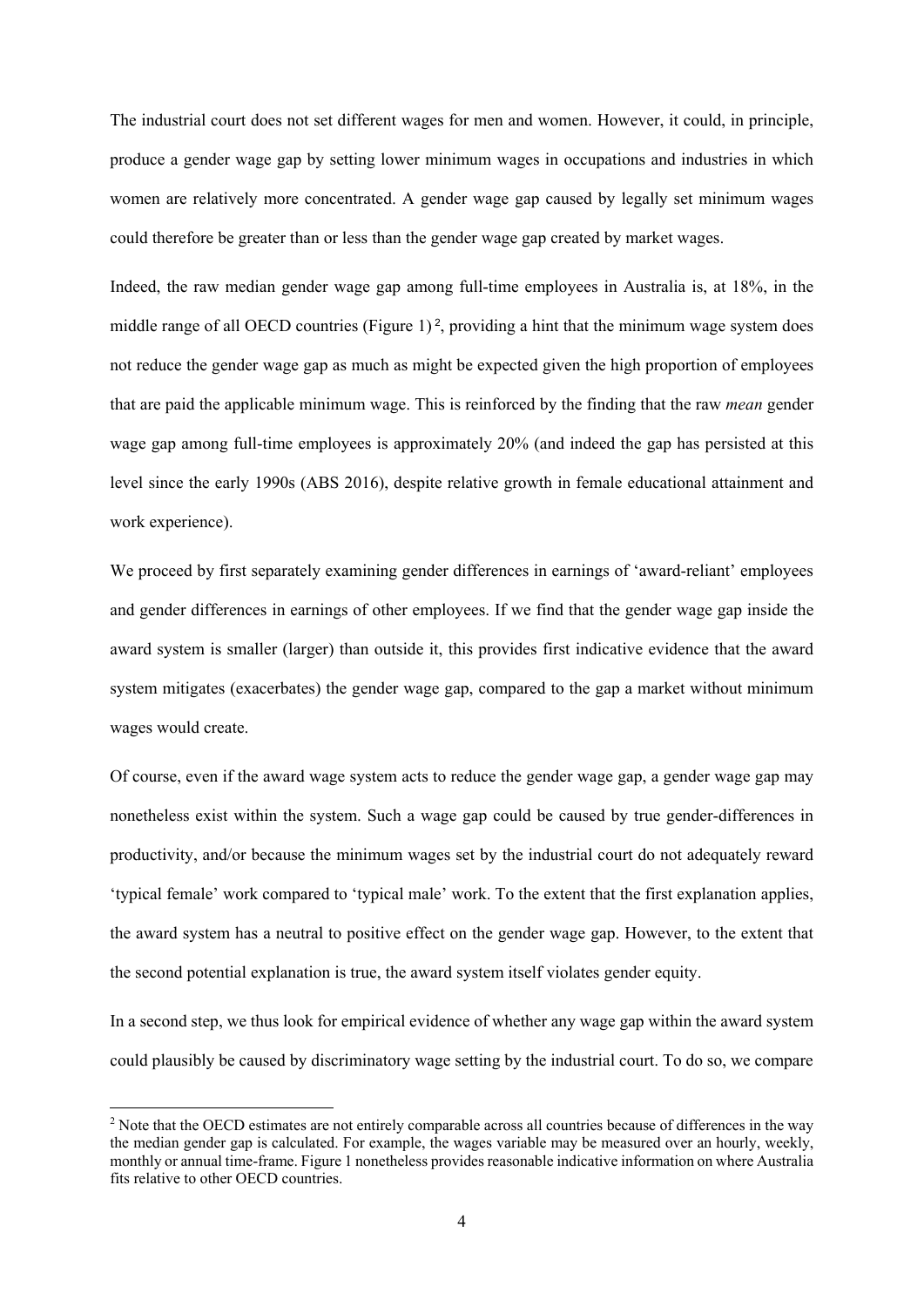The industrial court does not set different wages for men and women. However, it could, in principle, produce a gender wage gap by setting lower minimum wages in occupations and industries in which women are relatively more concentrated. A gender wage gap caused by legally set minimum wages could therefore be greater than or less than the gender wage gap created by market wages.

Indeed, the raw median gender wage gap among full-time employees in Australia is, at 18%, in the middle range of all OECD countries (Figure 1)<sup>2</sup>, providing a hint that the minimum wage system does not reduce the gender wage gap as much as might be expected given the high proportion of employees that are paid the applicable minimum wage. This is reinforced by the finding that the raw *mean* gender wage gap among full-time employees is approximately 20% (and indeed the gap has persisted at this level since the early 1990s (ABS 2016), despite relative growth in female educational attainment and work experience).

We proceed by first separately examining gender differences in earnings of 'award-reliant' employees and gender differences in earnings of other employees. If we find that the gender wage gap inside the award system is smaller (larger) than outside it, this provides first indicative evidence that the award system mitigates (exacerbates) the gender wage gap, compared to the gap a market without minimum wages would create.

Of course, even if the award wage system acts to reduce the gender wage gap, a gender wage gap may nonetheless exist within the system. Such a wage gap could be caused by true gender-differences in productivity, and/or because the minimum wages set by the industrial court do not adequately reward 'typical female' work compared to 'typical male' work. To the extent that the first explanation applies, the award system has a neutral to positive effect on the gender wage gap. However, to the extent that the second potential explanation is true, the award system itself violates gender equity.

In a second step, we thus look for empirical evidence of whether any wage gap within the award system could plausibly be caused by discriminatory wage setting by the industrial court. To do so, we compare

<sup>&</sup>lt;sup>2</sup> Note that the OECD estimates are not entirely comparable across all countries because of differences in the way the median gender gap is calculated. For example, the wages variable may be measured over an hourly, weekly, monthly or annual time-frame. Figure 1 nonetheless provides reasonable indicative information on where Australia fits relative to other OECD countries.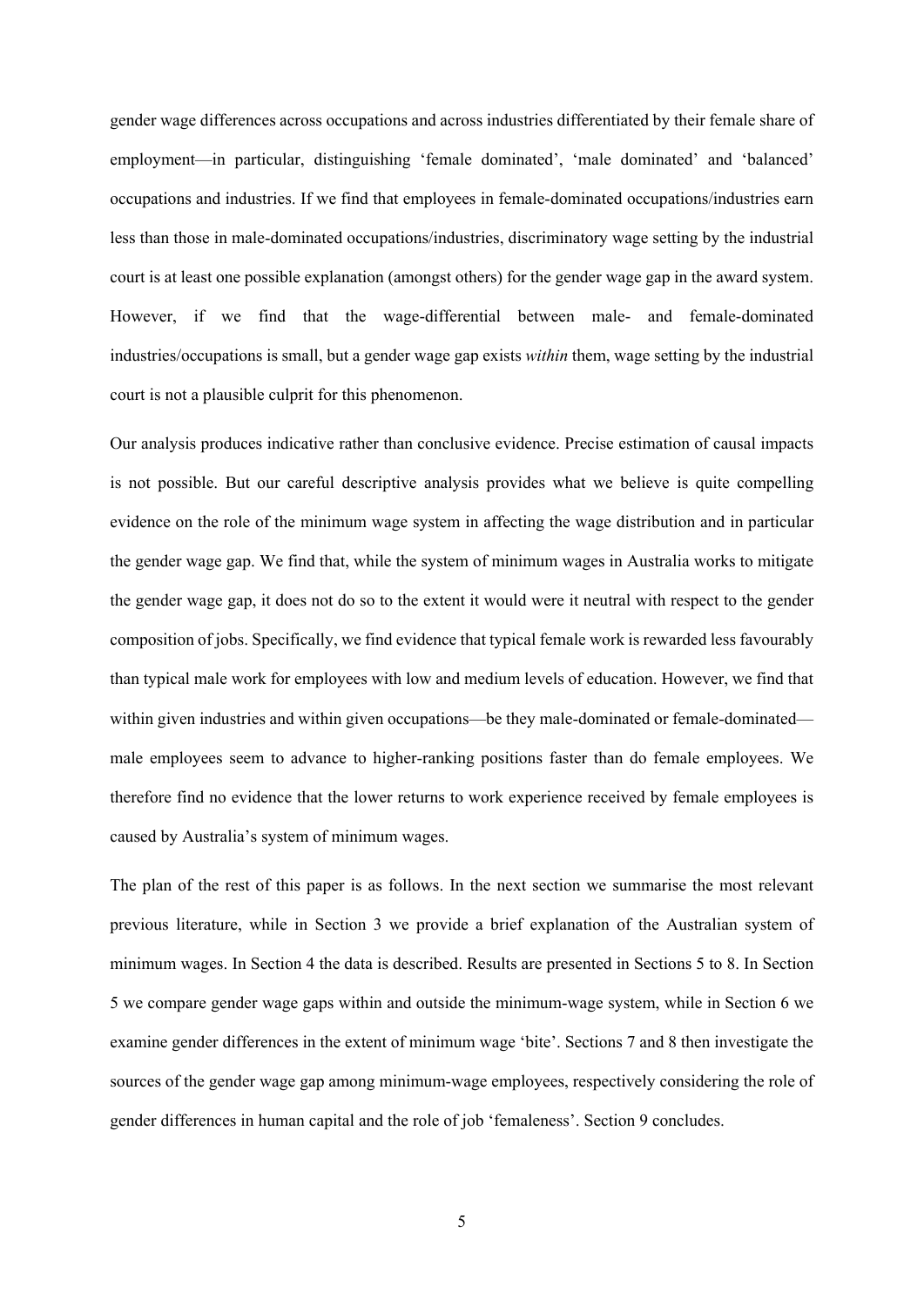gender wage differences across occupations and across industries differentiated by their female share of employment—in particular, distinguishing 'female dominated', 'male dominated' and 'balanced' occupations and industries. If we find that employees in female-dominated occupations/industries earn less than those in male-dominated occupations/industries, discriminatory wage setting by the industrial court is at least one possible explanation (amongst others) for the gender wage gap in the award system. However, if we find that the wage-differential between male- and female-dominated industries/occupations is small, but a gender wage gap exists *within* them, wage setting by the industrial court is not a plausible culprit for this phenomenon.

Our analysis produces indicative rather than conclusive evidence. Precise estimation of causal impacts is not possible. But our careful descriptive analysis provides what we believe is quite compelling evidence on the role of the minimum wage system in affecting the wage distribution and in particular the gender wage gap. We find that, while the system of minimum wages in Australia works to mitigate the gender wage gap, it does not do so to the extent it would were it neutral with respect to the gender composition of jobs. Specifically, we find evidence that typical female work is rewarded less favourably than typical male work for employees with low and medium levels of education. However, we find that within given industries and within given occupations—be they male-dominated or female-dominated male employees seem to advance to higher-ranking positions faster than do female employees. We therefore find no evidence that the lower returns to work experience received by female employees is caused by Australia's system of minimum wages.

The plan of the rest of this paper is as follows. In the next section we summarise the most relevant previous literature, while in Section 3 we provide a brief explanation of the Australian system of minimum wages. In Section 4 the data is described. Results are presented in Sections 5 to 8. In Section 5 we compare gender wage gaps within and outside the minimum-wage system, while in Section 6 we examine gender differences in the extent of minimum wage 'bite'. Sections 7 and 8 then investigate the sources of the gender wage gap among minimum-wage employees, respectively considering the role of gender differences in human capital and the role of job 'femaleness'. Section 9 concludes.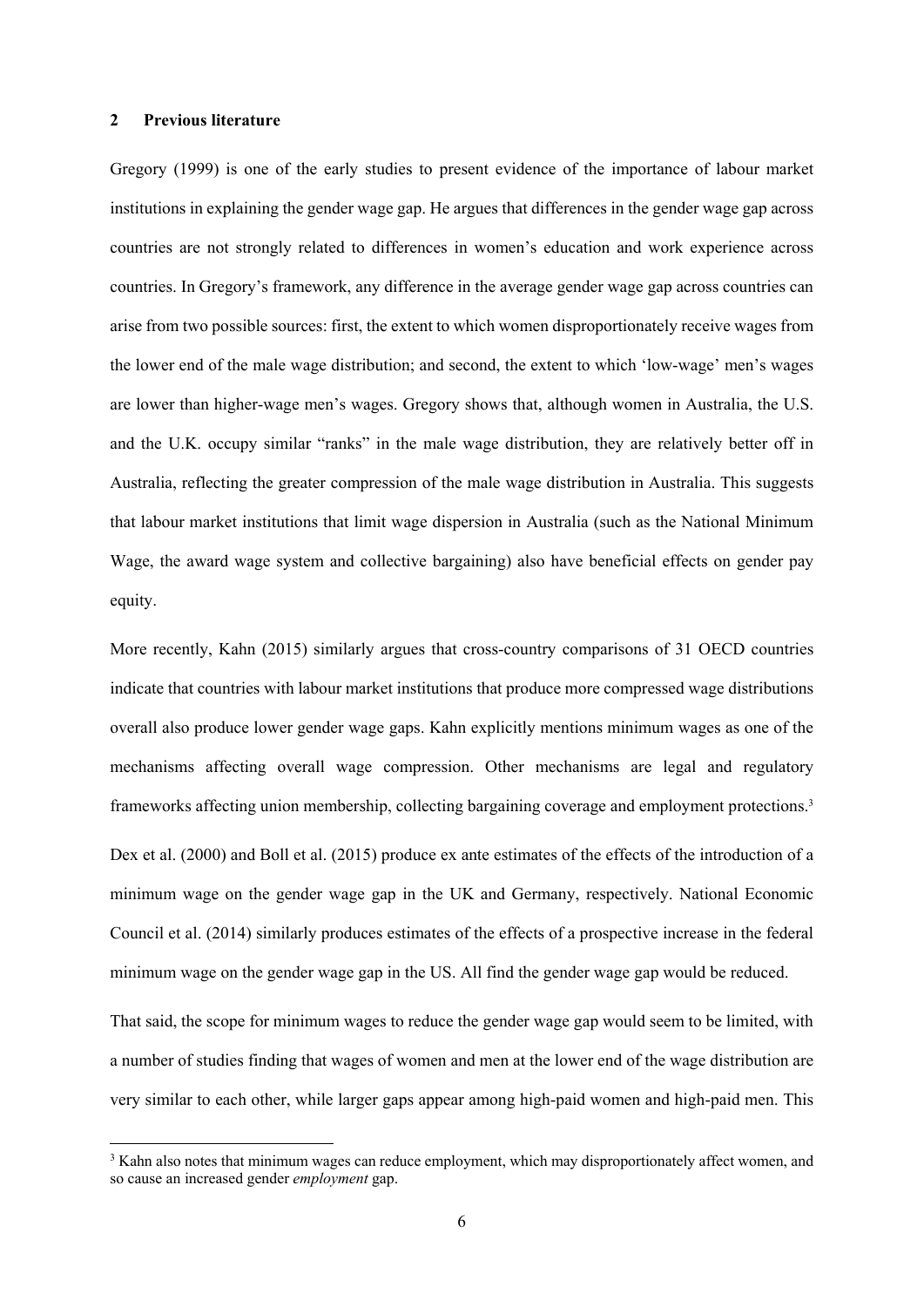## **2 Previous literature**

Gregory (1999) is one of the early studies to present evidence of the importance of labour market institutions in explaining the gender wage gap. He argues that differences in the gender wage gap across countries are not strongly related to differences in women's education and work experience across countries. In Gregory's framework, any difference in the average gender wage gap across countries can arise from two possible sources: first, the extent to which women disproportionately receive wages from the lower end of the male wage distribution; and second, the extent to which 'low-wage' men's wages are lower than higher-wage men's wages. Gregory shows that, although women in Australia, the U.S. and the U.K. occupy similar "ranks" in the male wage distribution, they are relatively better off in Australia, reflecting the greater compression of the male wage distribution in Australia. This suggests that labour market institutions that limit wage dispersion in Australia (such as the National Minimum Wage, the award wage system and collective bargaining) also have beneficial effects on gender pay equity.

More recently, Kahn (2015) similarly argues that cross-country comparisons of 31 OECD countries indicate that countries with labour market institutions that produce more compressed wage distributions overall also produce lower gender wage gaps. Kahn explicitly mentions minimum wages as one of the mechanisms affecting overall wage compression. Other mechanisms are legal and regulatory frameworks affecting union membership, collecting bargaining coverage and employment protections.3 Dex et al. (2000) and Boll et al. (2015) produce ex ante estimates of the effects of the introduction of a minimum wage on the gender wage gap in the UK and Germany, respectively. National Economic Council et al. (2014) similarly produces estimates of the effects of a prospective increase in the federal minimum wage on the gender wage gap in the US. All find the gender wage gap would be reduced.

That said, the scope for minimum wages to reduce the gender wage gap would seem to be limited, with a number of studies finding that wages of women and men at the lower end of the wage distribution are very similar to each other, while larger gaps appear among high-paid women and high-paid men. This

<sup>&</sup>lt;sup>3</sup> Kahn also notes that minimum wages can reduce employment, which may disproportionately affect women, and so cause an increased gender *employment* gap.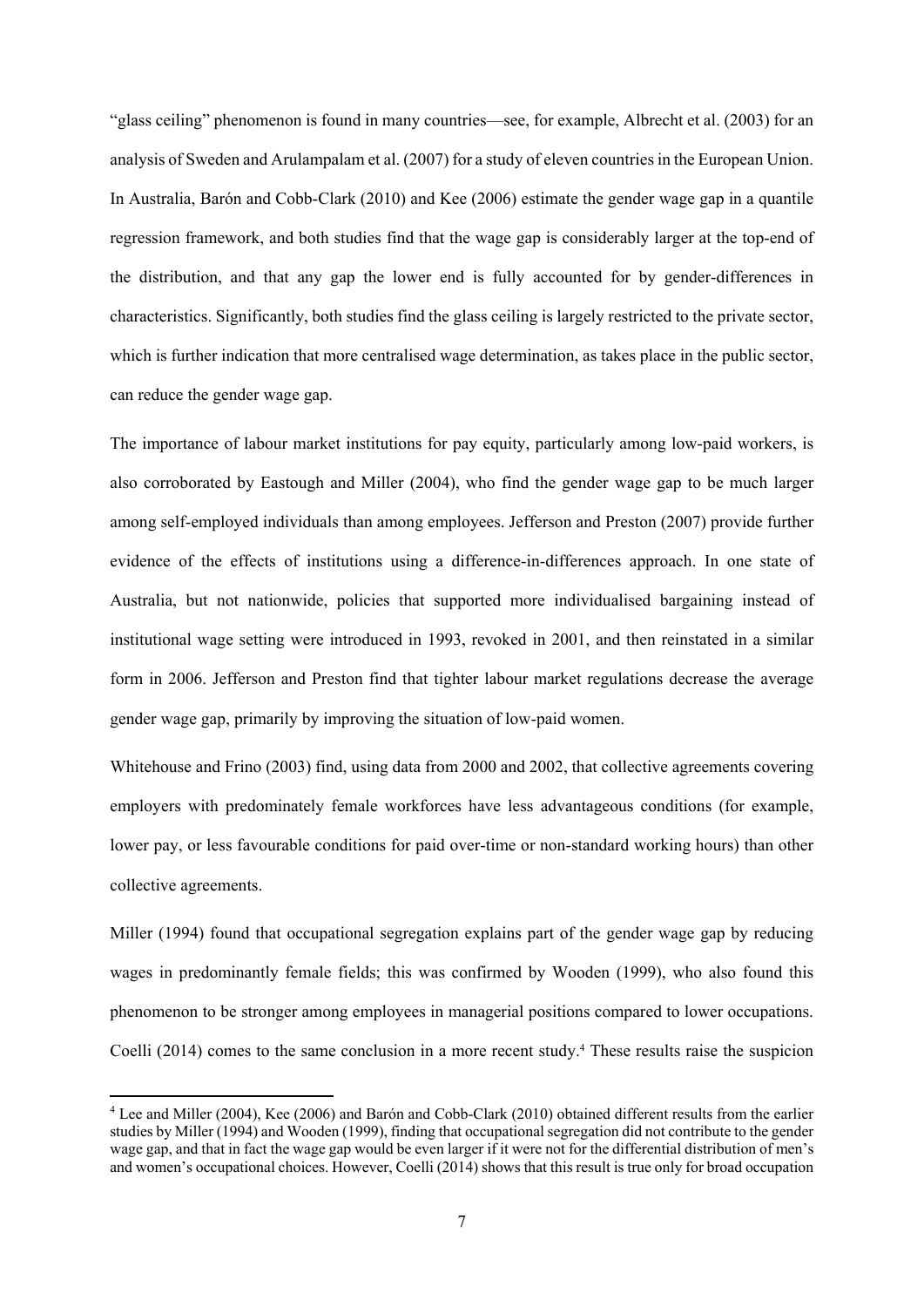"glass ceiling" phenomenon is found in many countries—see, for example, Albrecht et al. (2003) for an analysis of Sweden and Arulampalam et al. (2007) for a study of eleven countries in the European Union. In Australia, Barón and Cobb-Clark (2010) and Kee (2006) estimate the gender wage gap in a quantile regression framework, and both studies find that the wage gap is considerably larger at the top-end of the distribution, and that any gap the lower end is fully accounted for by gender-differences in characteristics. Significantly, both studies find the glass ceiling is largely restricted to the private sector, which is further indication that more centralised wage determination, as takes place in the public sector, can reduce the gender wage gap.

The importance of labour market institutions for pay equity, particularly among low-paid workers, is also corroborated by Eastough and Miller (2004), who find the gender wage gap to be much larger among self-employed individuals than among employees. Jefferson and Preston (2007) provide further evidence of the effects of institutions using a difference-in-differences approach. In one state of Australia, but not nationwide, policies that supported more individualised bargaining instead of institutional wage setting were introduced in 1993, revoked in 2001, and then reinstated in a similar form in 2006. Jefferson and Preston find that tighter labour market regulations decrease the average gender wage gap, primarily by improving the situation of low-paid women.

Whitehouse and Frino (2003) find, using data from 2000 and 2002, that collective agreements covering employers with predominately female workforces have less advantageous conditions (for example, lower pay, or less favourable conditions for paid over-time or non-standard working hours) than other collective agreements.

Miller (1994) found that occupational segregation explains part of the gender wage gap by reducing wages in predominantly female fields; this was confirmed by Wooden (1999), who also found this phenomenon to be stronger among employees in managerial positions compared to lower occupations. Coelli (2014) comes to the same conclusion in a more recent study.<sup>4</sup> These results raise the suspicion

<sup>4</sup> Lee and Miller (2004), Kee (2006) and Barón and Cobb-Clark (2010) obtained different results from the earlier studies by Miller (1994) and Wooden (1999), finding that occupational segregation did not contribute to the gender wage gap, and that in fact the wage gap would be even larger if it were not for the differential distribution of men's and women's occupational choices. However, Coelli (2014) shows that this result is true only for broad occupation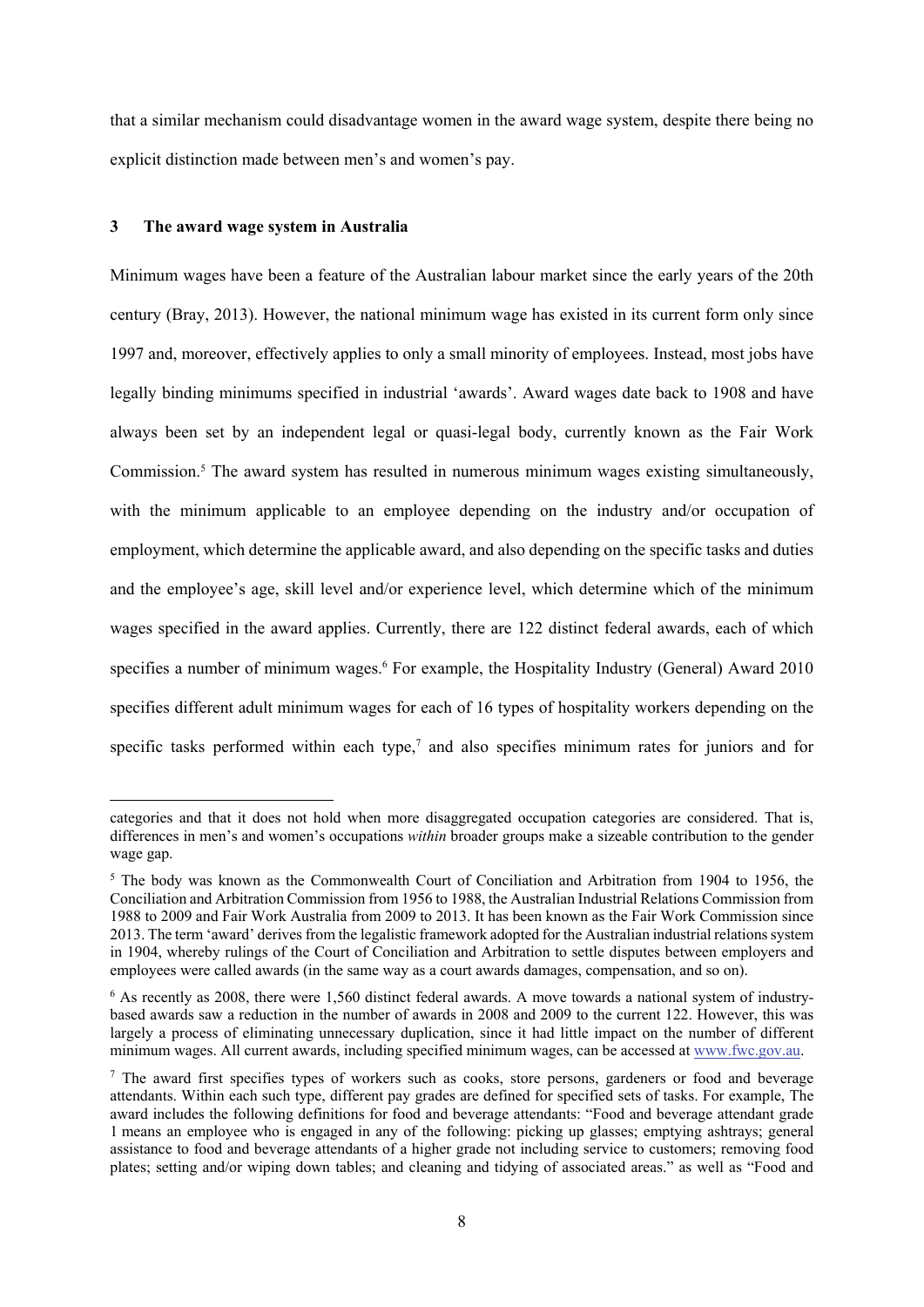that a similar mechanism could disadvantage women in the award wage system, despite there being no explicit distinction made between men's and women's pay.

#### **3 The award wage system in Australia**

Minimum wages have been a feature of the Australian labour market since the early years of the 20th century (Bray, 2013). However, the national minimum wage has existed in its current form only since 1997 and, moreover, effectively applies to only a small minority of employees. Instead, most jobs have legally binding minimums specified in industrial 'awards'. Award wages date back to 1908 and have always been set by an independent legal or quasi-legal body, currently known as the Fair Work Commission.<sup>5</sup> The award system has resulted in numerous minimum wages existing simultaneously, with the minimum applicable to an employee depending on the industry and/or occupation of employment, which determine the applicable award, and also depending on the specific tasks and duties and the employee's age, skill level and/or experience level, which determine which of the minimum wages specified in the award applies. Currently, there are 122 distinct federal awards, each of which specifies a number of minimum wages.<sup>6</sup> For example, the Hospitality Industry (General) Award 2010 specifies different adult minimum wages for each of 16 types of hospitality workers depending on the specific tasks performed within each type, $7$  and also specifies minimum rates for juniors and for

categories and that it does not hold when more disaggregated occupation categories are considered. That is, differences in men's and women's occupations *within* broader groups make a sizeable contribution to the gender wage gap.

<sup>&</sup>lt;sup>5</sup> The body was known as the Commonwealth Court of Conciliation and Arbitration from 1904 to 1956, the Conciliation and Arbitration Commission from 1956 to 1988, the Australian Industrial Relations Commission from 1988 to 2009 and Fair Work Australia from 2009 to 2013. It has been known as the Fair Work Commission since 2013. The term 'award' derives from the legalistic framework adopted for the Australian industrial relations system in 1904, whereby rulings of the Court of Conciliation and Arbitration to settle disputes between employers and employees were called awards (in the same way as a court awards damages, compensation, and so on).

<sup>&</sup>lt;sup>6</sup> As recently as 2008, there were 1,560 distinct federal awards. A move towards a national system of industrybased awards saw a reduction in the number of awards in 2008 and 2009 to the current 122. However, this was largely a process of eliminating unnecessary duplication, since it had little impact on the number of different minimum wages. All current awards, including specified minimum wages, can be accessed at www.fwc.gov.au.

<sup>&</sup>lt;sup>7</sup> The award first specifies types of workers such as cooks, store persons, gardeners or food and beverage attendants. Within each such type, different pay grades are defined for specified sets of tasks. For example, The award includes the following definitions for food and beverage attendants: "Food and beverage attendant grade 1 means an employee who is engaged in any of the following: picking up glasses; emptying ashtrays; general assistance to food and beverage attendants of a higher grade not including service to customers; removing food plates; setting and/or wiping down tables; and cleaning and tidying of associated areas." as well as "Food and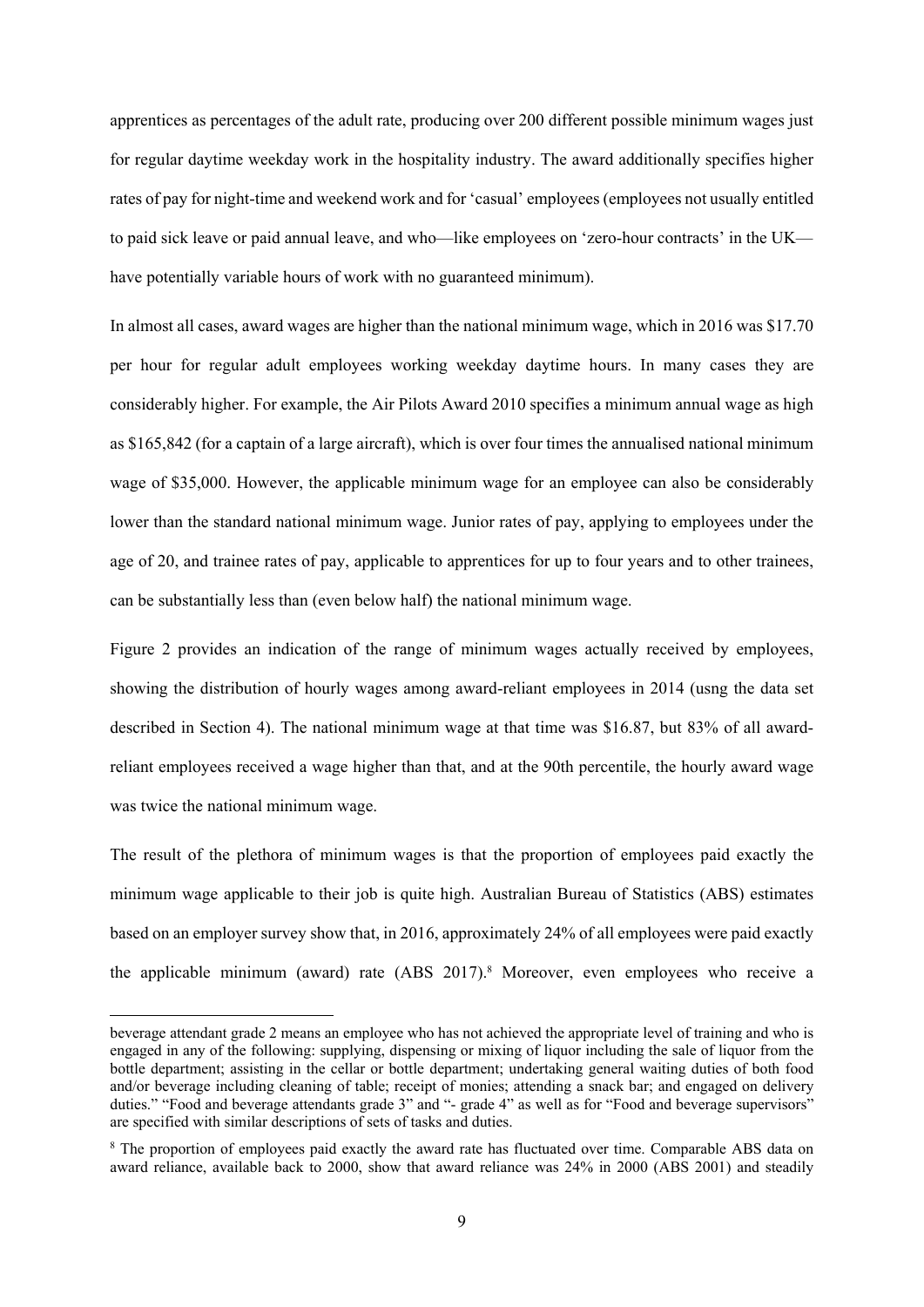apprentices as percentages of the adult rate, producing over 200 different possible minimum wages just for regular daytime weekday work in the hospitality industry. The award additionally specifies higher rates of pay for night-time and weekend work and for 'casual' employees (employees not usually entitled to paid sick leave or paid annual leave, and who—like employees on 'zero-hour contracts' in the UK have potentially variable hours of work with no guaranteed minimum).

In almost all cases, award wages are higher than the national minimum wage, which in 2016 was \$17.70 per hour for regular adult employees working weekday daytime hours. In many cases they are considerably higher. For example, the Air Pilots Award 2010 specifies a minimum annual wage as high as \$165,842 (for a captain of a large aircraft), which is over four times the annualised national minimum wage of \$35,000. However, the applicable minimum wage for an employee can also be considerably lower than the standard national minimum wage. Junior rates of pay, applying to employees under the age of 20, and trainee rates of pay, applicable to apprentices for up to four years and to other trainees, can be substantially less than (even below half) the national minimum wage.

Figure 2 provides an indication of the range of minimum wages actually received by employees, showing the distribution of hourly wages among award-reliant employees in 2014 (usng the data set described in Section 4). The national minimum wage at that time was \$16.87, but 83% of all awardreliant employees received a wage higher than that, and at the 90th percentile, the hourly award wage was twice the national minimum wage.

The result of the plethora of minimum wages is that the proportion of employees paid exactly the minimum wage applicable to their job is quite high. Australian Bureau of Statistics (ABS) estimates based on an employer survey show that, in 2016, approximately 24% of all employees were paid exactly the applicable minimum (award) rate (ABS 2017).<sup>8</sup> Moreover, even employees who receive a

beverage attendant grade 2 means an employee who has not achieved the appropriate level of training and who is engaged in any of the following: supplying, dispensing or mixing of liquor including the sale of liquor from the bottle department; assisting in the cellar or bottle department; undertaking general waiting duties of both food and/or beverage including cleaning of table; receipt of monies; attending a snack bar; and engaged on delivery duties." "Food and beverage attendants grade 3" and "- grade 4" as well as for "Food and beverage supervisors" are specified with similar descriptions of sets of tasks and duties.

<sup>&</sup>lt;sup>8</sup> The proportion of employees paid exactly the award rate has fluctuated over time. Comparable ABS data on award reliance, available back to 2000, show that award reliance was 24% in 2000 (ABS 2001) and steadily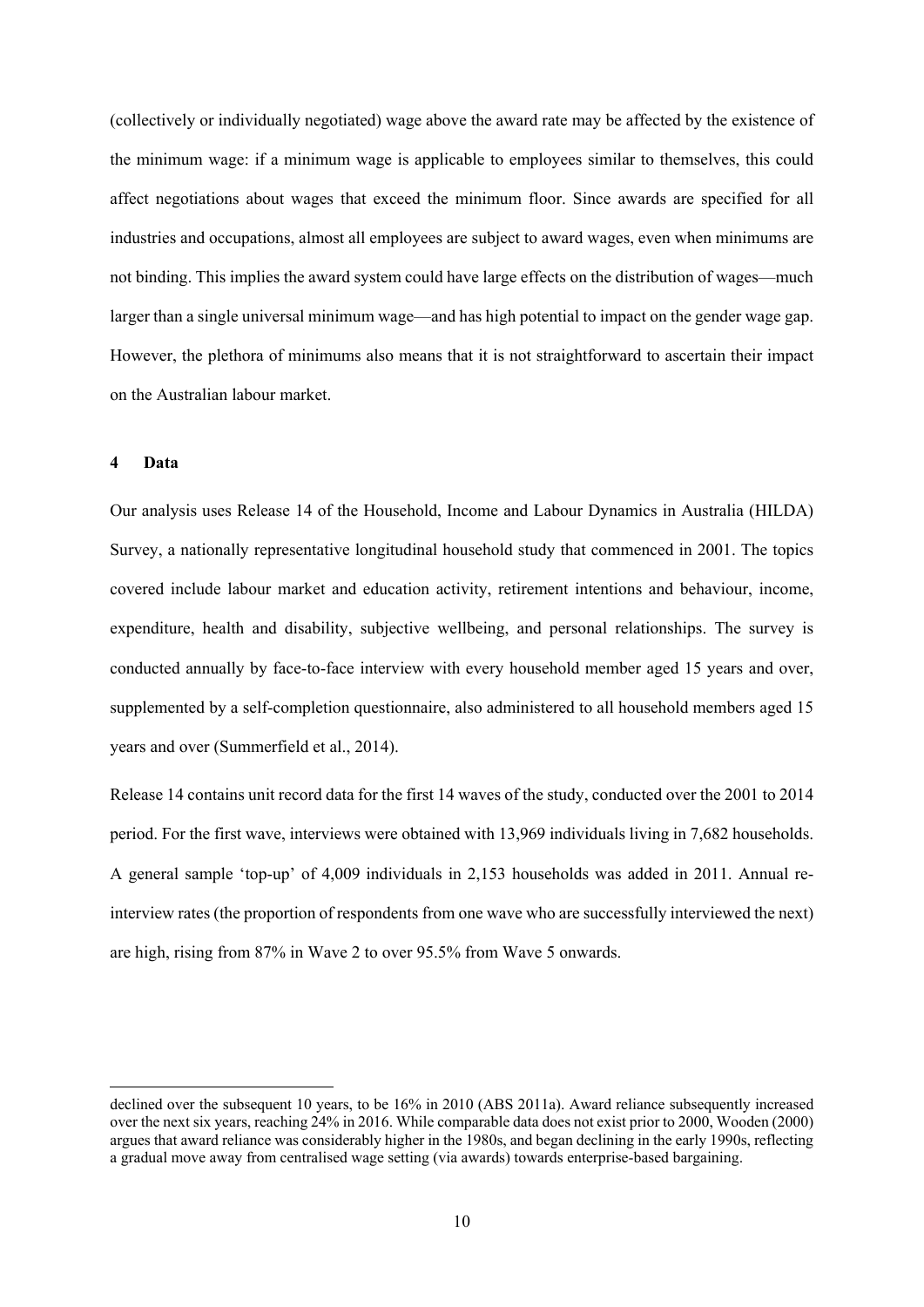(collectively or individually negotiated) wage above the award rate may be affected by the existence of the minimum wage: if a minimum wage is applicable to employees similar to themselves, this could affect negotiations about wages that exceed the minimum floor. Since awards are specified for all industries and occupations, almost all employees are subject to award wages, even when minimums are not binding. This implies the award system could have large effects on the distribution of wages—much larger than a single universal minimum wage—and has high potential to impact on the gender wage gap. However, the plethora of minimums also means that it is not straightforward to ascertain their impact on the Australian labour market.

#### **4 Data**

Our analysis uses Release 14 of the Household, Income and Labour Dynamics in Australia (HILDA) Survey, a nationally representative longitudinal household study that commenced in 2001. The topics covered include labour market and education activity, retirement intentions and behaviour, income, expenditure, health and disability, subjective wellbeing, and personal relationships. The survey is conducted annually by face-to-face interview with every household member aged 15 years and over, supplemented by a self-completion questionnaire, also administered to all household members aged 15 years and over (Summerfield et al., 2014).

Release 14 contains unit record data for the first 14 waves of the study, conducted over the 2001 to 2014 period. For the first wave, interviews were obtained with 13,969 individuals living in 7,682 households. A general sample 'top-up' of 4,009 individuals in 2,153 households was added in 2011. Annual reinterview rates (the proportion of respondents from one wave who are successfully interviewed the next) are high, rising from 87% in Wave 2 to over 95.5% from Wave 5 onwards.

declined over the subsequent 10 years, to be 16% in 2010 (ABS 2011a). Award reliance subsequently increased over the next six years, reaching 24% in 2016. While comparable data does not exist prior to 2000, Wooden (2000) argues that award reliance was considerably higher in the 1980s, and began declining in the early 1990s, reflecting a gradual move away from centralised wage setting (via awards) towards enterprise-based bargaining.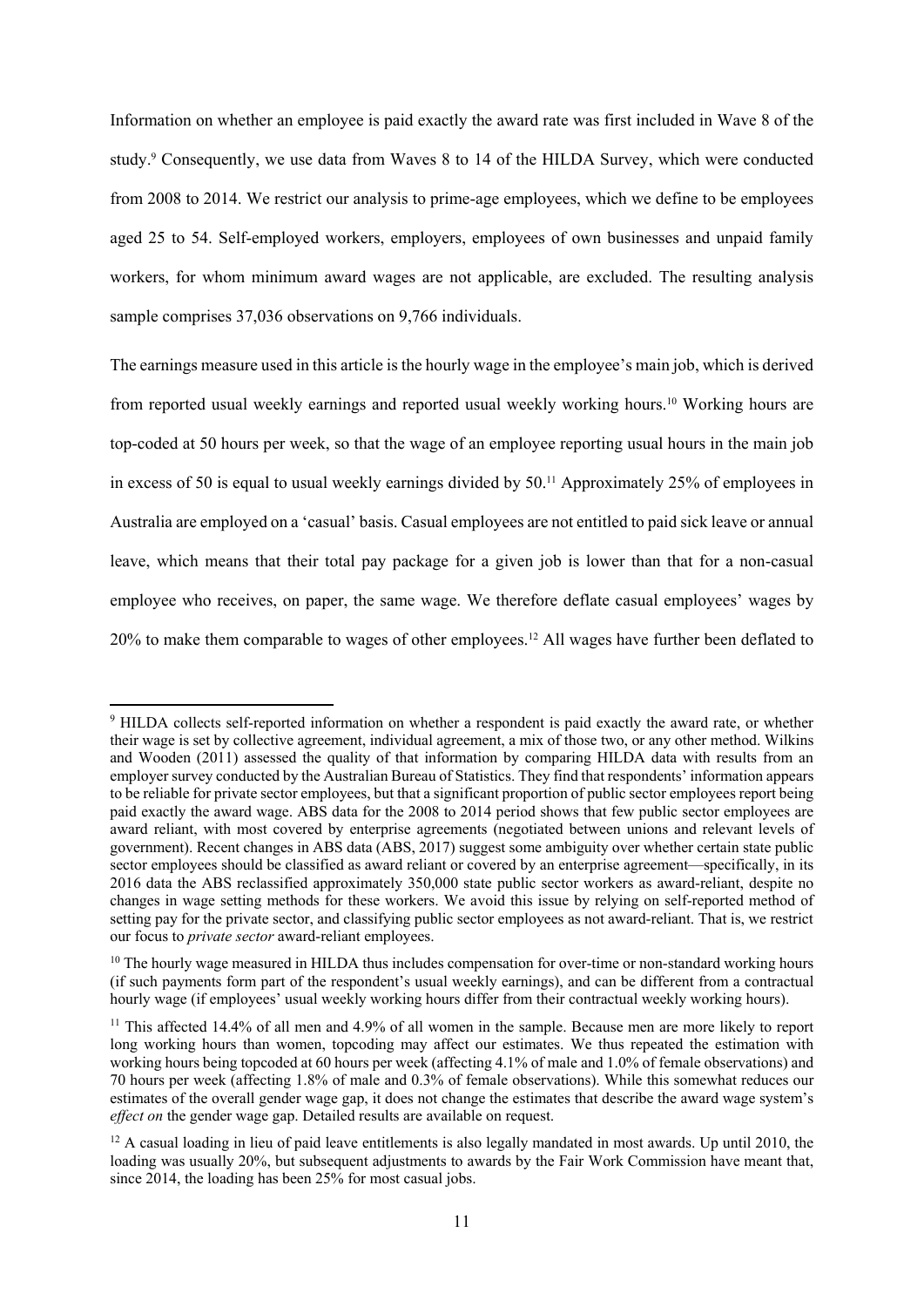Information on whether an employee is paid exactly the award rate was first included in Wave 8 of the study.<sup>9</sup> Consequently, we use data from Waves 8 to 14 of the HILDA Survey, which were conducted from 2008 to 2014. We restrict our analysis to prime-age employees, which we define to be employees aged 25 to 54. Self-employed workers, employers, employees of own businesses and unpaid family workers, for whom minimum award wages are not applicable, are excluded. The resulting analysis sample comprises 37,036 observations on 9,766 individuals.

The earnings measure used in this article is the hourly wage in the employee's main job, which is derived from reported usual weekly earnings and reported usual weekly working hours.10 Working hours are top-coded at 50 hours per week, so that the wage of an employee reporting usual hours in the main job in excess of 50 is equal to usual weekly earnings divided by 50.<sup>11</sup> Approximately 25% of employees in Australia are employed on a 'casual' basis. Casual employees are not entitled to paid sick leave or annual leave, which means that their total pay package for a given job is lower than that for a non-casual employee who receives, on paper, the same wage. We therefore deflate casual employees' wages by 20% to make them comparable to wages of other employees.12 All wages have further been deflated to

<sup>9</sup> HILDA collects self-reported information on whether a respondent is paid exactly the award rate, or whether their wage is set by collective agreement, individual agreement, a mix of those two, or any other method. Wilkins and Wooden (2011) assessed the quality of that information by comparing HILDA data with results from an employer survey conducted by the Australian Bureau of Statistics. They find that respondents' information appears to be reliable for private sector employees, but that a significant proportion of public sector employees report being paid exactly the award wage. ABS data for the 2008 to 2014 period shows that few public sector employees are award reliant, with most covered by enterprise agreements (negotiated between unions and relevant levels of government). Recent changes in ABS data (ABS, 2017) suggest some ambiguity over whether certain state public sector employees should be classified as award reliant or covered by an enterprise agreement—specifically, in its 2016 data the ABS reclassified approximately 350,000 state public sector workers as award-reliant, despite no changes in wage setting methods for these workers. We avoid this issue by relying on self-reported method of setting pay for the private sector, and classifying public sector employees as not award-reliant. That is, we restrict our focus to *private sector* award-reliant employees.

<sup>&</sup>lt;sup>10</sup> The hourly wage measured in HILDA thus includes compensation for over-time or non-standard working hours (if such payments form part of the respondent's usual weekly earnings), and can be different from a contractual hourly wage (if employees' usual weekly working hours differ from their contractual weekly working hours).

<sup>&</sup>lt;sup>11</sup> This affected 14.4% of all men and 4.9% of all women in the sample. Because men are more likely to report long working hours than women, topcoding may affect our estimates. We thus repeated the estimation with working hours being topcoded at 60 hours per week (affecting 4.1% of male and 1.0% of female observations) and 70 hours per week (affecting 1.8% of male and 0.3% of female observations). While this somewhat reduces our estimates of the overall gender wage gap, it does not change the estimates that describe the award wage system's *effect on* the gender wage gap. Detailed results are available on request.

<sup>&</sup>lt;sup>12</sup> A casual loading in lieu of paid leave entitlements is also legally mandated in most awards. Up until 2010, the loading was usually 20%, but subsequent adjustments to awards by the Fair Work Commission have meant that, since 2014, the loading has been 25% for most casual jobs.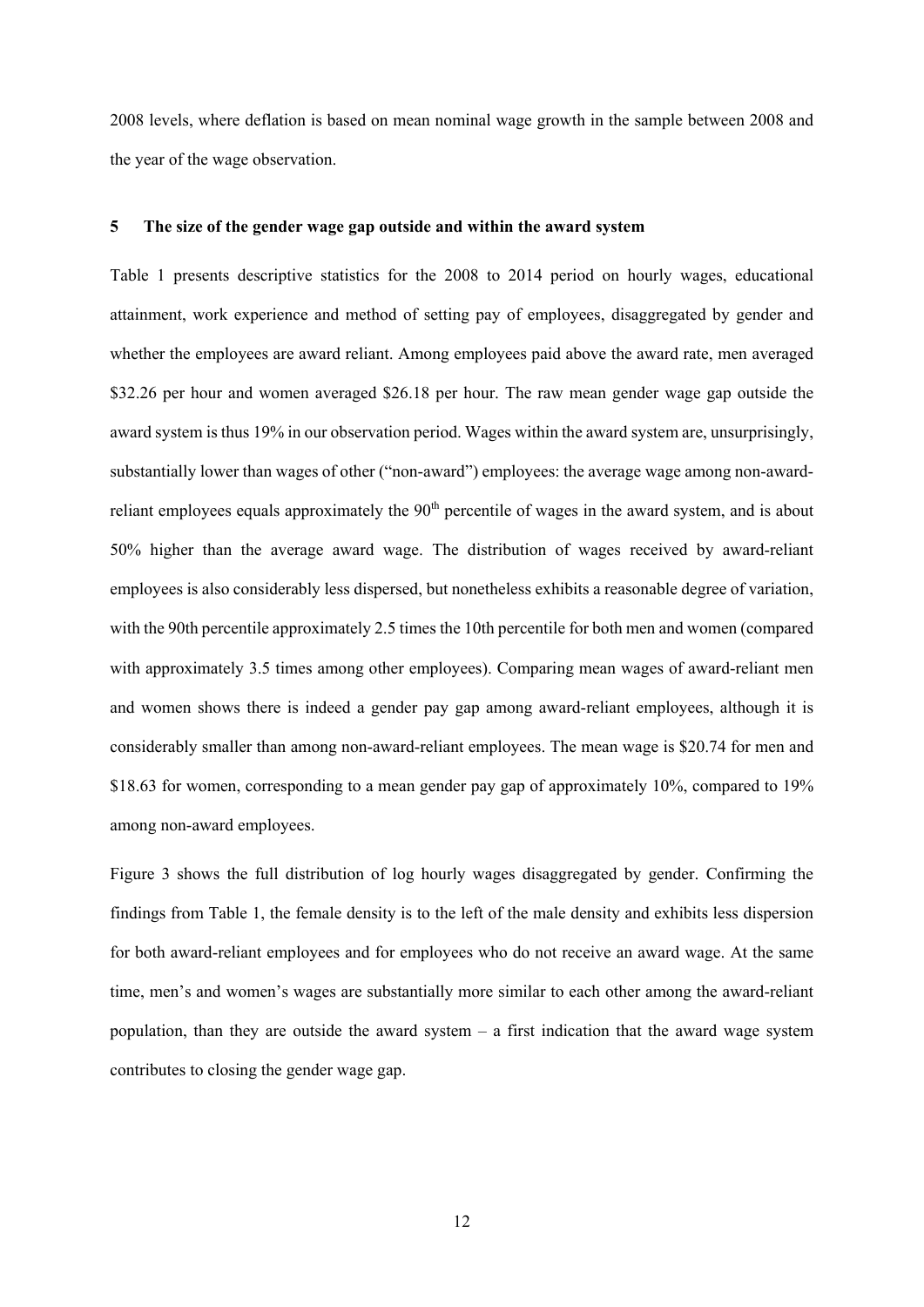2008 levels, where deflation is based on mean nominal wage growth in the sample between 2008 and the year of the wage observation.

#### **5 The size of the gender wage gap outside and within the award system**

Table 1 presents descriptive statistics for the 2008 to 2014 period on hourly wages, educational attainment, work experience and method of setting pay of employees, disaggregated by gender and whether the employees are award reliant. Among employees paid above the award rate, men averaged \$32.26 per hour and women averaged \$26.18 per hour. The raw mean gender wage gap outside the award system is thus 19% in our observation period. Wages within the award system are, unsurprisingly, substantially lower than wages of other ("non-award") employees: the average wage among non-awardreliant employees equals approximately the 90<sup>th</sup> percentile of wages in the award system, and is about 50% higher than the average award wage. The distribution of wages received by award-reliant employees is also considerably less dispersed, but nonetheless exhibits a reasonable degree of variation, with the 90th percentile approximately 2.5 times the 10th percentile for both men and women (compared with approximately 3.5 times among other employees). Comparing mean wages of award-reliant men and women shows there is indeed a gender pay gap among award-reliant employees, although it is considerably smaller than among non-award-reliant employees. The mean wage is \$20.74 for men and \$18.63 for women, corresponding to a mean gender pay gap of approximately 10%, compared to 19% among non-award employees.

Figure 3 shows the full distribution of log hourly wages disaggregated by gender. Confirming the findings from Table 1, the female density is to the left of the male density and exhibits less dispersion for both award-reliant employees and for employees who do not receive an award wage. At the same time, men's and women's wages are substantially more similar to each other among the award-reliant population, than they are outside the award system  $-$  a first indication that the award wage system contributes to closing the gender wage gap.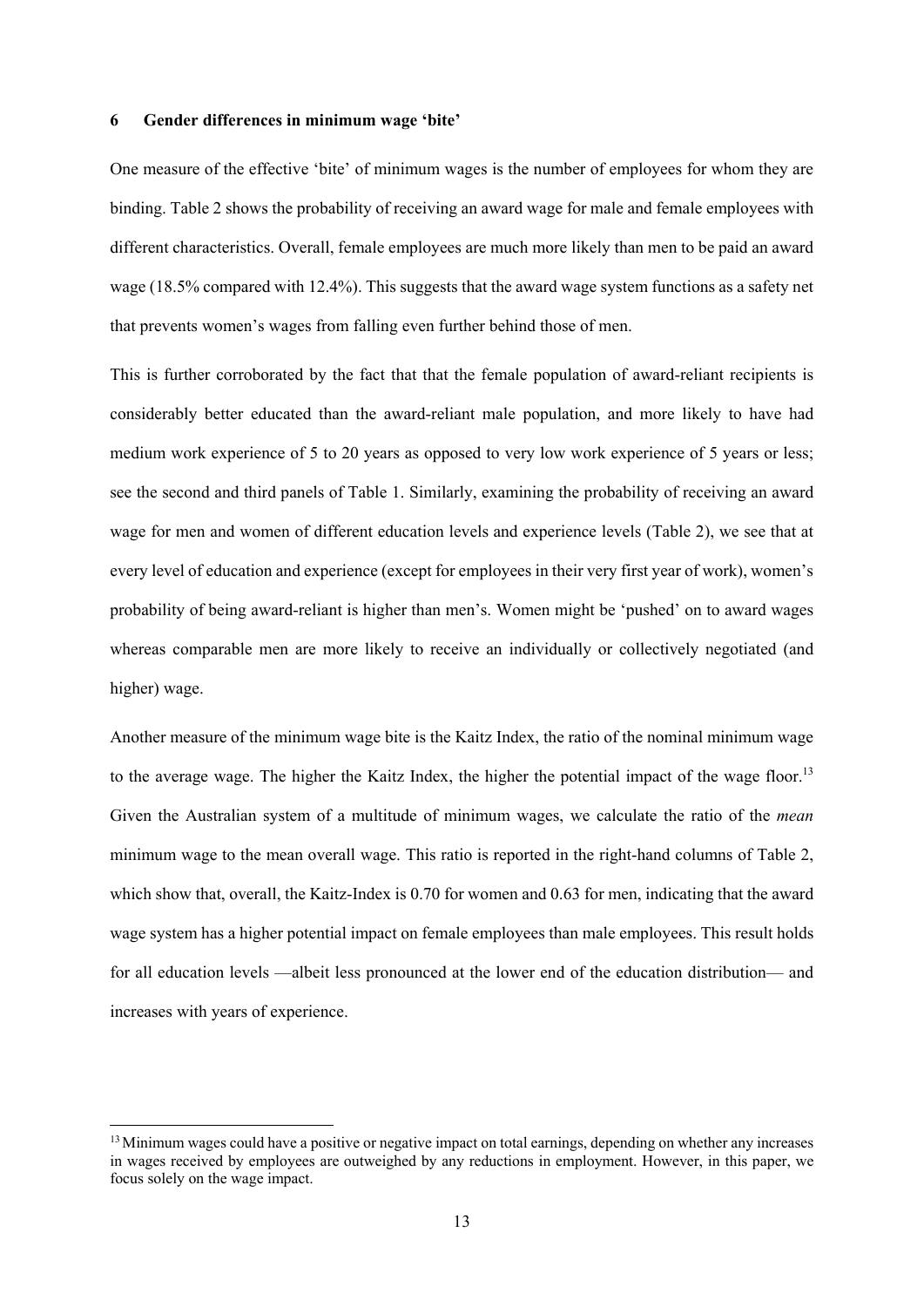### **6 Gender differences in minimum wage 'bite'**

One measure of the effective 'bite' of minimum wages is the number of employees for whom they are binding. Table 2 shows the probability of receiving an award wage for male and female employees with different characteristics. Overall, female employees are much more likely than men to be paid an award wage (18.5% compared with 12.4%). This suggests that the award wage system functions as a safety net that prevents women's wages from falling even further behind those of men.

This is further corroborated by the fact that that the female population of award-reliant recipients is considerably better educated than the award-reliant male population, and more likely to have had medium work experience of 5 to 20 years as opposed to very low work experience of 5 years or less; see the second and third panels of Table 1. Similarly, examining the probability of receiving an award wage for men and women of different education levels and experience levels (Table 2), we see that at every level of education and experience (except for employees in their very first year of work), women's probability of being award-reliant is higher than men's. Women might be 'pushed' on to award wages whereas comparable men are more likely to receive an individually or collectively negotiated (and higher) wage.

Another measure of the minimum wage bite is the Kaitz Index, the ratio of the nominal minimum wage to the average wage. The higher the Kaitz Index, the higher the potential impact of the wage floor.<sup>13</sup> Given the Australian system of a multitude of minimum wages, we calculate the ratio of the *mean* minimum wage to the mean overall wage. This ratio is reported in the right-hand columns of Table 2, which show that, overall, the Kaitz-Index is 0.70 for women and 0.63 for men, indicating that the award wage system has a higher potential impact on female employees than male employees. This result holds for all education levels —albeit less pronounced at the lower end of the education distribution— and increases with years of experience.

<sup>&</sup>lt;sup>13</sup> Minimum wages could have a positive or negative impact on total earnings, depending on whether any increases in wages received by employees are outweighed by any reductions in employment. However, in this paper, we focus solely on the wage impact.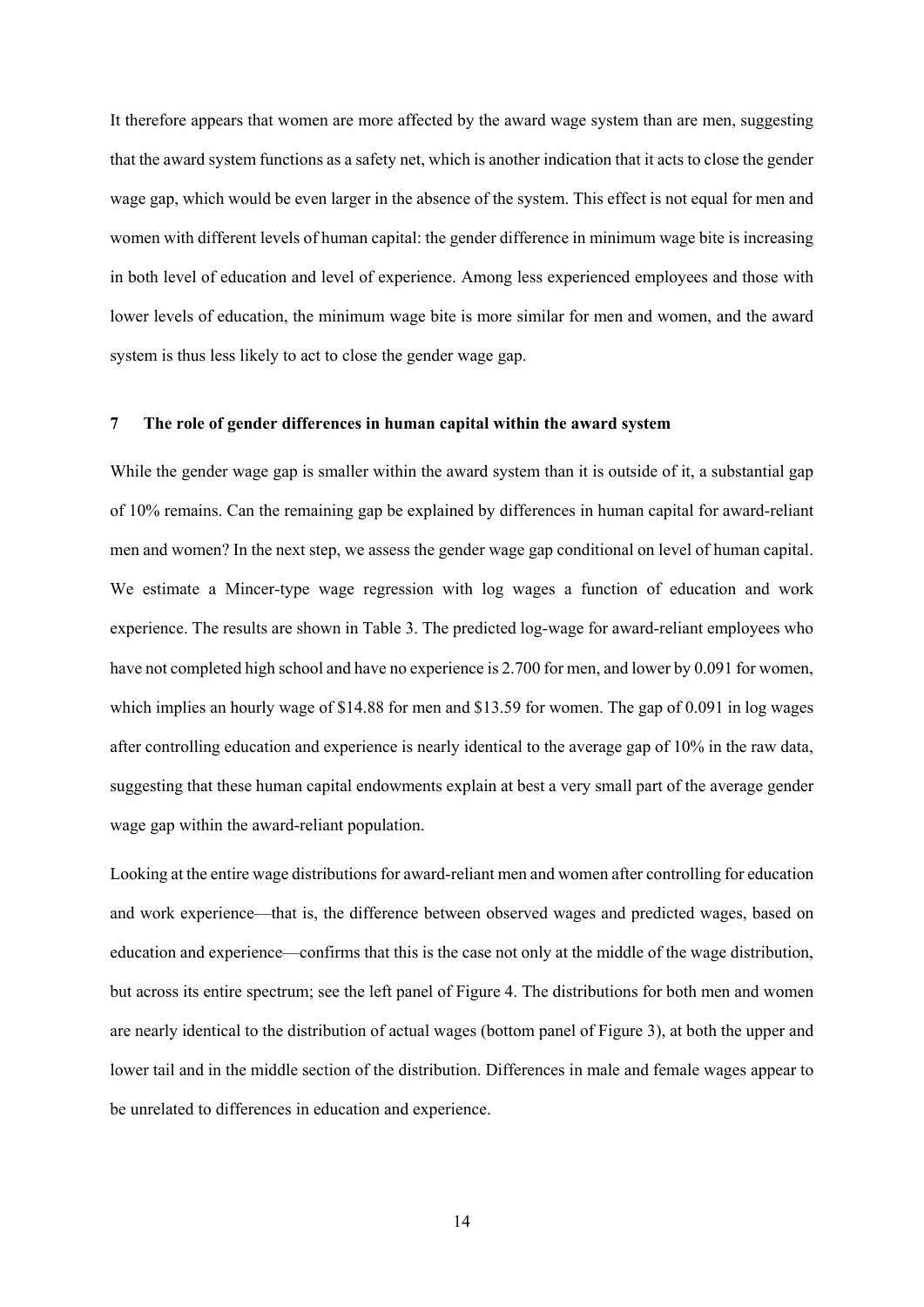It therefore appears that women are more affected by the award wage system than are men, suggesting that the award system functions as a safety net, which is another indication that it acts to close the gender wage gap, which would be even larger in the absence of the system. This effect is not equal for men and women with different levels of human capital: the gender difference in minimum wage bite is increasing in both level of education and level of experience. Among less experienced employees and those with lower levels of education, the minimum wage bite is more similar for men and women, and the award system is thus less likely to act to close the gender wage gap.

#### **7 The role of gender differences in human capital within the award system**

While the gender wage gap is smaller within the award system than it is outside of it, a substantial gap of 10% remains. Can the remaining gap be explained by differences in human capital for award-reliant men and women? In the next step, we assess the gender wage gap conditional on level of human capital. We estimate a Mincer-type wage regression with log wages a function of education and work experience. The results are shown in Table 3. The predicted log-wage for award-reliant employees who have not completed high school and have no experience is 2.700 for men, and lower by 0.091 for women, which implies an hourly wage of \$14.88 for men and \$13.59 for women. The gap of 0.091 in log wages after controlling education and experience is nearly identical to the average gap of 10% in the raw data, suggesting that these human capital endowments explain at best a very small part of the average gender wage gap within the award-reliant population.

Looking at the entire wage distributions for award-reliant men and women after controlling for education and work experience—that is, the difference between observed wages and predicted wages, based on education and experience—confirms that this is the case not only at the middle of the wage distribution, but across its entire spectrum; see the left panel of Figure 4. The distributions for both men and women are nearly identical to the distribution of actual wages (bottom panel of Figure 3), at both the upper and lower tail and in the middle section of the distribution. Differences in male and female wages appear to be unrelated to differences in education and experience.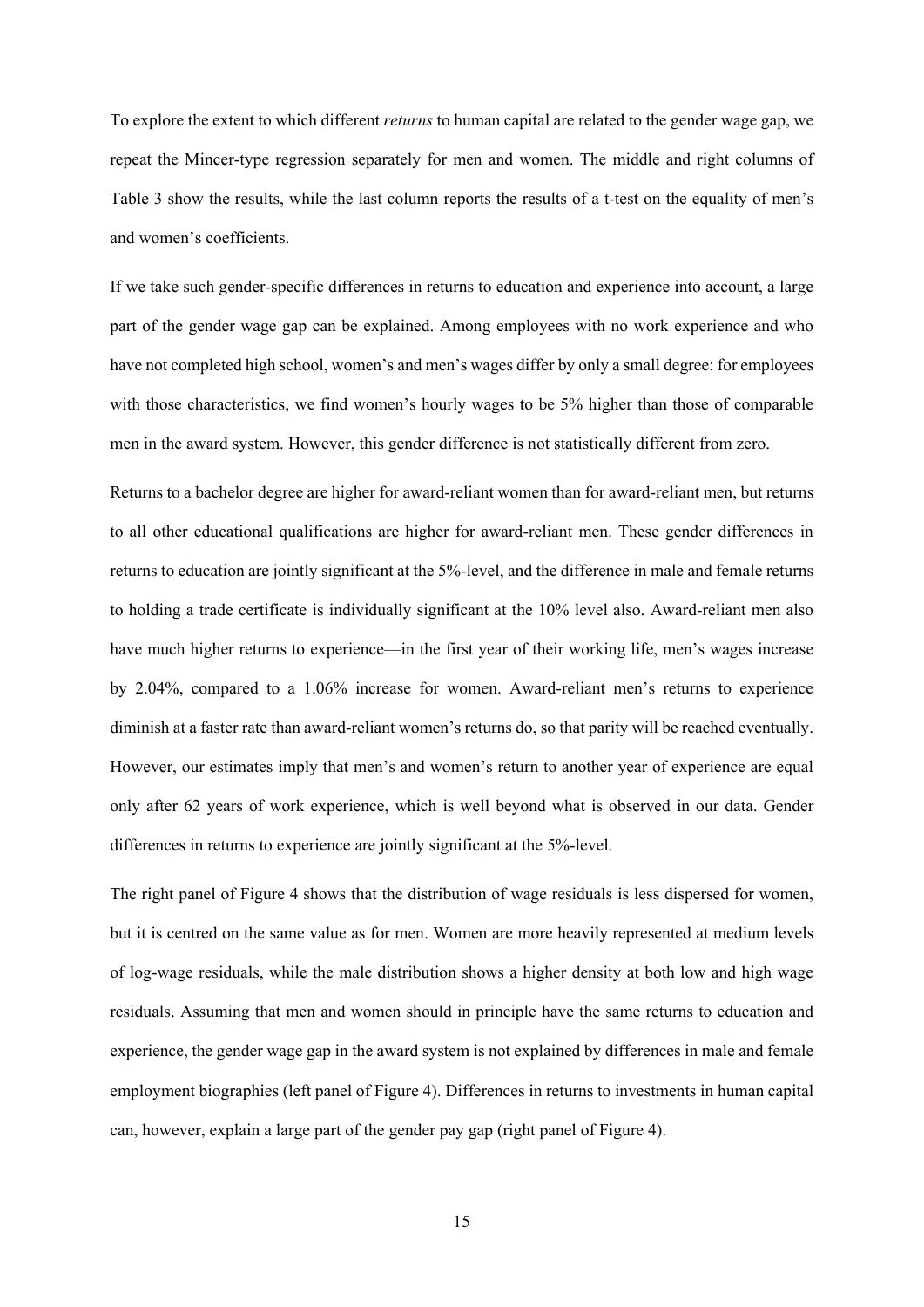To explore the extent to which different *returns* to human capital are related to the gender wage gap, we repeat the Mincer-type regression separately for men and women. The middle and right columns of Table 3 show the results, while the last column reports the results of a t-test on the equality of men's and women's coefficients.

If we take such gender-specific differences in returns to education and experience into account, a large part of the gender wage gap can be explained. Among employees with no work experience and who have not completed high school, women's and men's wages differ by only a small degree: for employees with those characteristics, we find women's hourly wages to be 5% higher than those of comparable men in the award system. However, this gender difference is not statistically different from zero.

Returns to a bachelor degree are higher for award-reliant women than for award-reliant men, but returns to all other educational qualifications are higher for award-reliant men. These gender differences in returns to education are jointly significant at the 5%-level, and the difference in male and female returns to holding a trade certificate is individually significant at the 10% level also. Award-reliant men also have much higher returns to experience—in the first year of their working life, men's wages increase by 2.04%, compared to a 1.06% increase for women. Award-reliant men's returns to experience diminish at a faster rate than award-reliant women's returns do, so that parity will be reached eventually. However, our estimates imply that men's and women's return to another year of experience are equal only after 62 years of work experience, which is well beyond what is observed in our data. Gender differences in returns to experience are jointly significant at the 5%-level.

The right panel of Figure 4 shows that the distribution of wage residuals is less dispersed for women, but it is centred on the same value as for men. Women are more heavily represented at medium levels of log-wage residuals, while the male distribution shows a higher density at both low and high wage residuals. Assuming that men and women should in principle have the same returns to education and experience, the gender wage gap in the award system is not explained by differences in male and female employment biographies (left panel of Figure 4). Differences in returns to investments in human capital can, however, explain a large part of the gender pay gap (right panel of Figure 4).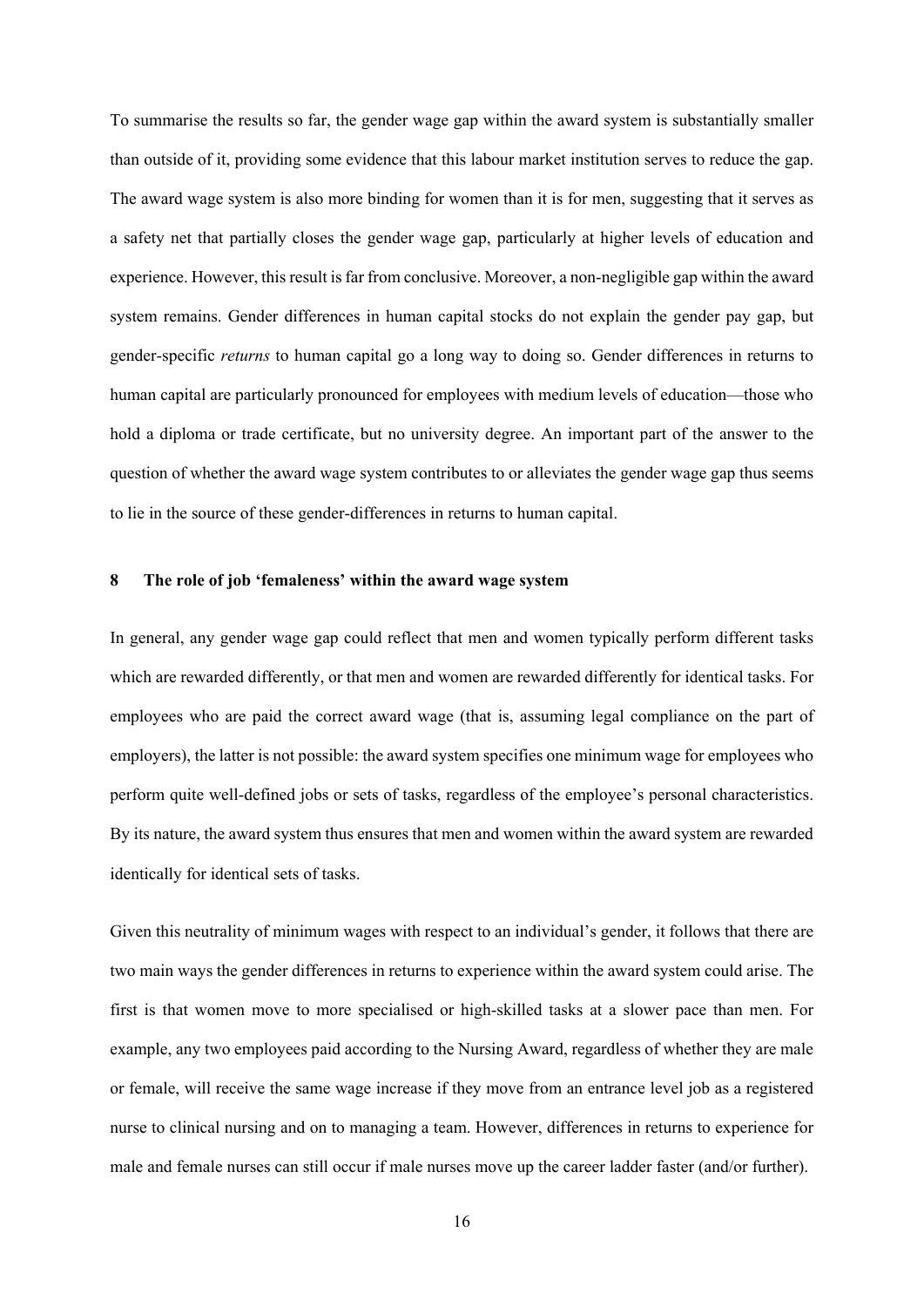To summarise the results so far, the gender wage gap within the award system is substantially smaller than outside of it, providing some evidence that this labour market institution serves to reduce the gap. The award wage system is also more binding for women than it is for men, suggesting that it serves as a safety net that partially closes the gender wage gap, particularly at higher levels of education and experience. However, this result is far from conclusive. Moreover, a non-negligible gap within the award system remains. Gender differences in human capital stocks do not explain the gender pay gap, but gender-specific *returns* to human capital go a long way to doing so. Gender differences in returns to human capital are particularly pronounced for employees with medium levels of education—those who hold a diploma or trade certificate, but no university degree. An important part of the answer to the question of whether the award wage system contributes to or alleviates the gender wage gap thus seems to lie in the source of these gender-differences in returns to human capital.

#### **8 The role of job 'femaleness' within the award wage system**

In general, any gender wage gap could reflect that men and women typically perform different tasks which are rewarded differently, or that men and women are rewarded differently for identical tasks. For employees who are paid the correct award wage (that is, assuming legal compliance on the part of employers), the latter is not possible: the award system specifies one minimum wage for employees who perform quite well-defined jobs or sets of tasks, regardless of the employee's personal characteristics. By its nature, the award system thus ensures that men and women within the award system are rewarded identically for identical sets of tasks.

Given this neutrality of minimum wages with respect to an individual's gender, it follows that there are two main ways the gender differences in returns to experience within the award system could arise. The first is that women move to more specialised or high-skilled tasks at a slower pace than men. For example, any two employees paid according to the Nursing Award, regardless of whether they are male or female, will receive the same wage increase if they move from an entrance level job as a registered nurse to clinical nursing and on to managing a team. However, differences in returns to experience for male and female nurses can still occur if male nurses move up the career ladder faster (and/or further).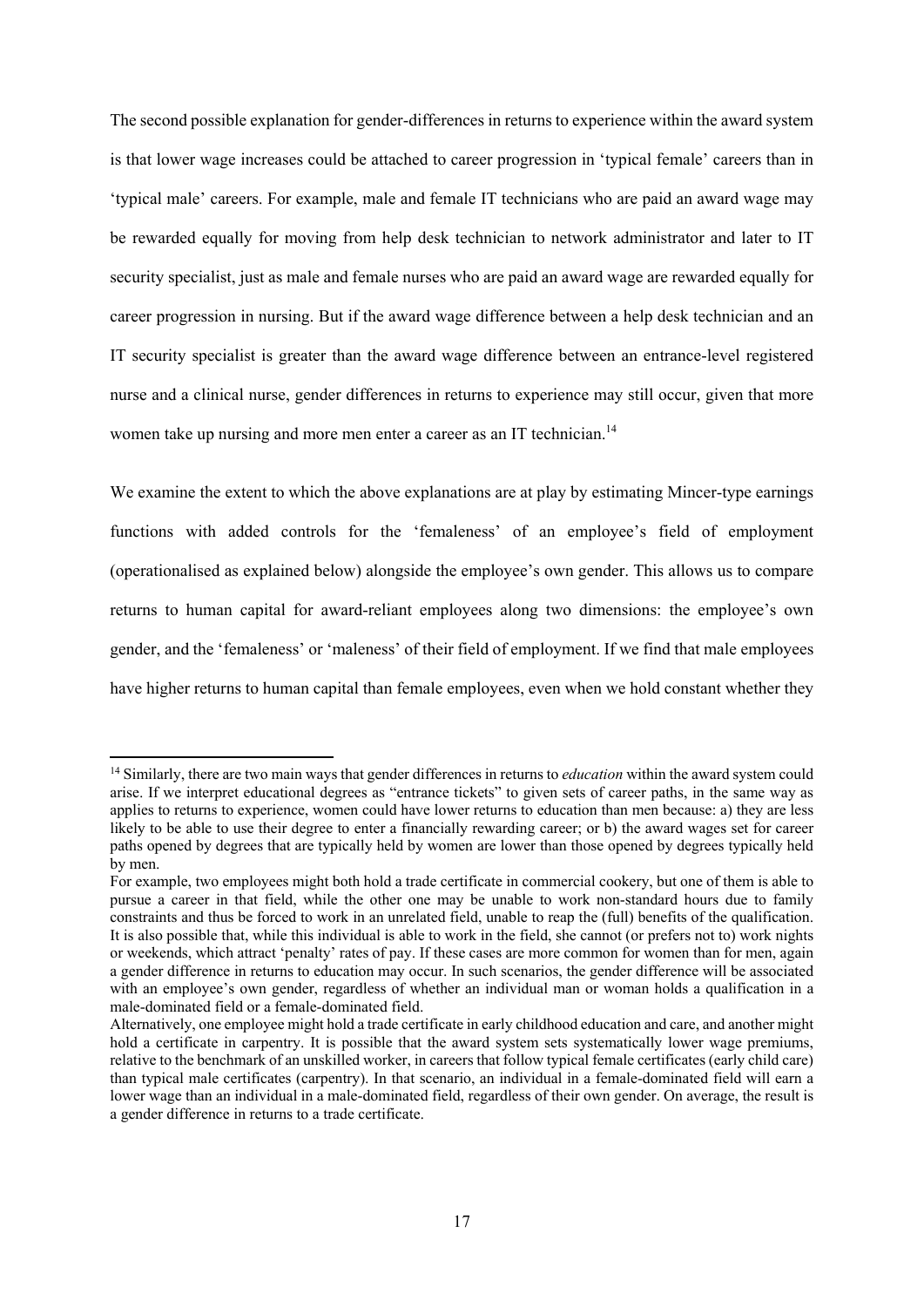The second possible explanation for gender-differences in returns to experience within the award system is that lower wage increases could be attached to career progression in 'typical female' careers than in 'typical male' careers. For example, male and female IT technicians who are paid an award wage may be rewarded equally for moving from help desk technician to network administrator and later to IT security specialist, just as male and female nurses who are paid an award wage are rewarded equally for career progression in nursing. But if the award wage difference between a help desk technician and an IT security specialist is greater than the award wage difference between an entrance-level registered nurse and a clinical nurse, gender differences in returns to experience may still occur, given that more women take up nursing and more men enter a career as an IT technician.<sup>14</sup>

We examine the extent to which the above explanations are at play by estimating Mincer-type earnings functions with added controls for the 'femaleness' of an employee's field of employment (operationalised as explained below) alongside the employee's own gender. This allows us to compare returns to human capital for award-reliant employees along two dimensions: the employee's own gender, and the 'femaleness' or 'maleness' of their field of employment. If we find that male employees have higher returns to human capital than female employees, even when we hold constant whether they

<sup>14</sup> Similarly, there are two main ways that gender differences in returns to *education* within the award system could arise. If we interpret educational degrees as "entrance tickets" to given sets of career paths, in the same way as applies to returns to experience, women could have lower returns to education than men because: a) they are less likely to be able to use their degree to enter a financially rewarding career; or b) the award wages set for career paths opened by degrees that are typically held by women are lower than those opened by degrees typically held by men.

For example, two employees might both hold a trade certificate in commercial cookery, but one of them is able to pursue a career in that field, while the other one may be unable to work non-standard hours due to family constraints and thus be forced to work in an unrelated field, unable to reap the (full) benefits of the qualification. It is also possible that, while this individual is able to work in the field, she cannot (or prefers not to) work nights or weekends, which attract 'penalty' rates of pay. If these cases are more common for women than for men, again a gender difference in returns to education may occur. In such scenarios, the gender difference will be associated with an employee's own gender, regardless of whether an individual man or woman holds a qualification in a male-dominated field or a female-dominated field.

Alternatively, one employee might hold a trade certificate in early childhood education and care, and another might hold a certificate in carpentry. It is possible that the award system sets systematically lower wage premiums, relative to the benchmark of an unskilled worker, in careers that follow typical female certificates (early child care) than typical male certificates (carpentry). In that scenario, an individual in a female-dominated field will earn a lower wage than an individual in a male-dominated field, regardless of their own gender. On average, the result is a gender difference in returns to a trade certificate.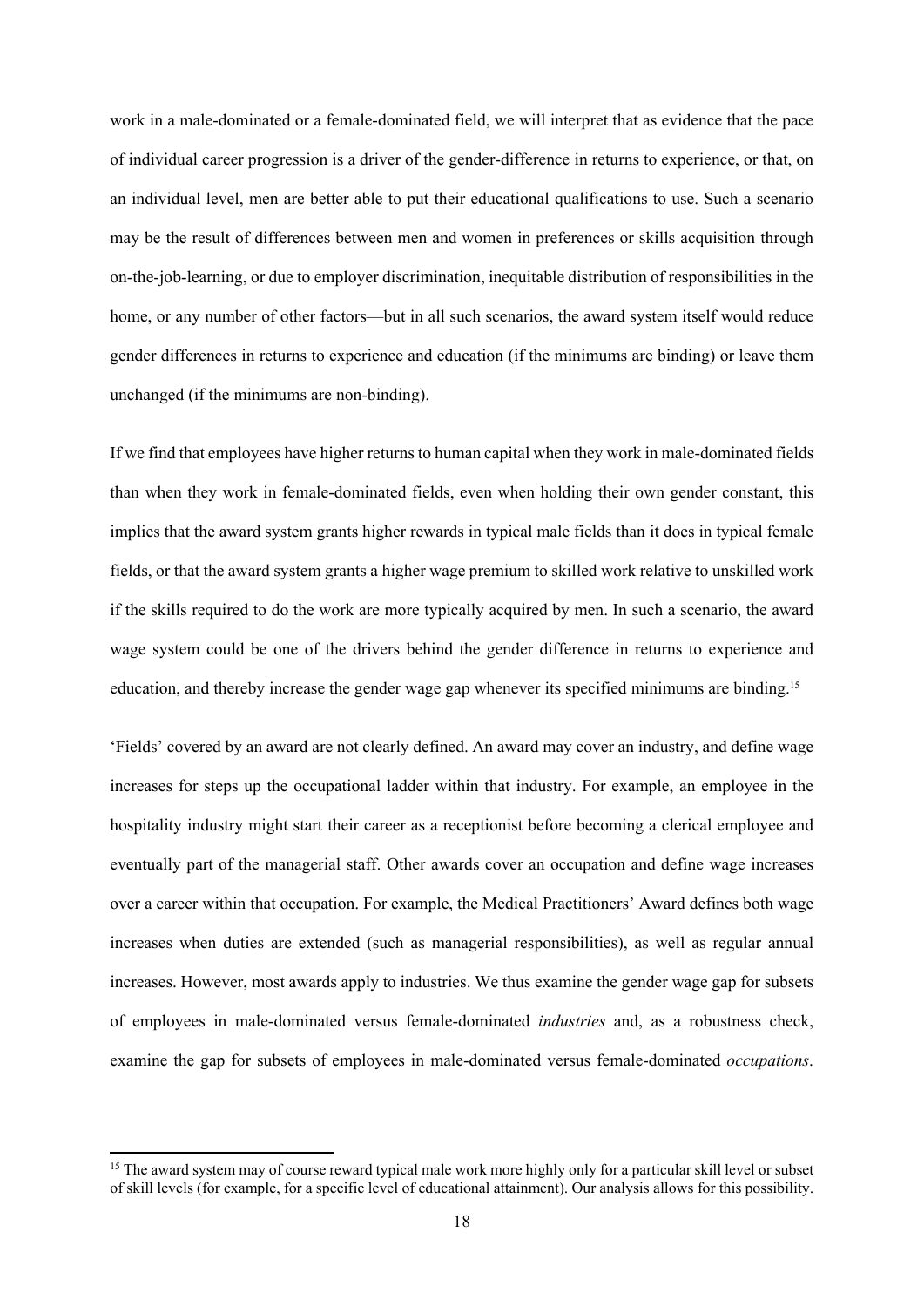work in a male-dominated or a female-dominated field, we will interpret that as evidence that the pace of individual career progression is a driver of the gender-difference in returns to experience, or that, on an individual level, men are better able to put their educational qualifications to use. Such a scenario may be the result of differences between men and women in preferences or skills acquisition through on-the-job-learning, or due to employer discrimination, inequitable distribution of responsibilities in the home, or any number of other factors—but in all such scenarios, the award system itself would reduce gender differences in returns to experience and education (if the minimums are binding) or leave them unchanged (if the minimums are non-binding).

If we find that employees have higher returns to human capital when they work in male-dominated fields than when they work in female-dominated fields, even when holding their own gender constant, this implies that the award system grants higher rewards in typical male fields than it does in typical female fields, or that the award system grants a higher wage premium to skilled work relative to unskilled work if the skills required to do the work are more typically acquired by men. In such a scenario, the award wage system could be one of the drivers behind the gender difference in returns to experience and education, and thereby increase the gender wage gap whenever its specified minimums are binding.15

'Fields' covered by an award are not clearly defined. An award may cover an industry, and define wage increases for steps up the occupational ladder within that industry. For example, an employee in the hospitality industry might start their career as a receptionist before becoming a clerical employee and eventually part of the managerial staff. Other awards cover an occupation and define wage increases over a career within that occupation. For example, the Medical Practitioners' Award defines both wage increases when duties are extended (such as managerial responsibilities), as well as regular annual increases. However, most awards apply to industries. We thus examine the gender wage gap for subsets of employees in male-dominated versus female-dominated *industries* and, as a robustness check, examine the gap for subsets of employees in male-dominated versus female-dominated *occupations*.

<sup>&</sup>lt;sup>15</sup> The award system may of course reward typical male work more highly only for a particular skill level or subset of skill levels (for example, for a specific level of educational attainment). Our analysis allows for this possibility.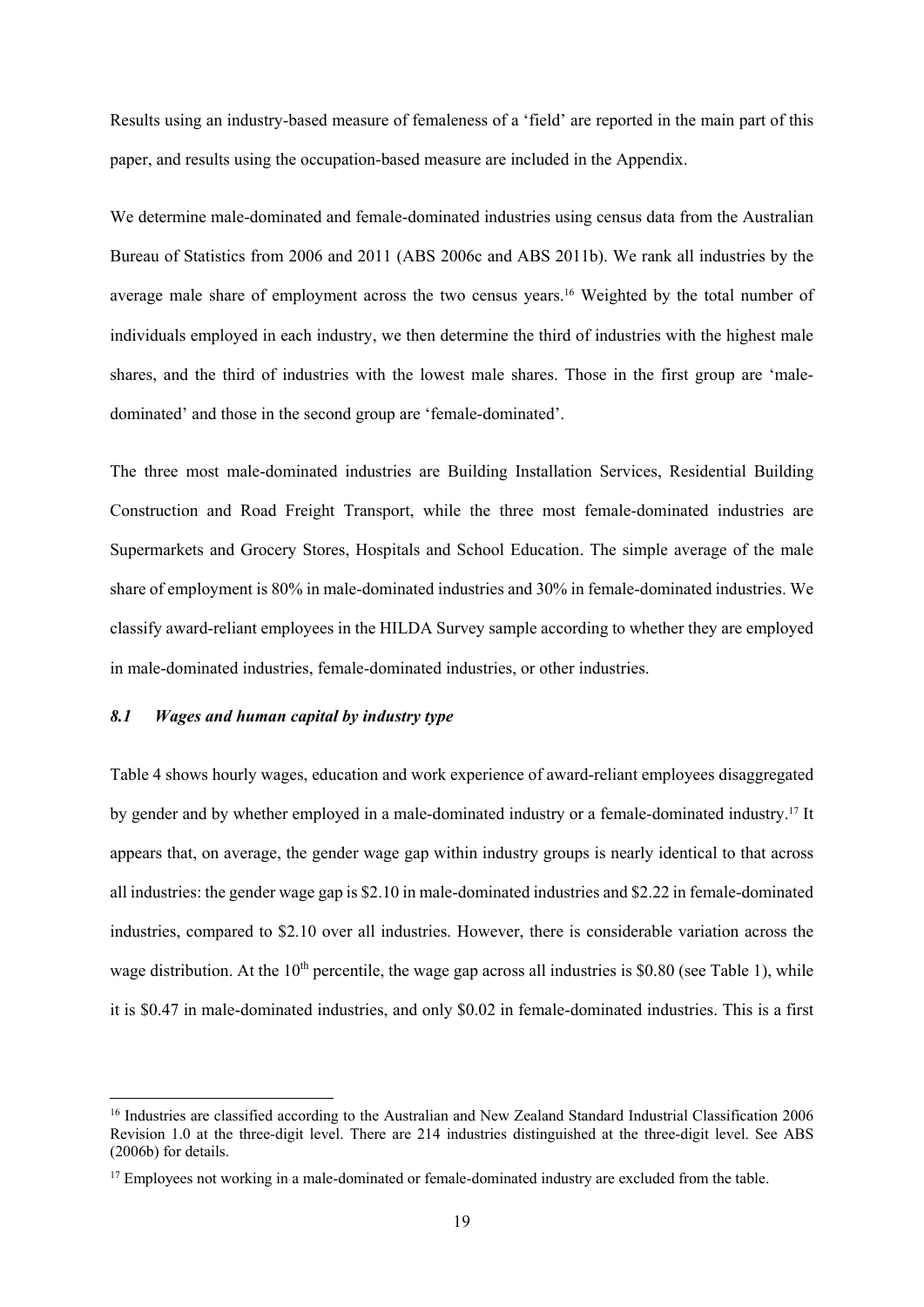Results using an industry-based measure of femaleness of a 'field' are reported in the main part of this paper, and results using the occupation-based measure are included in the Appendix.

We determine male-dominated and female-dominated industries using census data from the Australian Bureau of Statistics from 2006 and 2011 (ABS 2006c and ABS 2011b). We rank all industries by the average male share of employment across the two census years.<sup>16</sup> Weighted by the total number of individuals employed in each industry, we then determine the third of industries with the highest male shares, and the third of industries with the lowest male shares. Those in the first group are 'maledominated' and those in the second group are 'female-dominated'.

The three most male-dominated industries are Building Installation Services, Residential Building Construction and Road Freight Transport, while the three most female-dominated industries are Supermarkets and Grocery Stores, Hospitals and School Education. The simple average of the male share of employment is 80% in male-dominated industries and 30% in female-dominated industries. We classify award-reliant employees in the HILDA Survey sample according to whether they are employed in male-dominated industries, female-dominated industries, or other industries.

## *8.1 Wages and human capital by industry type*

Table 4 shows hourly wages, education and work experience of award-reliant employees disaggregated by gender and by whether employed in a male-dominated industry or a female-dominated industry.17 It appears that, on average, the gender wage gap within industry groups is nearly identical to that across all industries: the gender wage gap is \$2.10 in male-dominated industries and \$2.22 in female-dominated industries, compared to \$2.10 over all industries. However, there is considerable variation across the wage distribution. At the  $10<sup>th</sup>$  percentile, the wage gap across all industries is \$0.80 (see Table 1), while it is \$0.47 in male-dominated industries, and only \$0.02 in female-dominated industries. This is a first

<sup>&</sup>lt;sup>16</sup> Industries are classified according to the Australian and New Zealand Standard Industrial Classification 2006 Revision 1.0 at the three-digit level. There are 214 industries distinguished at the three-digit level. See ABS (2006b) for details.

<sup>&</sup>lt;sup>17</sup> Employees not working in a male-dominated or female-dominated industry are excluded from the table.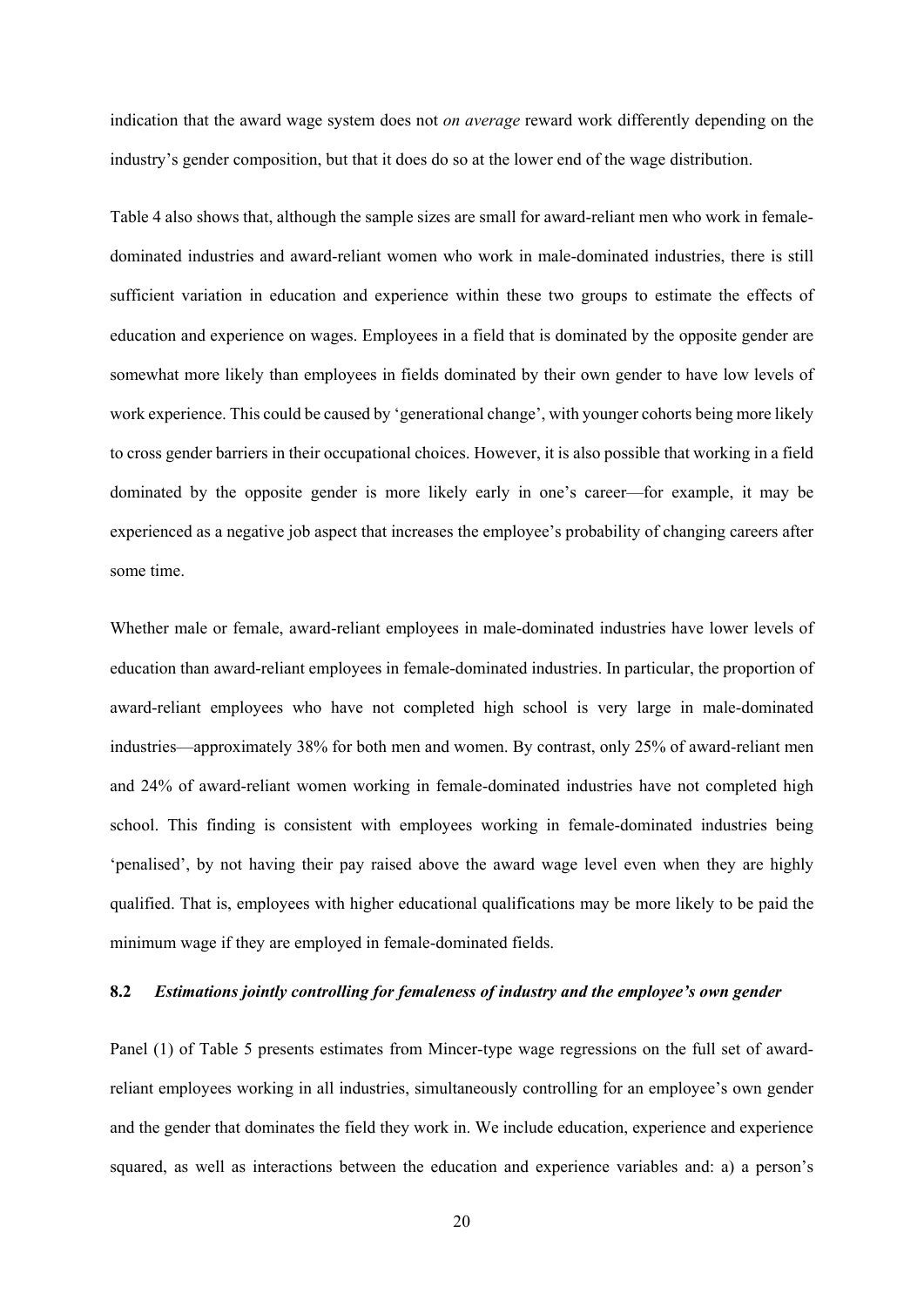indication that the award wage system does not *on average* reward work differently depending on the industry's gender composition, but that it does do so at the lower end of the wage distribution.

Table 4 also shows that, although the sample sizes are small for award-reliant men who work in femaledominated industries and award-reliant women who work in male-dominated industries, there is still sufficient variation in education and experience within these two groups to estimate the effects of education and experience on wages. Employees in a field that is dominated by the opposite gender are somewhat more likely than employees in fields dominated by their own gender to have low levels of work experience. This could be caused by 'generational change', with younger cohorts being more likely to cross gender barriers in their occupational choices. However, it is also possible that working in a field dominated by the opposite gender is more likely early in one's career—for example, it may be experienced as a negative job aspect that increases the employee's probability of changing careers after some time.

Whether male or female, award-reliant employees in male-dominated industries have lower levels of education than award-reliant employees in female-dominated industries. In particular, the proportion of award-reliant employees who have not completed high school is very large in male-dominated industries—approximately 38% for both men and women. By contrast, only 25% of award-reliant men and 24% of award-reliant women working in female-dominated industries have not completed high school. This finding is consistent with employees working in female-dominated industries being 'penalised', by not having their pay raised above the award wage level even when they are highly qualified. That is, employees with higher educational qualifications may be more likely to be paid the minimum wage if they are employed in female-dominated fields.

## **8.2** *Estimations jointly controlling for femaleness of industry and the employee's own gender*

Panel (1) of Table 5 presents estimates from Mincer-type wage regressions on the full set of awardreliant employees working in all industries, simultaneously controlling for an employee's own gender and the gender that dominates the field they work in. We include education, experience and experience squared, as well as interactions between the education and experience variables and: a) a person's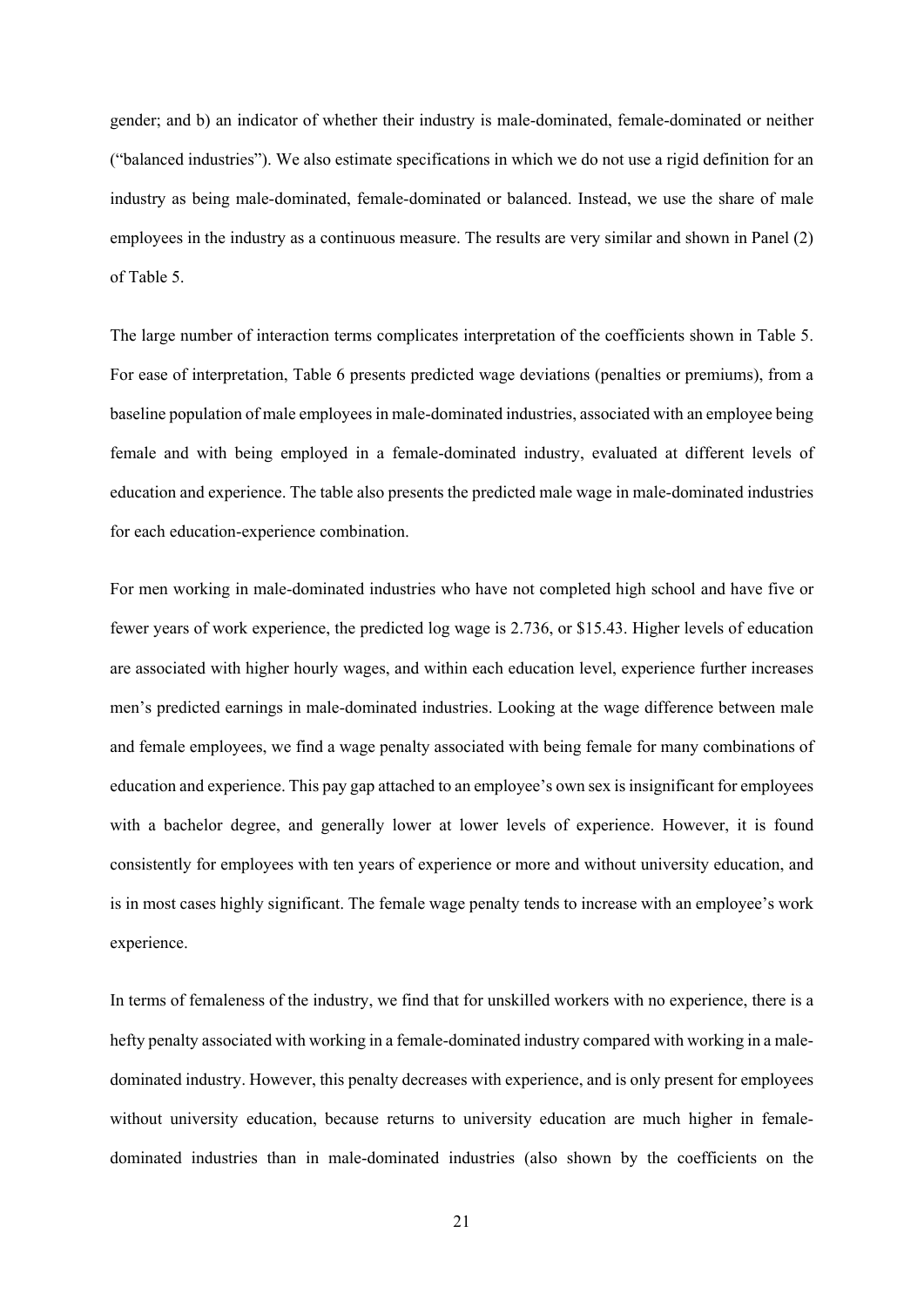gender; and b) an indicator of whether their industry is male-dominated, female-dominated or neither ("balanced industries"). We also estimate specifications in which we do not use a rigid definition for an industry as being male-dominated, female-dominated or balanced. Instead, we use the share of male employees in the industry as a continuous measure. The results are very similar and shown in Panel (2) of Table 5.

The large number of interaction terms complicates interpretation of the coefficients shown in Table 5. For ease of interpretation, Table 6 presents predicted wage deviations (penalties or premiums), from a baseline population of male employees in male-dominated industries, associated with an employee being female and with being employed in a female-dominated industry, evaluated at different levels of education and experience. The table also presents the predicted male wage in male-dominated industries for each education-experience combination.

For men working in male-dominated industries who have not completed high school and have five or fewer years of work experience, the predicted log wage is 2.736, or \$15.43. Higher levels of education are associated with higher hourly wages, and within each education level, experience further increases men's predicted earnings in male-dominated industries. Looking at the wage difference between male and female employees, we find a wage penalty associated with being female for many combinations of education and experience. This pay gap attached to an employee's own sex is insignificant for employees with a bachelor degree, and generally lower at lower levels of experience. However, it is found consistently for employees with ten years of experience or more and without university education, and is in most cases highly significant. The female wage penalty tends to increase with an employee's work experience.

In terms of femaleness of the industry, we find that for unskilled workers with no experience, there is a hefty penalty associated with working in a female-dominated industry compared with working in a maledominated industry. However, this penalty decreases with experience, and is only present for employees without university education, because returns to university education are much higher in femaledominated industries than in male-dominated industries (also shown by the coefficients on the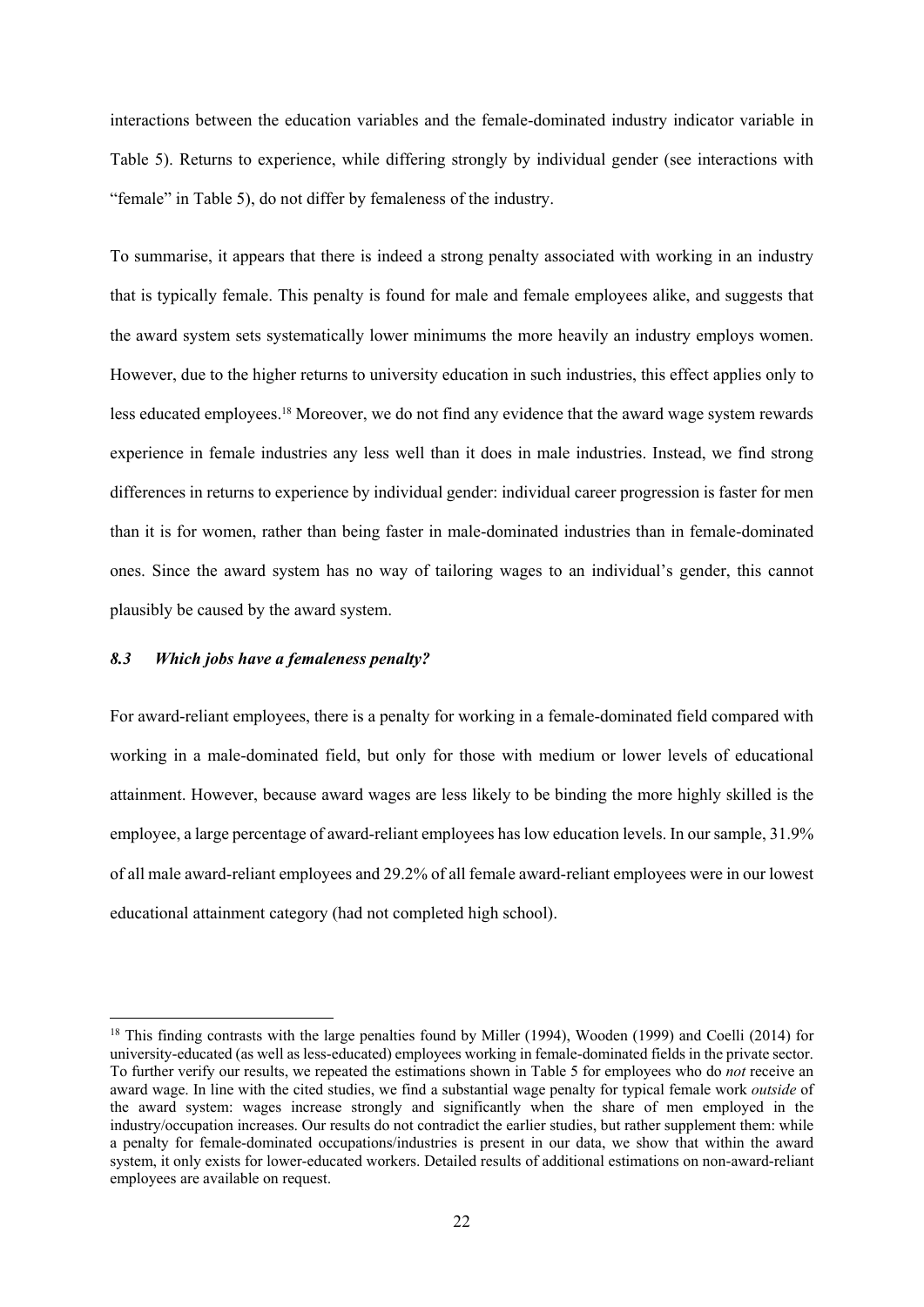interactions between the education variables and the female-dominated industry indicator variable in Table 5). Returns to experience, while differing strongly by individual gender (see interactions with "female" in Table 5), do not differ by femaleness of the industry.

To summarise, it appears that there is indeed a strong penalty associated with working in an industry that is typically female. This penalty is found for male and female employees alike, and suggests that the award system sets systematically lower minimums the more heavily an industry employs women. However, due to the higher returns to university education in such industries, this effect applies only to less educated employees.18 Moreover, we do not find any evidence that the award wage system rewards experience in female industries any less well than it does in male industries. Instead, we find strong differences in returns to experience by individual gender: individual career progression is faster for men than it is for women, rather than being faster in male-dominated industries than in female-dominated ones. Since the award system has no way of tailoring wages to an individual's gender, this cannot plausibly be caused by the award system.

## *8.3 Which jobs have a femaleness penalty?*

For award-reliant employees, there is a penalty for working in a female-dominated field compared with working in a male-dominated field, but only for those with medium or lower levels of educational attainment. However, because award wages are less likely to be binding the more highly skilled is the employee, a large percentage of award-reliant employees has low education levels. In our sample, 31.9% of all male award-reliant employees and 29.2% of all female award-reliant employees were in our lowest educational attainment category (had not completed high school).

<sup>&</sup>lt;sup>18</sup> This finding contrasts with the large penalties found by Miller (1994), Wooden (1999) and Coelli (2014) for university-educated (as well as less-educated) employees working in female-dominated fields in the private sector. To further verify our results, we repeated the estimations shown in Table 5 for employees who do *not* receive an award wage. In line with the cited studies, we find a substantial wage penalty for typical female work *outside* of the award system: wages increase strongly and significantly when the share of men employed in the industry/occupation increases. Our results do not contradict the earlier studies, but rather supplement them: while a penalty for female-dominated occupations/industries is present in our data, we show that within the award system, it only exists for lower-educated workers. Detailed results of additional estimations on non-award-reliant employees are available on request.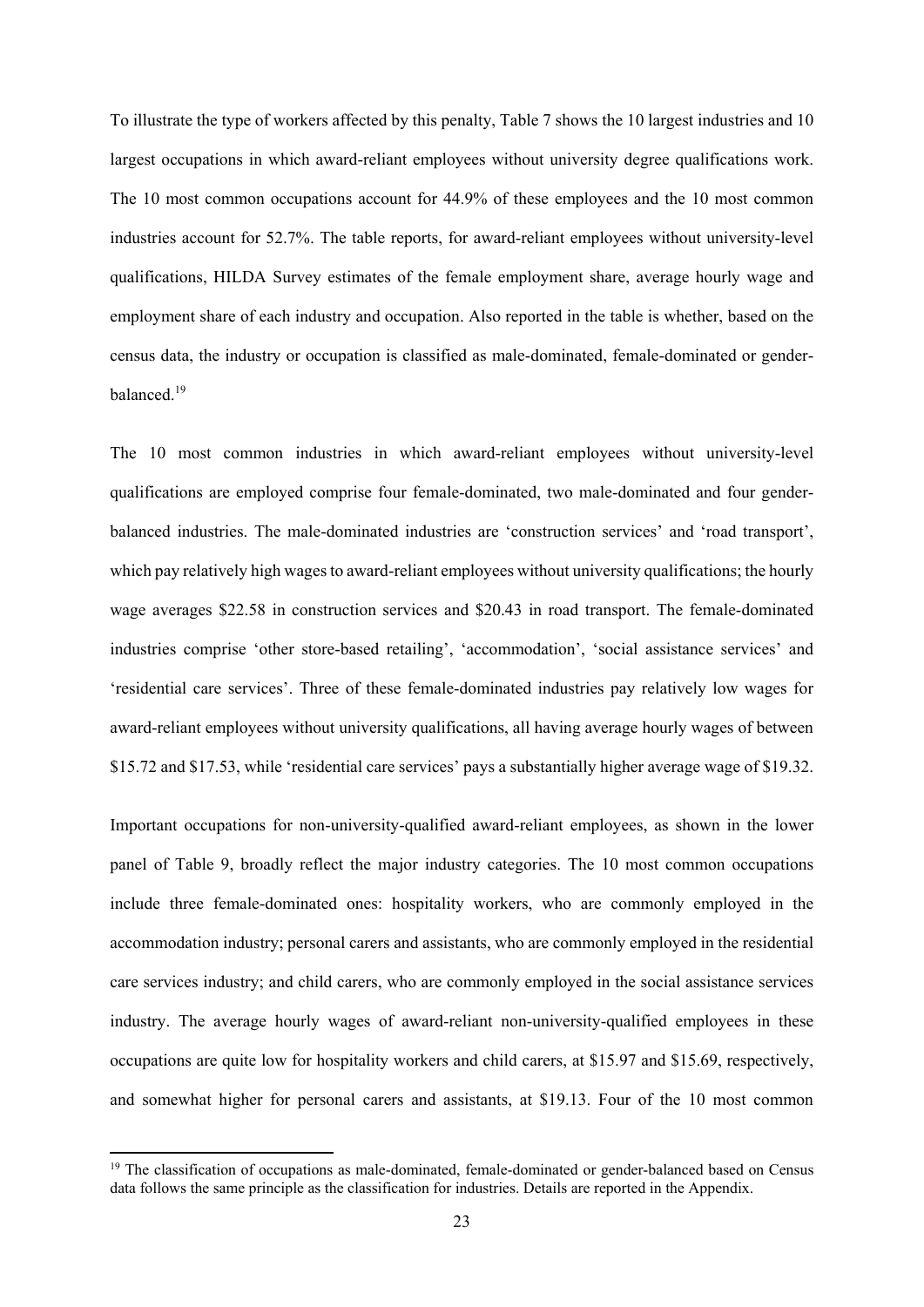To illustrate the type of workers affected by this penalty, Table 7 shows the 10 largest industries and 10 largest occupations in which award-reliant employees without university degree qualifications work. The 10 most common occupations account for 44.9% of these employees and the 10 most common industries account for 52.7%. The table reports, for award-reliant employees without university-level qualifications, HILDA Survey estimates of the female employment share, average hourly wage and employment share of each industry and occupation. Also reported in the table is whether, based on the census data, the industry or occupation is classified as male-dominated, female-dominated or genderbalanced.<sup>19</sup>

The 10 most common industries in which award-reliant employees without university-level qualifications are employed comprise four female-dominated, two male-dominated and four genderbalanced industries. The male-dominated industries are 'construction services' and 'road transport', which pay relatively high wages to award-reliant employees without university qualifications; the hourly wage averages \$22.58 in construction services and \$20.43 in road transport. The female-dominated industries comprise 'other store-based retailing', 'accommodation', 'social assistance services' and 'residential care services'. Three of these female-dominated industries pay relatively low wages for award-reliant employees without university qualifications, all having average hourly wages of between \$15.72 and \$17.53, while 'residential care services' pays a substantially higher average wage of \$19.32.

Important occupations for non-university-qualified award-reliant employees, as shown in the lower panel of Table 9, broadly reflect the major industry categories. The 10 most common occupations include three female-dominated ones: hospitality workers, who are commonly employed in the accommodation industry; personal carers and assistants, who are commonly employed in the residential care services industry; and child carers, who are commonly employed in the social assistance services industry. The average hourly wages of award-reliant non-university-qualified employees in these occupations are quite low for hospitality workers and child carers, at \$15.97 and \$15.69, respectively, and somewhat higher for personal carers and assistants, at \$19.13. Four of the 10 most common

<sup>&</sup>lt;sup>19</sup> The classification of occupations as male-dominated, female-dominated or gender-balanced based on Census data follows the same principle as the classification for industries. Details are reported in the Appendix.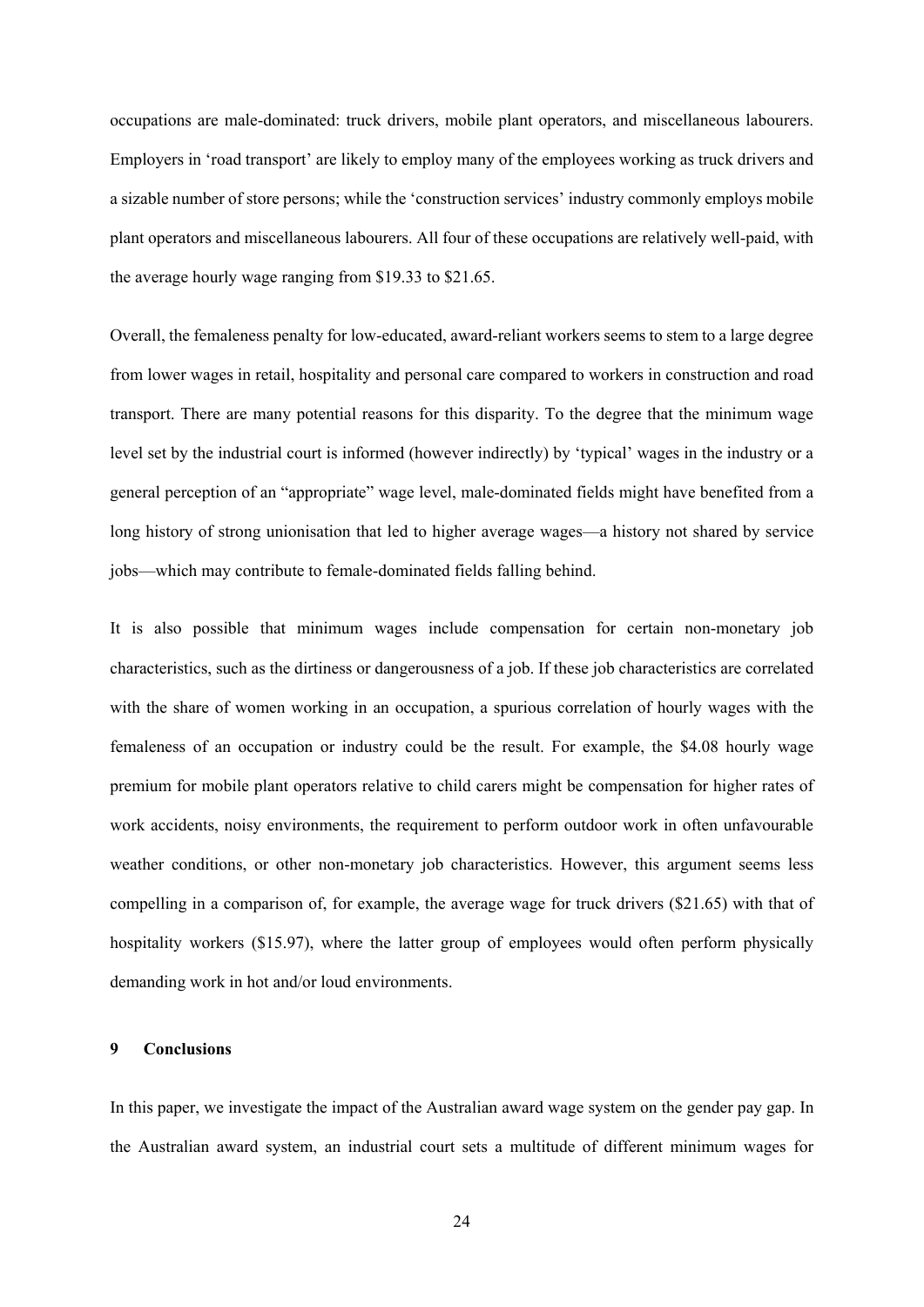occupations are male-dominated: truck drivers, mobile plant operators, and miscellaneous labourers. Employers in 'road transport' are likely to employ many of the employees working as truck drivers and a sizable number of store persons; while the 'construction services' industry commonly employs mobile plant operators and miscellaneous labourers. All four of these occupations are relatively well-paid, with the average hourly wage ranging from \$19.33 to \$21.65.

Overall, the femaleness penalty for low-educated, award-reliant workers seems to stem to a large degree from lower wages in retail, hospitality and personal care compared to workers in construction and road transport. There are many potential reasons for this disparity. To the degree that the minimum wage level set by the industrial court is informed (however indirectly) by 'typical' wages in the industry or a general perception of an "appropriate" wage level, male-dominated fields might have benefited from a long history of strong unionisation that led to higher average wages—a history not shared by service jobs—which may contribute to female-dominated fields falling behind.

It is also possible that minimum wages include compensation for certain non-monetary job characteristics, such as the dirtiness or dangerousness of a job. If these job characteristics are correlated with the share of women working in an occupation, a spurious correlation of hourly wages with the femaleness of an occupation or industry could be the result. For example, the \$4.08 hourly wage premium for mobile plant operators relative to child carers might be compensation for higher rates of work accidents, noisy environments, the requirement to perform outdoor work in often unfavourable weather conditions, or other non-monetary job characteristics. However, this argument seems less compelling in a comparison of, for example, the average wage for truck drivers (\$21.65) with that of hospitality workers (\$15.97), where the latter group of employees would often perform physically demanding work in hot and/or loud environments.

#### **9 Conclusions**

In this paper, we investigate the impact of the Australian award wage system on the gender pay gap. In the Australian award system, an industrial court sets a multitude of different minimum wages for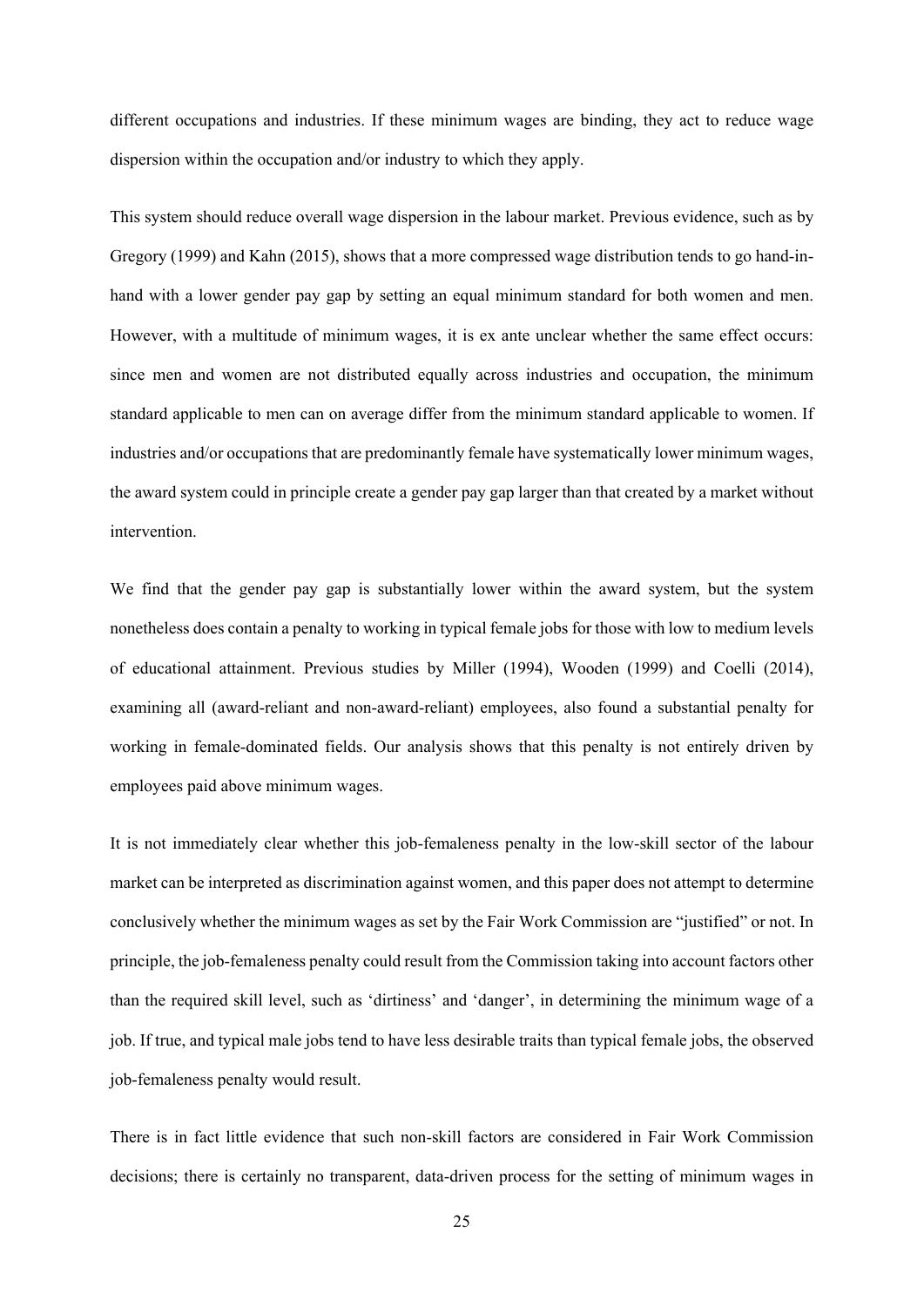different occupations and industries. If these minimum wages are binding, they act to reduce wage dispersion within the occupation and/or industry to which they apply.

This system should reduce overall wage dispersion in the labour market. Previous evidence, such as by Gregory (1999) and Kahn (2015), shows that a more compressed wage distribution tends to go hand-inhand with a lower gender pay gap by setting an equal minimum standard for both women and men. However, with a multitude of minimum wages, it is ex ante unclear whether the same effect occurs: since men and women are not distributed equally across industries and occupation, the minimum standard applicable to men can on average differ from the minimum standard applicable to women. If industries and/or occupations that are predominantly female have systematically lower minimum wages, the award system could in principle create a gender pay gap larger than that created by a market without intervention.

We find that the gender pay gap is substantially lower within the award system, but the system nonetheless does contain a penalty to working in typical female jobs for those with low to medium levels of educational attainment. Previous studies by Miller (1994), Wooden (1999) and Coelli (2014), examining all (award-reliant and non-award-reliant) employees, also found a substantial penalty for working in female-dominated fields. Our analysis shows that this penalty is not entirely driven by employees paid above minimum wages.

It is not immediately clear whether this job-femaleness penalty in the low-skill sector of the labour market can be interpreted as discrimination against women, and this paper does not attempt to determine conclusively whether the minimum wages as set by the Fair Work Commission are "justified" or not. In principle, the job-femaleness penalty could result from the Commission taking into account factors other than the required skill level, such as 'dirtiness' and 'danger', in determining the minimum wage of a job. If true, and typical male jobs tend to have less desirable traits than typical female jobs, the observed job-femaleness penalty would result.

There is in fact little evidence that such non-skill factors are considered in Fair Work Commission decisions; there is certainly no transparent, data-driven process for the setting of minimum wages in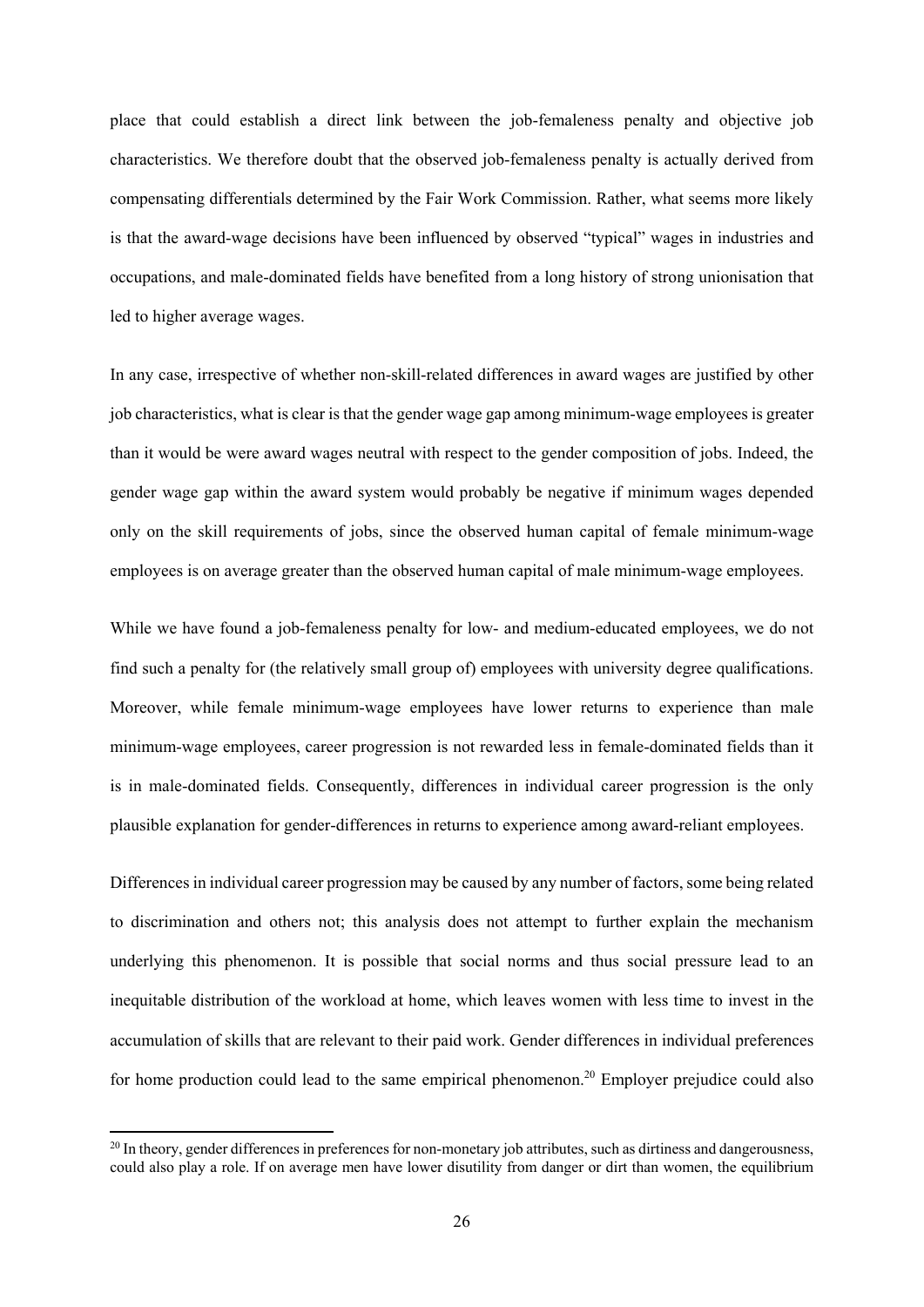place that could establish a direct link between the job-femaleness penalty and objective job characteristics. We therefore doubt that the observed job-femaleness penalty is actually derived from compensating differentials determined by the Fair Work Commission. Rather, what seems more likely is that the award-wage decisions have been influenced by observed "typical" wages in industries and occupations, and male-dominated fields have benefited from a long history of strong unionisation that led to higher average wages.

In any case, irrespective of whether non-skill-related differences in award wages are justified by other job characteristics, what is clear is that the gender wage gap among minimum-wage employees is greater than it would be were award wages neutral with respect to the gender composition of jobs. Indeed, the gender wage gap within the award system would probably be negative if minimum wages depended only on the skill requirements of jobs, since the observed human capital of female minimum-wage employees is on average greater than the observed human capital of male minimum-wage employees.

While we have found a job-femaleness penalty for low- and medium-educated employees, we do not find such a penalty for (the relatively small group of) employees with university degree qualifications. Moreover, while female minimum-wage employees have lower returns to experience than male minimum-wage employees, career progression is not rewarded less in female-dominated fields than it is in male-dominated fields. Consequently, differences in individual career progression is the only plausible explanation for gender-differences in returns to experience among award-reliant employees.

Differences in individual career progression may be caused by any number of factors, some being related to discrimination and others not; this analysis does not attempt to further explain the mechanism underlying this phenomenon. It is possible that social norms and thus social pressure lead to an inequitable distribution of the workload at home, which leaves women with less time to invest in the accumulation of skills that are relevant to their paid work. Gender differences in individual preferences for home production could lead to the same empirical phenomenon.<sup>20</sup> Employer prejudice could also

 $^{20}$  In theory, gender differences in preferences for non-monetary job attributes, such as dirtiness and dangerousness, could also play a role. If on average men have lower disutility from danger or dirt than women, the equilibrium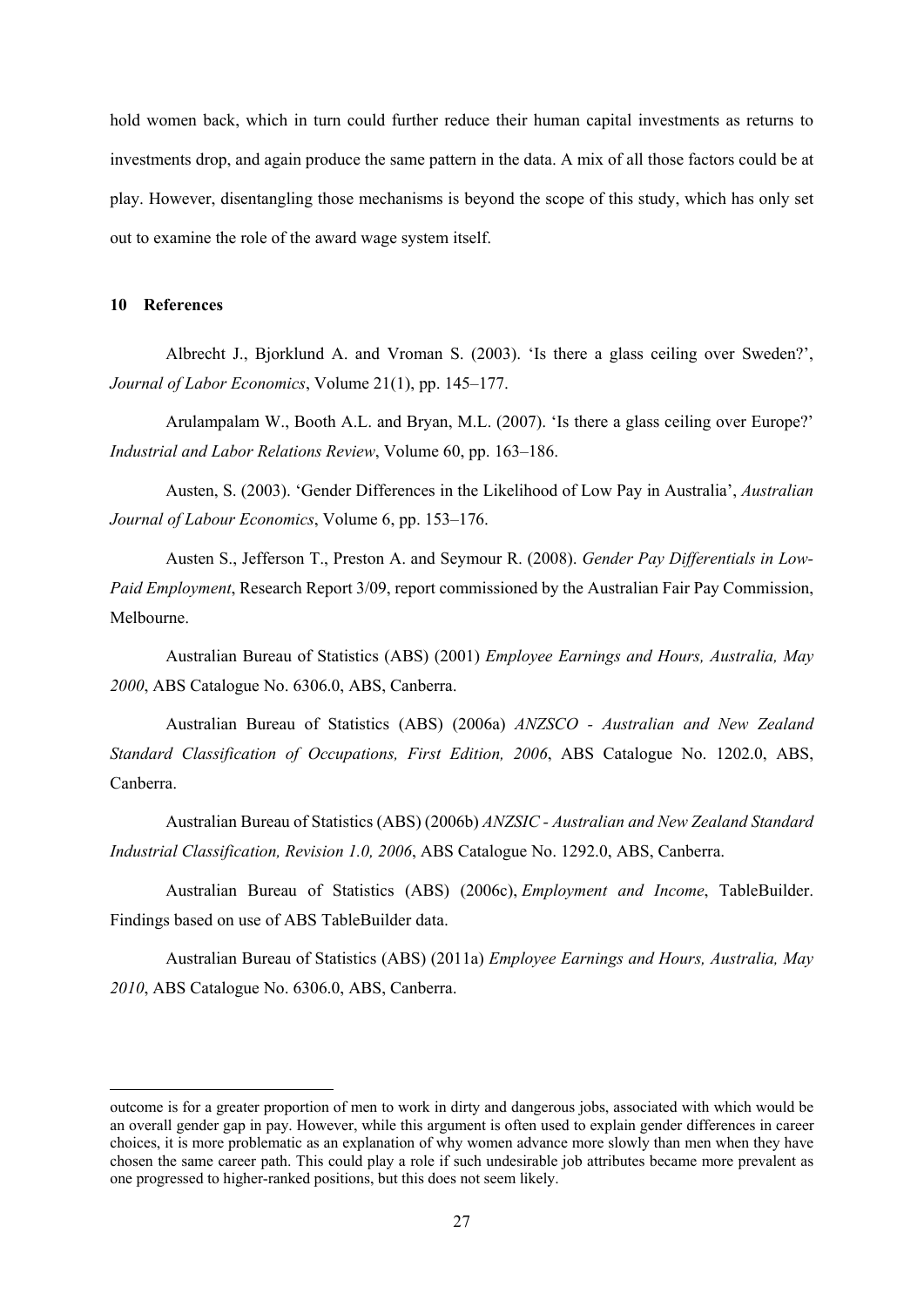hold women back, which in turn could further reduce their human capital investments as returns to investments drop, and again produce the same pattern in the data. A mix of all those factors could be at play. However, disentangling those mechanisms is beyond the scope of this study, which has only set out to examine the role of the award wage system itself.

#### **10 References**

Albrecht J., Bjorklund A. and Vroman S. (2003). 'Is there a glass ceiling over Sweden?', *Journal of Labor Economics*, Volume 21(1), pp. 145–177.

Arulampalam W., Booth A.L. and Bryan, M.L. (2007). 'Is there a glass ceiling over Europe?' *Industrial and Labor Relations Review*, Volume 60, pp. 163–186.

Austen, S. (2003). 'Gender Differences in the Likelihood of Low Pay in Australia', *Australian Journal of Labour Economics*, Volume 6, pp. 153–176.

Austen S., Jefferson T., Preston A. and Seymour R. (2008). *Gender Pay Differentials in Low-Paid Employment*, Research Report 3/09, report commissioned by the Australian Fair Pay Commission, Melbourne.

Australian Bureau of Statistics (ABS) (2001) *Employee Earnings and Hours, Australia, May 2000*, ABS Catalogue No. 6306.0, ABS, Canberra.

Australian Bureau of Statistics (ABS) (2006a) *ANZSCO - Australian and New Zealand Standard Classification of Occupations, First Edition, 2006*, ABS Catalogue No. 1202.0, ABS, Canberra.

Australian Bureau of Statistics (ABS) (2006b) *ANZSIC - Australian and New Zealand Standard Industrial Classification, Revision 1.0, 2006*, ABS Catalogue No. 1292.0, ABS, Canberra.

Australian Bureau of Statistics (ABS) (2006c), *Employment and Income*, TableBuilder. Findings based on use of ABS TableBuilder data.

Australian Bureau of Statistics (ABS) (2011a) *Employee Earnings and Hours, Australia, May 2010*, ABS Catalogue No. 6306.0, ABS, Canberra.

outcome is for a greater proportion of men to work in dirty and dangerous jobs, associated with which would be an overall gender gap in pay. However, while this argument is often used to explain gender differences in career choices, it is more problematic as an explanation of why women advance more slowly than men when they have chosen the same career path. This could play a role if such undesirable job attributes became more prevalent as one progressed to higher-ranked positions, but this does not seem likely.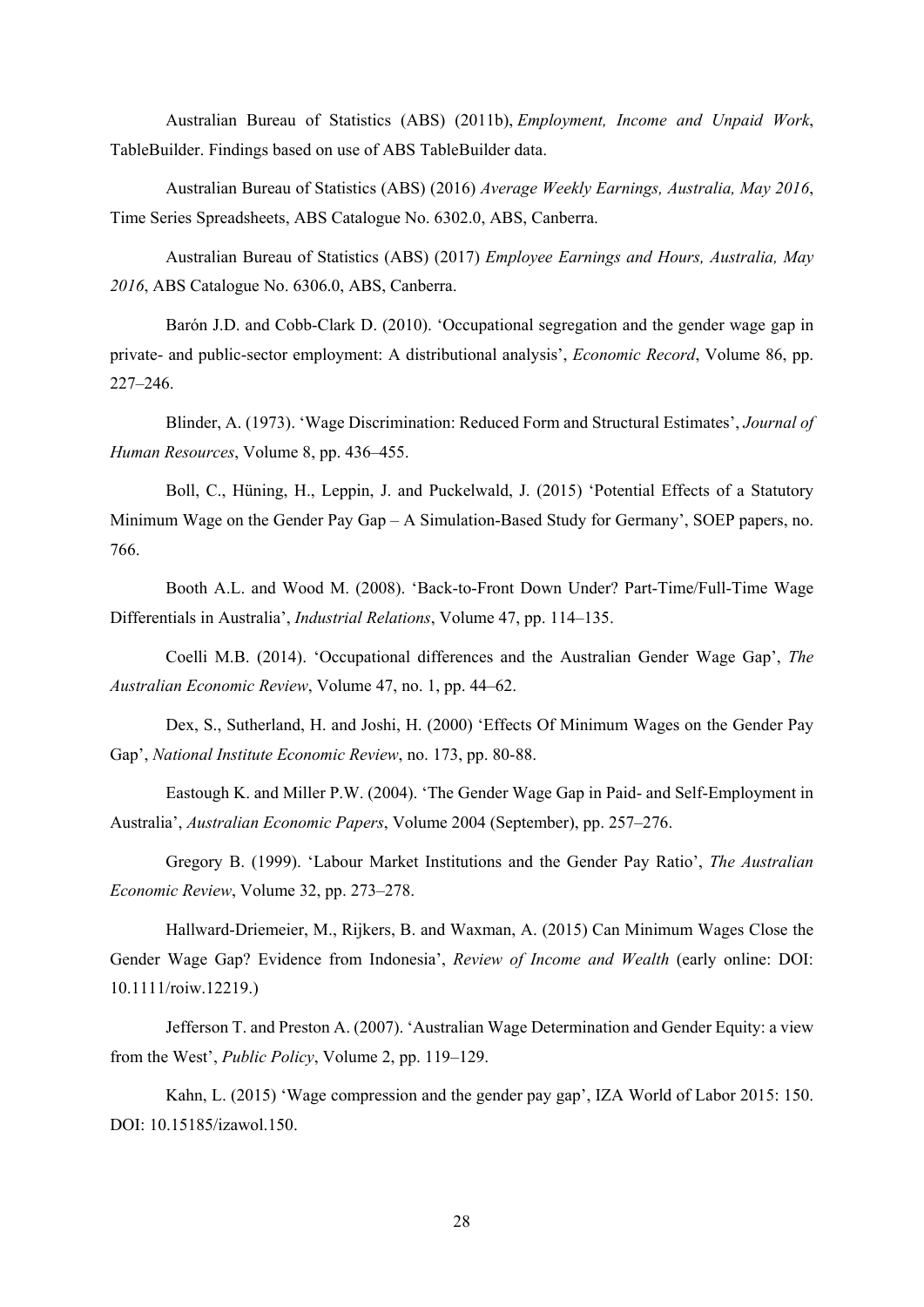Australian Bureau of Statistics (ABS) (2011b), *Employment, Income and Unpaid Work*, TableBuilder. Findings based on use of ABS TableBuilder data.

Australian Bureau of Statistics (ABS) (2016) *Average Weekly Earnings, Australia, May 2016*, Time Series Spreadsheets, ABS Catalogue No. 6302.0, ABS, Canberra.

Australian Bureau of Statistics (ABS) (2017) *Employee Earnings and Hours, Australia, May 2016*, ABS Catalogue No. 6306.0, ABS, Canberra.

Barón J.D. and Cobb-Clark D. (2010). 'Occupational segregation and the gender wage gap in private- and public-sector employment: A distributional analysis', *Economic Record*, Volume 86, pp. 227–246.

Blinder, A. (1973). 'Wage Discrimination: Reduced Form and Structural Estimates', *Journal of Human Resources*, Volume 8, pp. 436–455.

Boll, C., Hüning, H., Leppin, J. and Puckelwald, J. (2015) 'Potential Effects of a Statutory Minimum Wage on the Gender Pay Gap – A Simulation-Based Study for Germany', SOEP papers, no. 766.

Booth A.L. and Wood M. (2008). 'Back-to-Front Down Under? Part-Time/Full-Time Wage Differentials in Australia', *Industrial Relations*, Volume 47, pp. 114–135.

Coelli M.B. (2014). 'Occupational differences and the Australian Gender Wage Gap', *The Australian Economic Review*, Volume 47, no. 1, pp. 44–62.

Dex, S., Sutherland, H. and Joshi, H. (2000) 'Effects Of Minimum Wages on the Gender Pay Gap', *National Institute Economic Review*, no. 173, pp. 80-88.

Eastough K. and Miller P.W. (2004). 'The Gender Wage Gap in Paid- and Self-Employment in Australia', *Australian Economic Papers*, Volume 2004 (September), pp. 257–276.

Gregory B. (1999). 'Labour Market Institutions and the Gender Pay Ratio', *The Australian Economic Review*, Volume 32, pp. 273–278.

Hallward-Driemeier, M., Rijkers, B. and Waxman, A. (2015) Can Minimum Wages Close the Gender Wage Gap? Evidence from Indonesia', *Review of Income and Wealth* (early online: DOI: 10.1111/roiw.12219.)

Jefferson T. and Preston A. (2007). 'Australian Wage Determination and Gender Equity: a view from the West', *Public Policy*, Volume 2, pp. 119–129.

Kahn, L. (2015) 'Wage compression and the gender pay gap', IZA World of Labor 2015: 150. DOI: 10.15185/izawol.150.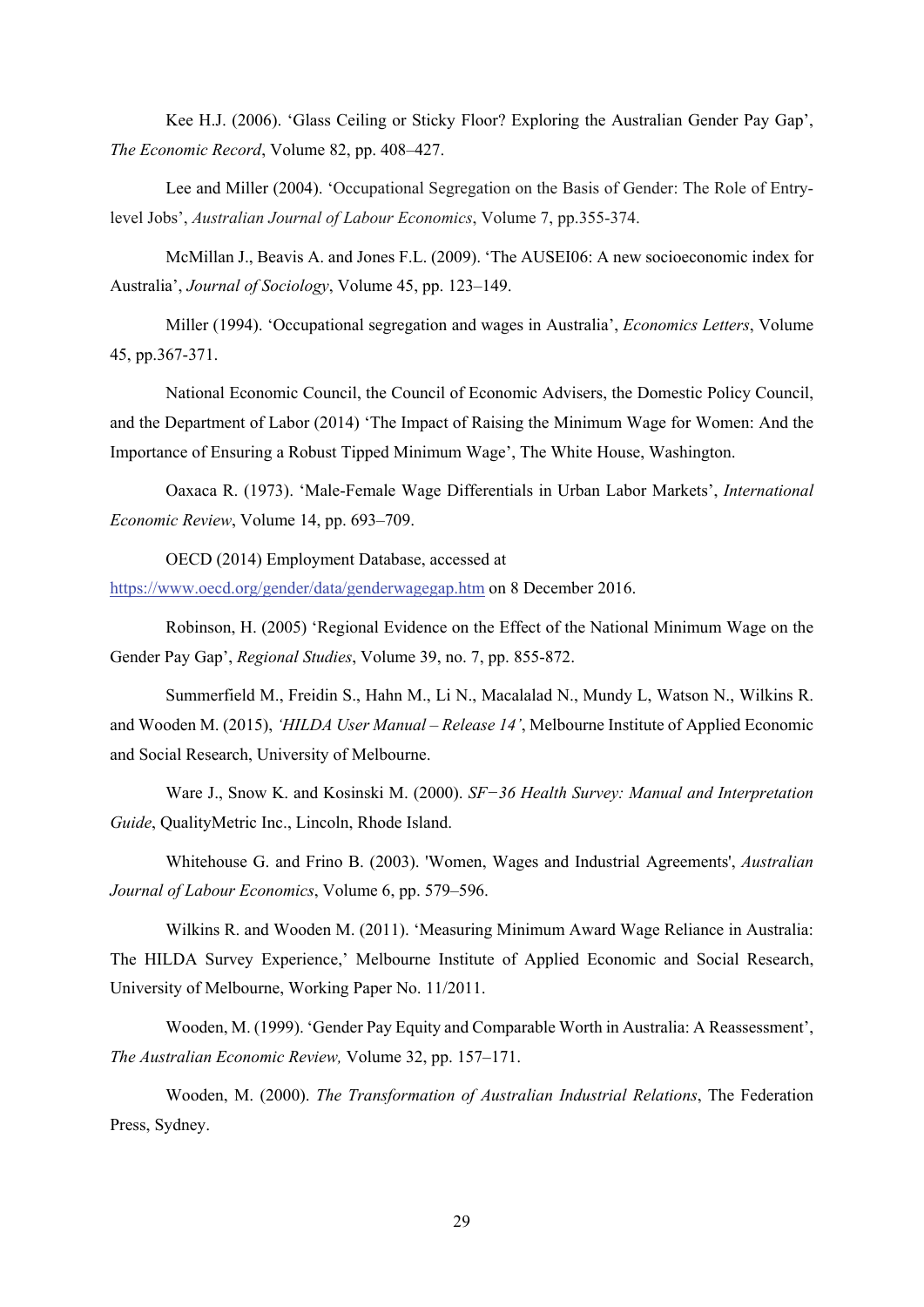Kee H.J. (2006). 'Glass Ceiling or Sticky Floor? Exploring the Australian Gender Pay Gap', *The Economic Record*, Volume 82, pp. 408–427.

Lee and Miller (2004). 'Occupational Segregation on the Basis of Gender: The Role of Entrylevel Jobs', *Australian Journal of Labour Economics*, Volume 7, pp.355-374.

McMillan J., Beavis A. and Jones F.L. (2009). 'The AUSEI06: A new socioeconomic index for Australia', *Journal of Sociology*, Volume 45, pp. 123–149.

Miller (1994). 'Occupational segregation and wages in Australia', *Economics Letters*, Volume 45, pp.367-371.

National Economic Council, the Council of Economic Advisers, the Domestic Policy Council, and the Department of Labor (2014) 'The Impact of Raising the Minimum Wage for Women: And the Importance of Ensuring a Robust Tipped Minimum Wage', The White House, Washington.

Oaxaca R. (1973). 'Male-Female Wage Differentials in Urban Labor Markets', *International Economic Review*, Volume 14, pp. 693–709.

OECD (2014) Employment Database, accessed at https://www.oecd.org/gender/data/genderwagegap.htm on 8 December 2016.

Robinson, H. (2005) 'Regional Evidence on the Effect of the National Minimum Wage on the Gender Pay Gap', *Regional Studies*, Volume 39, no. 7, pp. 855-872.

Summerfield M., Freidin S., Hahn M., Li N., Macalalad N., Mundy L, Watson N., Wilkins R. and Wooden M. (2015), *'HILDA User Manual – Release 14'*, Melbourne Institute of Applied Economic and Social Research, University of Melbourne.

Ware J., Snow K. and Kosinski M. (2000). *SF−36 Health Survey: Manual and Interpretation Guide*, QualityMetric Inc., Lincoln, Rhode Island.

Whitehouse G. and Frino B. (2003). 'Women, Wages and Industrial Agreements', *Australian Journal of Labour Economics*, Volume 6, pp. 579–596.

Wilkins R. and Wooden M. (2011). 'Measuring Minimum Award Wage Reliance in Australia: The HILDA Survey Experience,' Melbourne Institute of Applied Economic and Social Research, University of Melbourne, Working Paper No. 11/2011.

Wooden, M. (1999). 'Gender Pay Equity and Comparable Worth in Australia: A Reassessment', *The Australian Economic Review,* Volume 32, pp. 157–171.

Wooden, M. (2000). *The Transformation of Australian Industrial Relations*, The Federation Press, Sydney.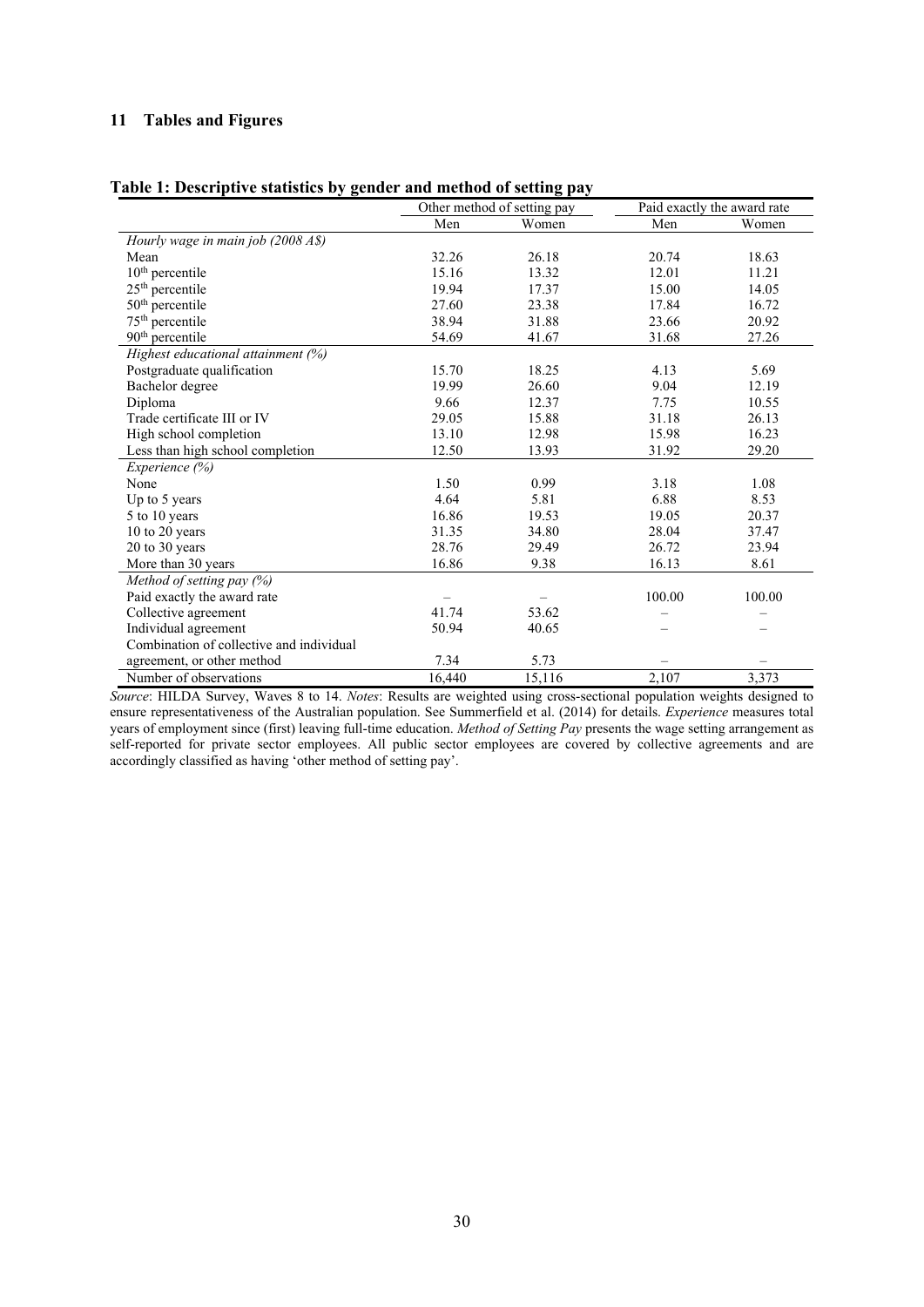## **11 Tables and Figures**

| Table 1: Descriptive statistics by gender and method of setting pay |
|---------------------------------------------------------------------|
|---------------------------------------------------------------------|

|                                          |        | Other method of setting pay | Paid exactly the award rate |        |
|------------------------------------------|--------|-----------------------------|-----------------------------|--------|
|                                          | Men    | Women                       | Men                         | Women  |
| Hourly wage in main job (2008 A\$)       |        |                             |                             |        |
| Mean                                     | 32.26  | 26.18                       | 20.74                       | 18.63  |
| $10th$ percentile                        | 15.16  | 13.32                       | 12.01                       | 11.21  |
| $25th$ percentile                        | 19.94  | 17.37                       | 15.00                       | 14.05  |
| $50th$ percentile                        | 27.60  | 23.38                       | 17.84                       | 16.72  |
| 75 <sup>th</sup> percentile              | 38.94  | 31.88                       | 23.66                       | 20.92  |
| 90 <sup>th</sup> percentile              | 54.69  | 41.67                       | 31.68                       | 27.26  |
| Highest educational attainment (%)       |        |                             |                             |        |
| Postgraduate qualification               | 15.70  | 18.25                       | 4.13                        | 5.69   |
| Bachelor degree                          | 19.99  | 26.60                       | 9.04                        | 12.19  |
| Diploma                                  | 9.66   | 12.37                       | 7.75                        | 10.55  |
| Trade certificate III or IV              | 29.05  | 15.88                       | 31.18                       | 26.13  |
| High school completion                   | 13.10  | 12.98                       | 15.98                       | 16.23  |
| Less than high school completion         | 12.50  | 13.93                       | 31.92                       | 29.20  |
| Experience (%)                           |        |                             |                             |        |
| None                                     | 1.50   | 0.99                        | 3.18                        | 1.08   |
| Up to 5 years                            | 4.64   | 5.81                        | 6.88                        | 8.53   |
| 5 to 10 years                            | 16.86  | 19.53                       | 19.05                       | 20.37  |
| 10 to 20 years                           | 31.35  | 34.80                       | 28.04                       | 37.47  |
| 20 to 30 years                           | 28.76  | 29.49                       | 26.72                       | 23.94  |
| More than 30 years                       | 16.86  | 9.38                        | 16.13                       | 8.61   |
| Method of setting pay (%)                |        |                             |                             |        |
| Paid exactly the award rate              |        |                             | 100.00                      | 100.00 |
| Collective agreement                     | 41.74  | 53.62                       |                             |        |
| Individual agreement                     | 50.94  | 40.65                       |                             |        |
| Combination of collective and individual |        |                             |                             |        |
| agreement, or other method               | 7.34   | 5.73                        |                             |        |
| Number of observations                   | 16,440 | 15,116                      | 2,107                       | 3,373  |

*Source*: HILDA Survey, Waves 8 to 14. *Notes*: Results are weighted using cross-sectional population weights designed to ensure representativeness of the Australian population. See Summerfield et al. (2014) for details. *Experience* measures total years of employment since (first) leaving full-time education. *Method of Setting Pay* presents the wage setting arrangement as self-reported for private sector employees. All public sector employees are covered by collective agreements and are accordingly classified as having 'other method of setting pay'.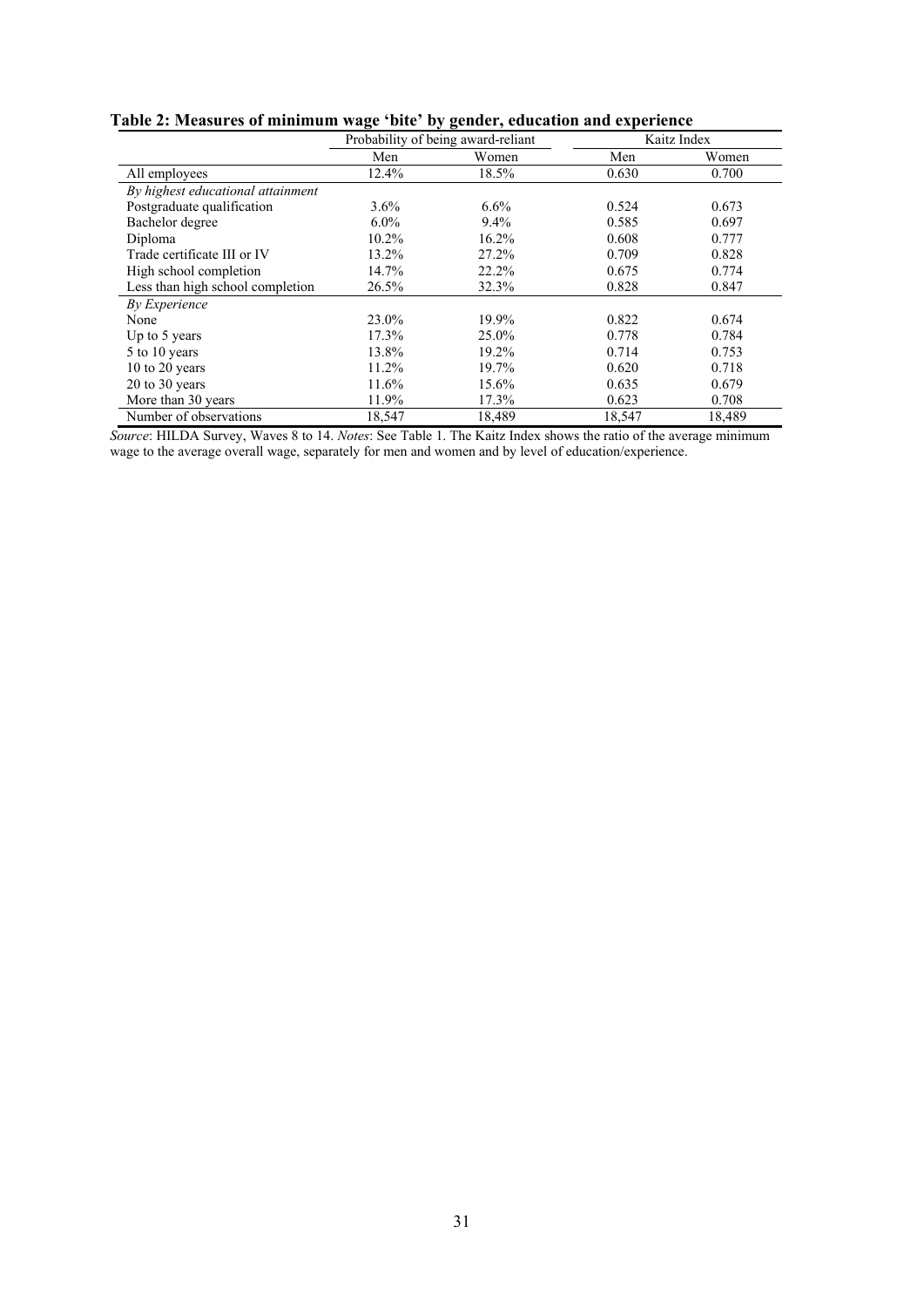| Table 2: Measures of minimum wage 'bite' by gender, education and experience |  |  |  |
|------------------------------------------------------------------------------|--|--|--|
|                                                                              |  |  |  |

|                                   | Probability of being award-reliant |        | Kaitz Index |        |
|-----------------------------------|------------------------------------|--------|-------------|--------|
|                                   | Men                                | Women  | Men         | Women  |
| All employees                     | 12.4%                              | 18.5%  | 0.630       | 0.700  |
| By highest educational attainment |                                    |        |             |        |
| Postgraduate qualification        | 3.6%                               | 6.6%   | 0.524       | 0.673  |
| Bachelor degree                   | $6.0\%$                            | 9.4%   | 0.585       | 0.697  |
| Diploma                           | 10.2%                              | 16.2%  | 0.608       | 0.777  |
| Trade certificate III or IV       | 13.2%                              | 27.2%  | 0.709       | 0.828  |
| High school completion            | 14.7%                              | 22.2%  | 0.675       | 0.774  |
| Less than high school completion  | 26.5%                              | 32.3%  | 0.828       | 0.847  |
| By Experience                     |                                    |        |             |        |
| None                              | 23.0%                              | 19.9%  | 0.822       | 0.674  |
| Up to 5 years                     | 17.3%                              | 25.0%  | 0.778       | 0.784  |
| 5 to 10 years                     | 13.8%                              | 19.2%  | 0.714       | 0.753  |
| 10 to 20 years                    | 11.2%                              | 19.7%  | 0.620       | 0.718  |
| $20$ to $30$ years                | 11.6%                              | 15.6%  | 0.635       | 0.679  |
| More than 30 years                | 11.9%                              | 17.3%  | 0.623       | 0.708  |
| Number of observations            | 18,547                             | 18,489 | 18,547      | 18,489 |

*Source*: HILDA Survey, Waves 8 to 14. *Notes*: See Table 1. The Kaitz Index shows the ratio of the average minimum wage to the average overall wage, separately for men and women and by level of education/experience.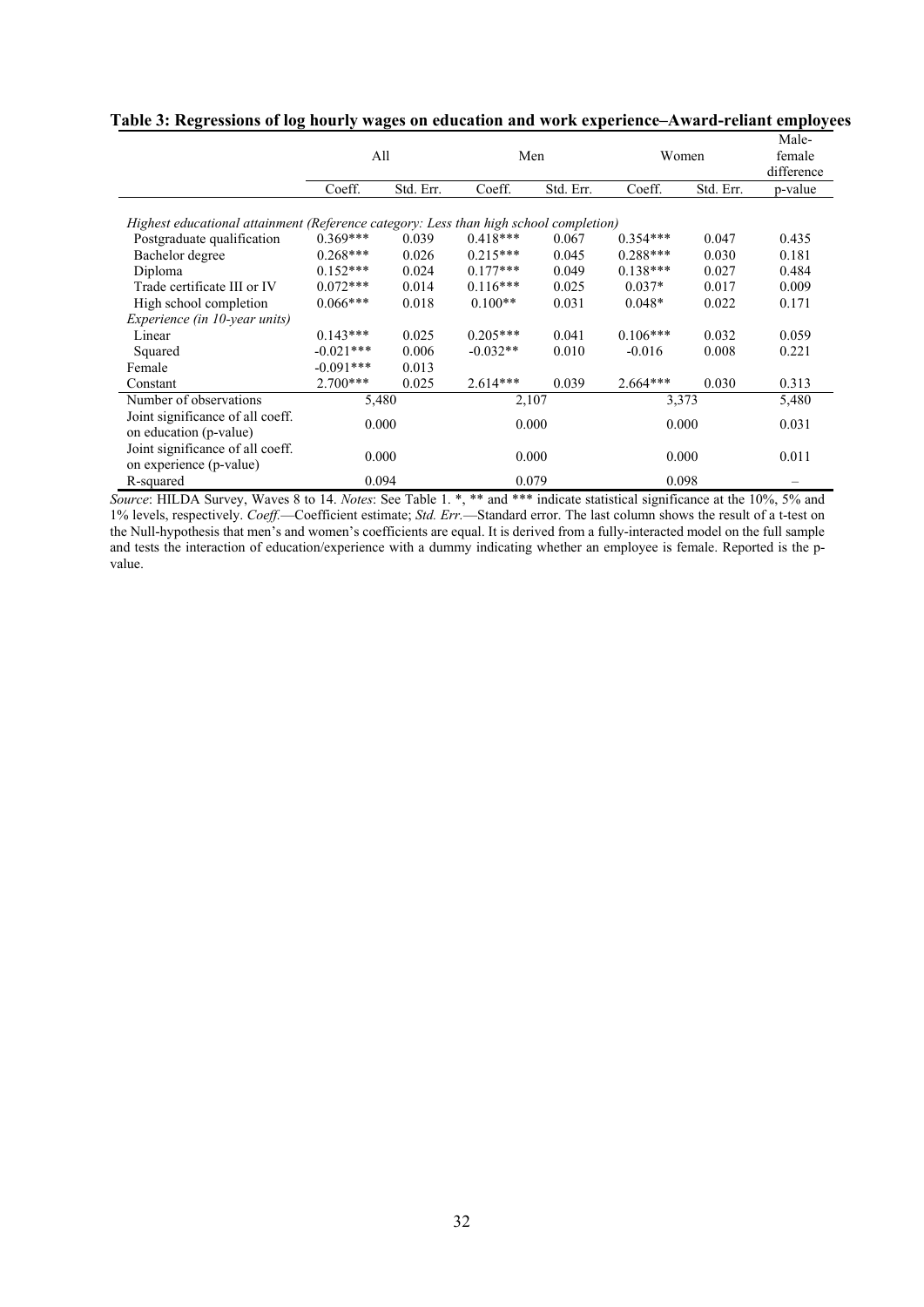|                                                                                       | All         |           |            | Men       |            | Women     |         |  |
|---------------------------------------------------------------------------------------|-------------|-----------|------------|-----------|------------|-----------|---------|--|
|                                                                                       | Coeff.      | Std. Err. | Coeff.     | Std. Err. | Coeff.     | Std. Err. | p-value |  |
| Highest educational attainment (Reference category: Less than high school completion) |             |           |            |           |            |           |         |  |
| Postgraduate qualification                                                            | $0.369***$  | 0.039     | $0.418***$ | 0.067     | $0.354***$ | 0.047     | 0.435   |  |
| Bachelor degree                                                                       | $0.268***$  | 0.026     | $0.215***$ | 0.045     | $0.288***$ | 0.030     | 0.181   |  |
| Diploma                                                                               | $0.152***$  | 0.024     | $0.177***$ | 0.049     | $0.138***$ | 0.027     | 0.484   |  |
| Trade certificate III or IV                                                           | $0.072***$  | 0.014     | $0.116***$ | 0.025     | $0.037*$   | 0.017     | 0.009   |  |
| High school completion                                                                | $0.066***$  | 0.018     | $0.100**$  | 0.031     | $0.048*$   | 0.022     | 0.171   |  |
| Experience (in 10-year units)                                                         |             |           |            |           |            |           |         |  |
| Linear                                                                                | $0.143***$  | 0.025     | $0.205***$ | 0.041     | $0.106***$ | 0.032     | 0.059   |  |
| Squared                                                                               | $-0.021***$ | 0.006     | $-0.032**$ | 0.010     | $-0.016$   | 0.008     | 0.221   |  |
| Female                                                                                | $-0.091***$ | 0.013     |            |           |            |           |         |  |
| Constant                                                                              | $2.700***$  | 0.025     | $2.614***$ | 0.039     | $2.664***$ | 0.030     | 0.313   |  |
| Number of observations                                                                | 5,480       |           | 2,107      |           |            | 3,373     | 5,480   |  |
| Joint significance of all coeff.<br>on education (p-value)                            | 0.000       |           | 0.000      |           |            | 0.000     | 0.031   |  |
| Joint significance of all coeff.<br>on experience (p-value)                           | 0.000       |           | 0.000      |           |            | 0.000     | 0.011   |  |
| R-squared                                                                             | 0.094       |           | 0.079      |           |            | 0.098     |         |  |

**Table 3: Regressions of log hourly wages on education and work experience–Award-reliant employees** 

*Source*: HILDA Survey, Waves 8 to 14. *Notes*: See Table 1. \*, \*\* and \*\*\* indicate statistical significance at the 10%, 5% and 1% levels, respectively. *Coeff.*—Coefficient estimate; *Std. Err.*—Standard error. The last column shows the result of a t-test on the Null-hypothesis that men's and women's coefficients are equal. It is derived from a fully-interacted model on the full sample and tests the interaction of education/experience with a dummy indicating whether an employee is female. Reported is the pvalue.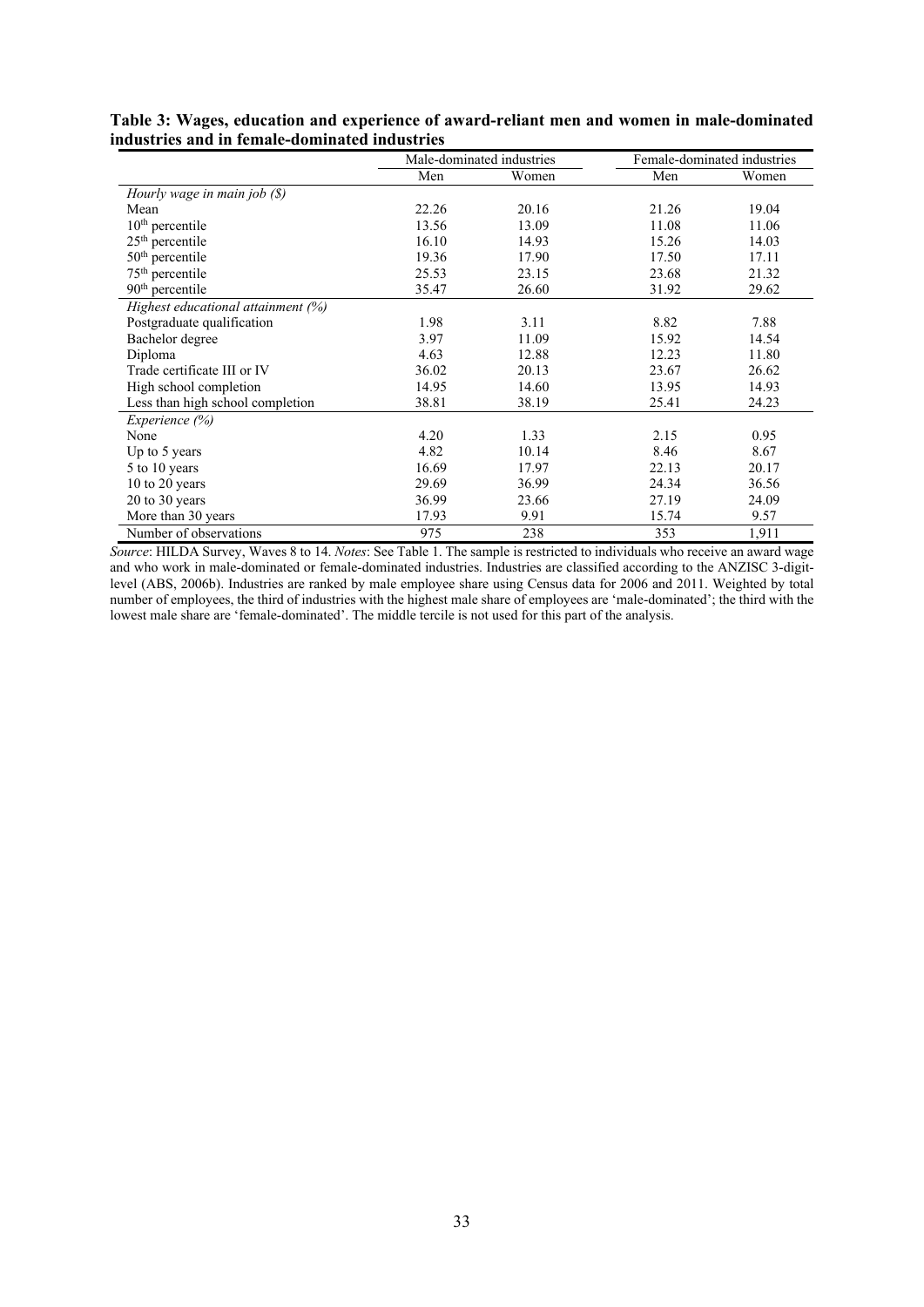|                                    |       | Male-dominated industries |       | Female-dominated industries |
|------------------------------------|-------|---------------------------|-------|-----------------------------|
|                                    | Men   | Women                     | Men   | Women                       |
| Hourly wage in main job (\$)       |       |                           |       |                             |
| Mean                               | 22.26 | 20.16                     | 21.26 | 19.04                       |
| $10th$ percentile                  | 13.56 | 13.09                     | 11.08 | 11.06                       |
| $25th$ percentile                  | 16.10 | 14.93                     | 15.26 | 14.03                       |
| $50th$ percentile                  | 19.36 | 17.90                     | 17.50 | 17.11                       |
| 75 <sup>th</sup> percentile        | 25.53 | 23.15                     | 23.68 | 21.32                       |
| 90 <sup>th</sup> percentile        | 35.47 | 26.60                     | 31.92 | 29.62                       |
| Highest educational attainment (%) |       |                           |       |                             |
| Postgraduate qualification         | 1.98  | 3.11                      | 8.82  | 7.88                        |
| Bachelor degree                    | 3.97  | 11.09                     | 15.92 | 14.54                       |
| Diploma                            | 4.63  | 12.88                     | 12.23 | 11.80                       |
| Trade certificate III or IV        | 36.02 | 20.13                     | 23.67 | 26.62                       |
| High school completion             | 14.95 | 14.60                     | 13.95 | 14.93                       |
| Less than high school completion   | 38.81 | 38.19                     | 25.41 | 24.23                       |
| Experience (%)                     |       |                           |       |                             |
| None                               | 4.20  | 1.33                      | 2.15  | 0.95                        |
| Up to 5 years                      | 4.82  | 10.14                     | 8.46  | 8.67                        |
| 5 to 10 years                      | 16.69 | 17.97                     | 22.13 | 20.17                       |
| 10 to 20 years                     | 29.69 | 36.99                     | 24.34 | 36.56                       |
| 20 to 30 years                     | 36.99 | 23.66                     | 27.19 | 24.09                       |
| More than 30 years                 | 17.93 | 9.91                      | 15.74 | 9.57                        |
| Number of observations             | 975   | 238                       | 353   | 1,911                       |

**Table 3: Wages, education and experience of award-reliant men and women in male-dominated industries and in female-dominated industries** 

*Source*: HILDA Survey, Waves 8 to 14. *Notes*: See Table 1. The sample is restricted to individuals who receive an award wage and who work in male-dominated or female-dominated industries. Industries are classified according to the ANZISC 3-digitlevel (ABS, 2006b). Industries are ranked by male employee share using Census data for 2006 and 2011. Weighted by total number of employees, the third of industries with the highest male share of employees are 'male-dominated'; the third with the lowest male share are 'female-dominated'. The middle tercile is not used for this part of the analysis.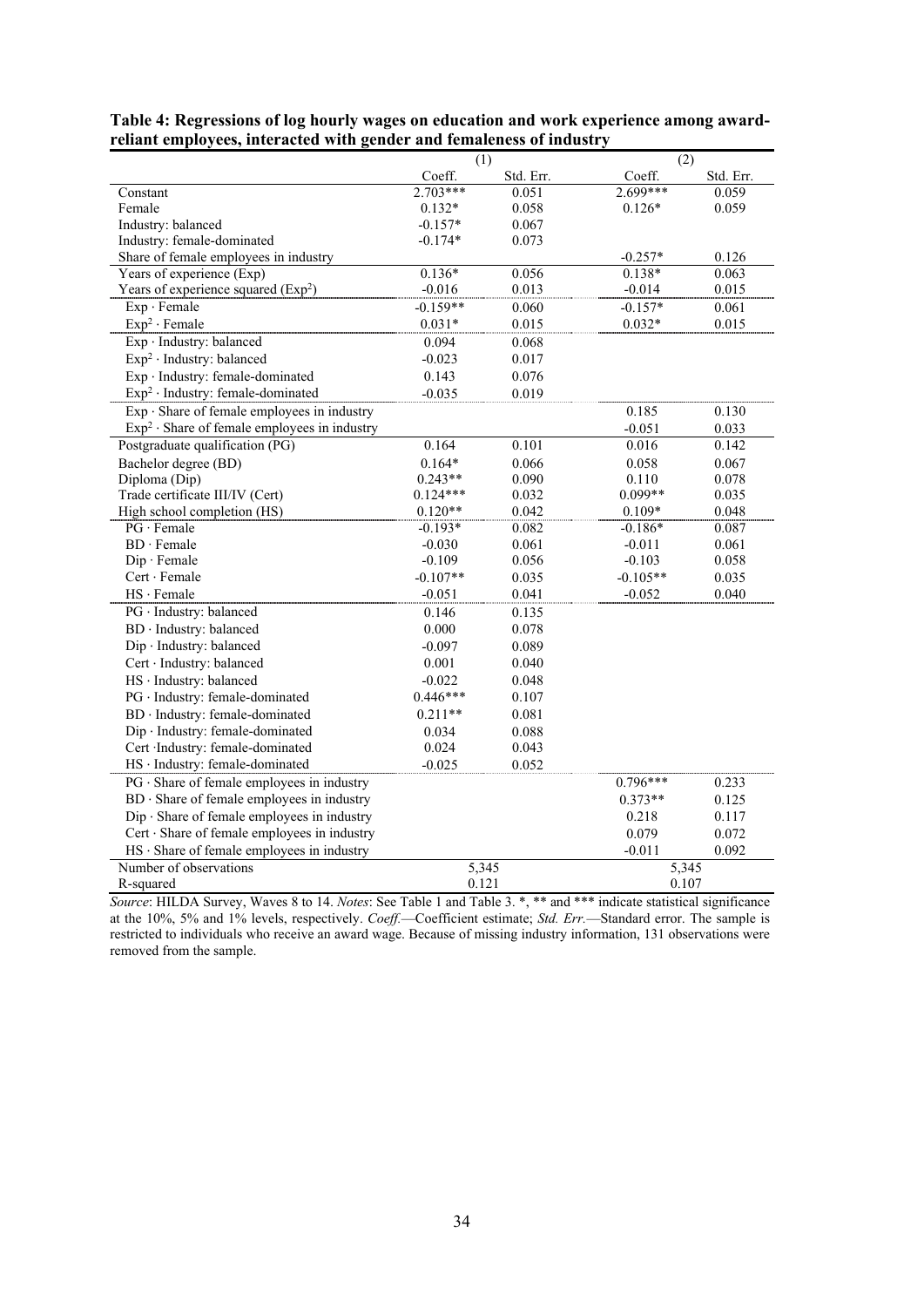|                                                   | $\overline{(1)}$ |           | $\overline{(2)}$ |           |
|---------------------------------------------------|------------------|-----------|------------------|-----------|
|                                                   | Coeff.           | Std. Err. | Coeff.           | Std. Err. |
| Constant                                          | $2.703***$       | 0.051     | 2.699***         | 0.059     |
| Female                                            | $0.132*$         | 0.058     | $0.126*$         | 0.059     |
| Industry: balanced                                | $-0.157*$        | 0.067     |                  |           |
| Industry: female-dominated                        | $-0.174*$        | 0.073     |                  |           |
| Share of female employees in industry             |                  |           | $-0.257*$        | 0.126     |
| Years of experience (Exp)                         | $0.136*$         | 0.056     | $0.138*$         | 0.063     |
| Years of experience squared $(Exp2)$              | $-0.016$         | 0.013     | $-0.014$         | 0.015     |
| Exp · Female                                      | $-0.159**$       | 0.060     | $-0.157*$        | 0.061     |
| $Exp2 \cdot Female$                               | $0.031*$         | 0.015     | $0.032*$         | 0.015     |
| Exp · Industry: balanced                          | 0.094            | 0.068     |                  |           |
| $Exp2$ · Industry: balanced                       | $-0.023$         | 0.017     |                  |           |
| Exp · Industry: female-dominated                  | 0.143            | 0.076     |                  |           |
| $Exp2$ · Industry: female-dominated               | $-0.035$         | 0.019     |                  |           |
| $Exp \cdot$ Share of female employees in industry |                  |           | 0.185            | 0.130     |
| $Exp2$ · Share of female employees in industry    |                  |           | $-0.051$         | 0.033     |
| Postgraduate qualification (PG)                   | 0.164            | 0.101     | 0.016            | 0.142     |
| Bachelor degree (BD)                              | $0.164*$         | 0.066     | 0.058            | 0.067     |
| Diploma (Dip)                                     | $0.243**$        | 0.090     | 0.110            | 0.078     |
| Trade certificate III/IV (Cert)                   | $0.124***$       | 0.032     | $0.099**$        | 0.035     |
| High school completion (HS)                       | $0.120**$        | 0.042     | $0.109*$         | 0.048     |
| $PG \cdot Female$                                 | $-0.193*$        | 0.082     | $-0.186*$        | 0.087     |
| $BD \cdot Female$                                 | $-0.030$         | 0.061     | $-0.011$         | 0.061     |
| Dip · Female                                      | $-0.109$         | 0.056     | $-0.103$         | 0.058     |
| Cert · Female                                     | $-0.107**$       | 0.035     | $-0.105**$       | 0.035     |
| HS · Female                                       | $-0.051$         | 0.041     | $-0.052$         | 0.040     |
| PG · Industry: balanced                           | 0.146            | 0.135     |                  |           |
| BD · Industry: balanced                           | 0.000            | 0.078     |                  |           |
| Dip · Industry: balanced                          | $-0.097$         | 0.089     |                  |           |
| Cert · Industry: balanced                         | 0.001            | 0.040     |                  |           |
| HS · Industry: balanced                           | $-0.022$         | 0.048     |                  |           |
| PG · Industry: female-dominated                   | $0.446***$       | 0.107     |                  |           |
| BD · Industry: female-dominated                   | $0.211**$        | 0.081     |                  |           |
| Dip · Industry: female-dominated                  | 0.034            | 0.088     |                  |           |
| Cert Industry: female-dominated                   | 0.024            | 0.043     |                  |           |
| HS · Industry: female-dominated                   | $-0.025$         | 0.052     |                  |           |
| PG · Share of female employees in industry        |                  |           | $0.796***$       | 0.233     |
| BD · Share of female employees in industry        |                  |           | $0.373**$        | 0.125     |
| Dip Share of female employees in industry         |                  |           | 0.218            | 0.117     |
| Cert · Share of female employees in industry      |                  |           | 0.079            | 0.072     |
| $HS \cdot$ Share of female employees in industry  |                  |           | $-0.011$         | 0.092     |
| Number of observations                            | 5,345            |           | 5,345            |           |
| R-squared                                         | 0.121            |           | 0.107            |           |

**Table 4: Regressions of log hourly wages on education and work experience among awardreliant employees, interacted with gender and femaleness of industry** 

*Source*: HILDA Survey, Waves 8 to 14. *Notes*: See Table 1 and Table 3. \*, \*\* and \*\*\* indicate statistical significance at the 10%, 5% and 1% levels, respectively. *Coeff.*—Coefficient estimate; *Std. Err.*—Standard error. The sample is restricted to individuals who receive an award wage. Because of missing industry information, 131 observations were removed from the sample.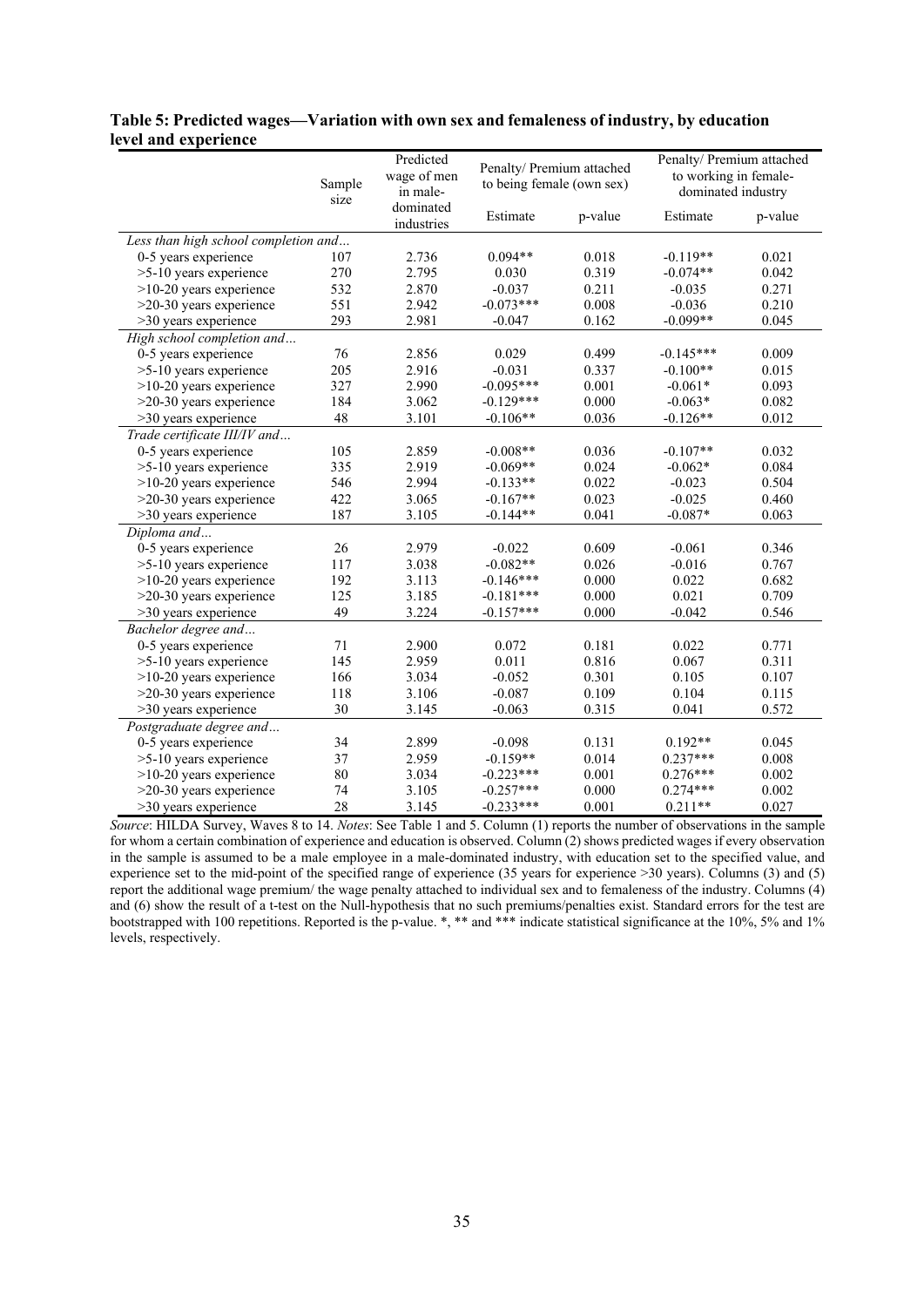## **Table 5: Predicted wages—Variation with own sex and femaleness of industry, by education level and experience**

|                                      | Sample<br>size | Predicted<br>wage of men<br>in male- | Penalty/ Premium attached<br>to being female (own sex) |         | Penalty/ Premium attached<br>to working in female-<br>dominated industry |         |
|--------------------------------------|----------------|--------------------------------------|--------------------------------------------------------|---------|--------------------------------------------------------------------------|---------|
|                                      |                | dominated<br>industries              | Estimate                                               | p-value | Estimate                                                                 | p-value |
| Less than high school completion and |                |                                      |                                                        |         |                                                                          |         |
| 0-5 years experience                 | 107            | 2.736                                | $0.094**$                                              | 0.018   | $-0.119**$                                                               | 0.021   |
| >5-10 years experience               | 270            | 2.795                                | 0.030                                                  | 0.319   | $-0.074**$                                                               | 0.042   |
| >10-20 years experience              | 532            | 2.870                                | $-0.037$                                               | 0.211   | $-0.035$                                                                 | 0.271   |
| $>20-30$ years experience            | 551            | 2.942                                | $-0.073***$                                            | 0.008   | $-0.036$                                                                 | 0.210   |
| >30 years experience                 | 293            | 2.981                                | $-0.047$                                               | 0.162   | $-0.099**$                                                               | 0.045   |
| High school completion and           |                |                                      |                                                        |         |                                                                          |         |
| 0-5 years experience                 | 76             | 2.856                                | 0.029                                                  | 0.499   | $-0.145***$                                                              | 0.009   |
| >5-10 years experience               | 205            | 2.916                                | $-0.031$                                               | 0.337   | $-0.100**$                                                               | 0.015   |
| $>10-20$ years experience            | 327            | 2.990                                | $-0.095***$                                            | 0.001   | $-0.061*$                                                                | 0.093   |
| >20-30 years experience              | 184            | 3.062                                | $-0.129***$                                            | 0.000   | $-0.063*$                                                                | 0.082   |
| >30 years experience                 | 48             | 3.101                                | $-0.106**$                                             | 0.036   | $-0.126**$                                                               | 0.012   |
| Trade certificate III/IV and         |                |                                      |                                                        |         |                                                                          |         |
| 0-5 years experience                 | 105            | 2.859                                | $-0.008**$                                             | 0.036   | $-0.107**$                                                               | 0.032   |
| >5-10 years experience               | 335            | 2.919                                | $-0.069**$                                             | 0.024   | $-0.062*$                                                                | 0.084   |
| $>10-20$ years experience            | 546            | 2.994                                | $-0.133**$                                             | 0.022   | $-0.023$                                                                 | 0.504   |
| $>20-30$ years experience            | 422            | 3.065                                | $-0.167**$                                             | 0.023   | $-0.025$                                                                 | 0.460   |
| >30 years experience                 | 187            | 3.105                                | $-0.144**$                                             | 0.041   | $-0.087*$                                                                | 0.063   |
| Diploma and                          |                |                                      |                                                        |         |                                                                          |         |
| 0-5 years experience                 | 26             | 2.979                                | $-0.022$                                               | 0.609   | $-0.061$                                                                 | 0.346   |
| >5-10 years experience               | 117            | 3.038                                | $-0.082**$                                             | 0.026   | $-0.016$                                                                 | 0.767   |
| $>10-20$ years experience            | 192            | 3.113                                | $-0.146***$                                            | 0.000   | 0.022                                                                    | 0.682   |
| >20-30 years experience              | 125            | 3.185                                | $-0.181***$                                            | 0.000   | 0.021                                                                    | 0.709   |
| >30 years experience                 | 49             | 3.224                                | $-0.157***$                                            | 0.000   | $-0.042$                                                                 | 0.546   |
| Bachelor degree and                  |                |                                      |                                                        |         |                                                                          |         |
| 0-5 years experience                 | 71             | 2.900                                | 0.072                                                  | 0.181   | 0.022                                                                    | 0.771   |
| >5-10 years experience               | 145            | 2.959                                | 0.011                                                  | 0.816   | 0.067                                                                    | 0.311   |
| $>10-20$ years experience            | 166            | 3.034                                | $-0.052$                                               | 0.301   | 0.105                                                                    | 0.107   |
| >20-30 years experience              | 118            | 3.106                                | $-0.087$                                               | 0.109   | 0.104                                                                    | 0.115   |
| >30 years experience                 | 30             | 3.145                                | $-0.063$                                               | 0.315   | 0.041                                                                    | 0.572   |
| Postgraduate degree and              |                |                                      |                                                        |         |                                                                          |         |
| 0-5 years experience                 | 34             | 2.899                                | $-0.098$                                               | 0.131   | $0.192**$                                                                | 0.045   |
| >5-10 years experience               | 37             | 2.959                                | $-0.159**$                                             | 0.014   | $0.237***$                                                               | 0.008   |
| $>10-20$ years experience            | 80             | 3.034                                | $-0.223***$                                            | 0.001   | $0.276***$                                                               | 0.002   |
| >20-30 years experience              | 74             | 3.105                                | $-0.257***$                                            | 0.000   | $0.274***$                                                               | 0.002   |
| >30 years experience                 | 28             | 3.145                                | $-0.233***$                                            | 0.001   | $0.211**$                                                                | 0.027   |

*Source*: HILDA Survey, Waves 8 to 14. *Notes*: See Table 1 and 5. Column (1) reports the number of observations in the sample for whom a certain combination of experience and education is observed. Column (2) shows predicted wages if every observation in the sample is assumed to be a male employee in a male-dominated industry, with education set to the specified value, and experience set to the mid-point of the specified range of experience (35 years for experience >30 years). Columns (3) and (5) report the additional wage premium/ the wage penalty attached to individual sex and to femaleness of the industry. Columns (4) and (6) show the result of a t-test on the Null-hypothesis that no such premiums/penalties exist. Standard errors for the test are bootstrapped with 100 repetitions. Reported is the p-value. \*, \*\* and \*\*\* indicate statistical significance at the 10%, 5% and 1% levels, respectively.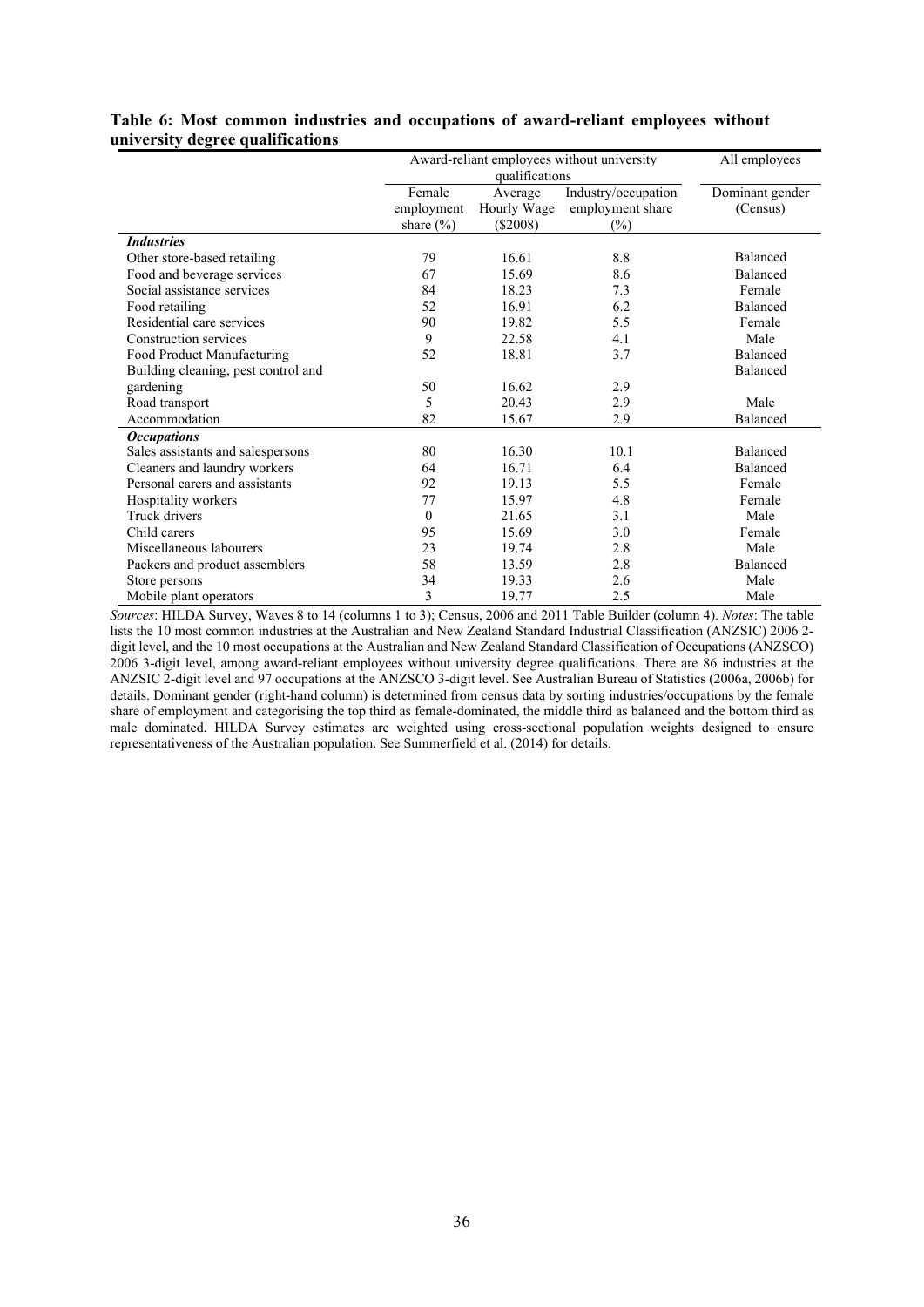|                                     |               |                | Award-reliant employees without university | All employees   |
|-------------------------------------|---------------|----------------|--------------------------------------------|-----------------|
|                                     |               | qualifications |                                            |                 |
|                                     | Female        | Average        | Industry/occupation                        | Dominant gender |
|                                     | employment    | Hourly Wage    | employment share                           | (Census)        |
|                                     | share $(\% )$ | $(\$2008)$     | $(\%)$                                     |                 |
| <b>Industries</b>                   |               |                |                                            |                 |
| Other store-based retailing         | 79            | 16.61          | 8.8                                        | Balanced        |
| Food and beverage services          | 67            | 15.69          | 8.6                                        | <b>Balanced</b> |
| Social assistance services          | 84            | 18.23          | 7.3                                        | Female          |
| Food retailing                      | 52            | 16.91          | 6.2                                        | <b>Balanced</b> |
| Residential care services           | 90            | 19.82          | 5.5                                        | Female          |
| Construction services               | 9             | 22.58          | 4.1                                        | Male            |
| Food Product Manufacturing          | 52            | 18.81          | 3.7                                        | Balanced        |
| Building cleaning, pest control and |               |                |                                            | <b>Balanced</b> |
| gardening                           | 50            | 16.62          | 2.9                                        |                 |
| Road transport                      | 5             | 20.43          | 2.9                                        | Male            |
| Accommodation                       | 82            | 15.67          | 2.9                                        | Balanced        |
| <b>Occupations</b>                  |               |                |                                            |                 |
| Sales assistants and salespersons   | 80            | 16.30          | 10.1                                       | <b>Balanced</b> |
| Cleaners and laundry workers        | 64            | 16.71          | 6.4                                        | Balanced        |
| Personal carers and assistants      | 92            | 19.13          | 5.5                                        | Female          |
| Hospitality workers                 | 77            | 15.97          | 4.8                                        | Female          |
| Truck drivers                       | $\theta$      | 21.65          | 3.1                                        | Male            |
| Child carers                        | 95            | 15.69          | 3.0                                        | Female          |
| Miscellaneous labourers             | 23            | 19.74          | 2.8                                        | Male            |
| Packers and product assemblers      | 58            | 13.59          | 2.8                                        | Balanced        |
| Store persons                       | 34            | 19.33          | 2.6                                        | Male            |
| Mobile plant operators              | 3             | 19.77          | 2.5                                        | Male            |

## **Table 6: Most common industries and occupations of award-reliant employees without university degree qualifications**

*Sources*: HILDA Survey, Waves 8 to 14 (columns 1 to 3); Census, 2006 and 2011 Table Builder (column 4). *Notes*: The table lists the 10 most common industries at the Australian and New Zealand Standard Industrial Classification (ANZSIC) 2006 2 digit level, and the 10 most occupations at the Australian and New Zealand Standard Classification of Occupations (ANZSCO) 2006 3-digit level, among award-reliant employees without university degree qualifications. There are 86 industries at the ANZSIC 2-digit level and 97 occupations at the ANZSCO 3-digit level. See Australian Bureau of Statistics (2006a, 2006b) for details. Dominant gender (right-hand column) is determined from census data by sorting industries/occupations by the female share of employment and categorising the top third as female-dominated, the middle third as balanced and the bottom third as male dominated. HILDA Survey estimates are weighted using cross-sectional population weights designed to ensure representativeness of the Australian population. See Summerfield et al. (2014) for details.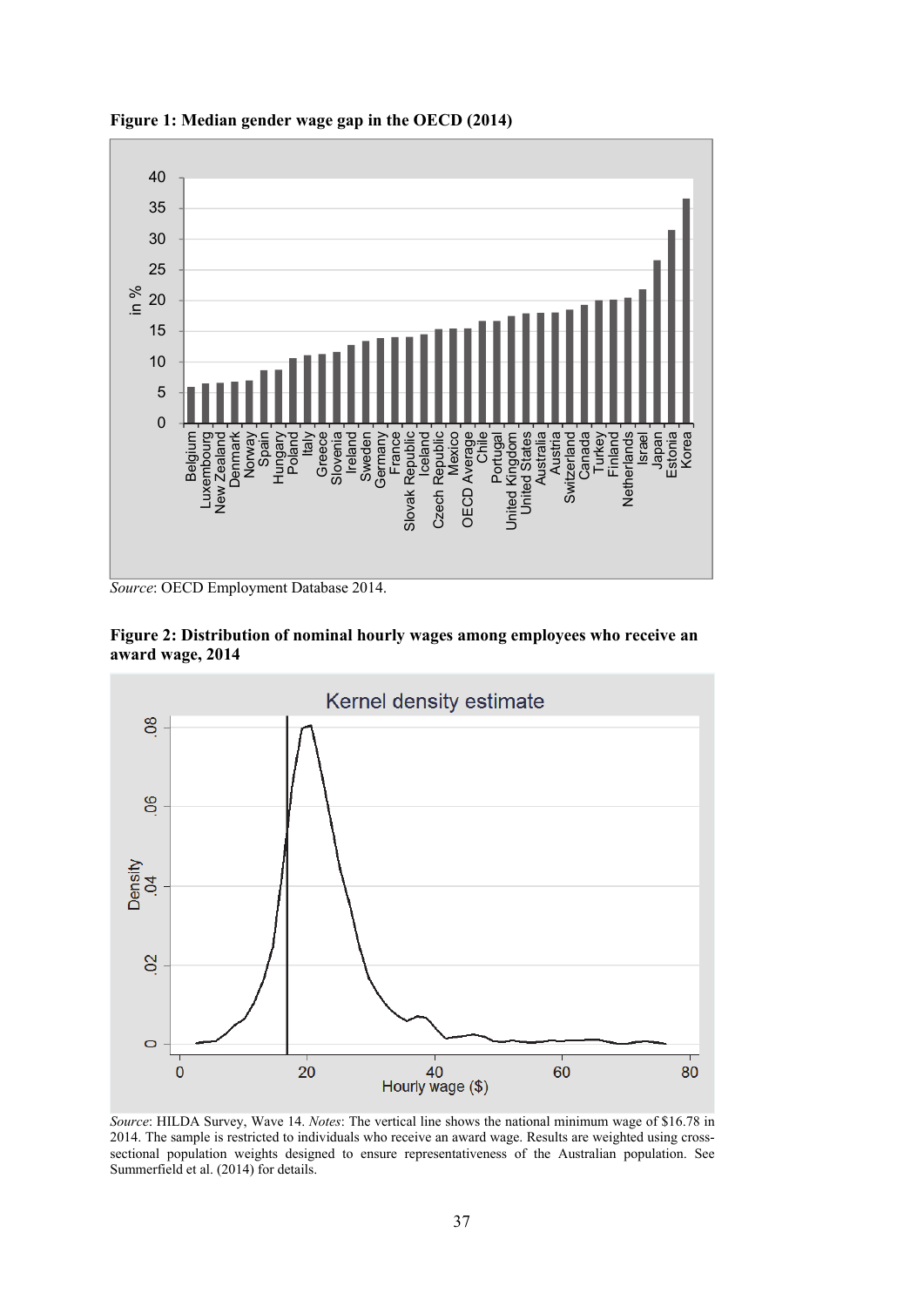

**Figure 1: Median gender wage gap in the OECD (2014)** 

*Source*: OECD Employment Database 2014.





*Source*: HILDA Survey, Wave 14. *Notes*: The vertical line shows the national minimum wage of \$16.78 in 2014. The sample is restricted to individuals who receive an award wage. Results are weighted using crosssectional population weights designed to ensure representativeness of the Australian population. See Summerfield et al. (2014) for details.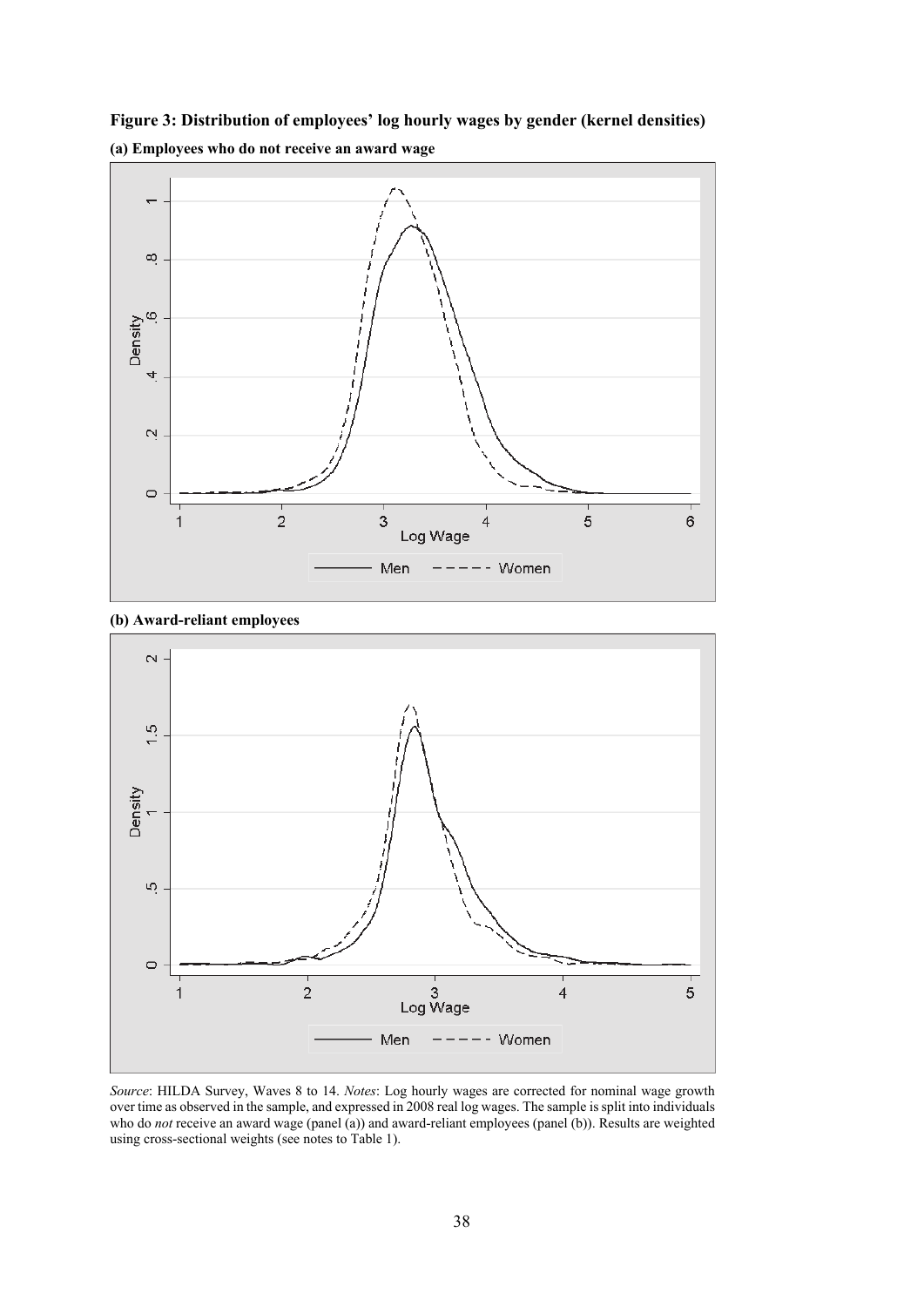

**Figure 3: Distribution of employees' log hourly wages by gender (kernel densities) (a) Employees who do not receive an award wage** 

**(b) Award-reliant employees** 



*Source*: HILDA Survey, Waves 8 to 14. *Notes*: Log hourly wages are corrected for nominal wage growth over time as observed in the sample, and expressed in 2008 real log wages. The sample is split into individuals who do *not* receive an award wage (panel (a)) and award-reliant employees (panel (b)). Results are weighted using cross-sectional weights (see notes to Table 1).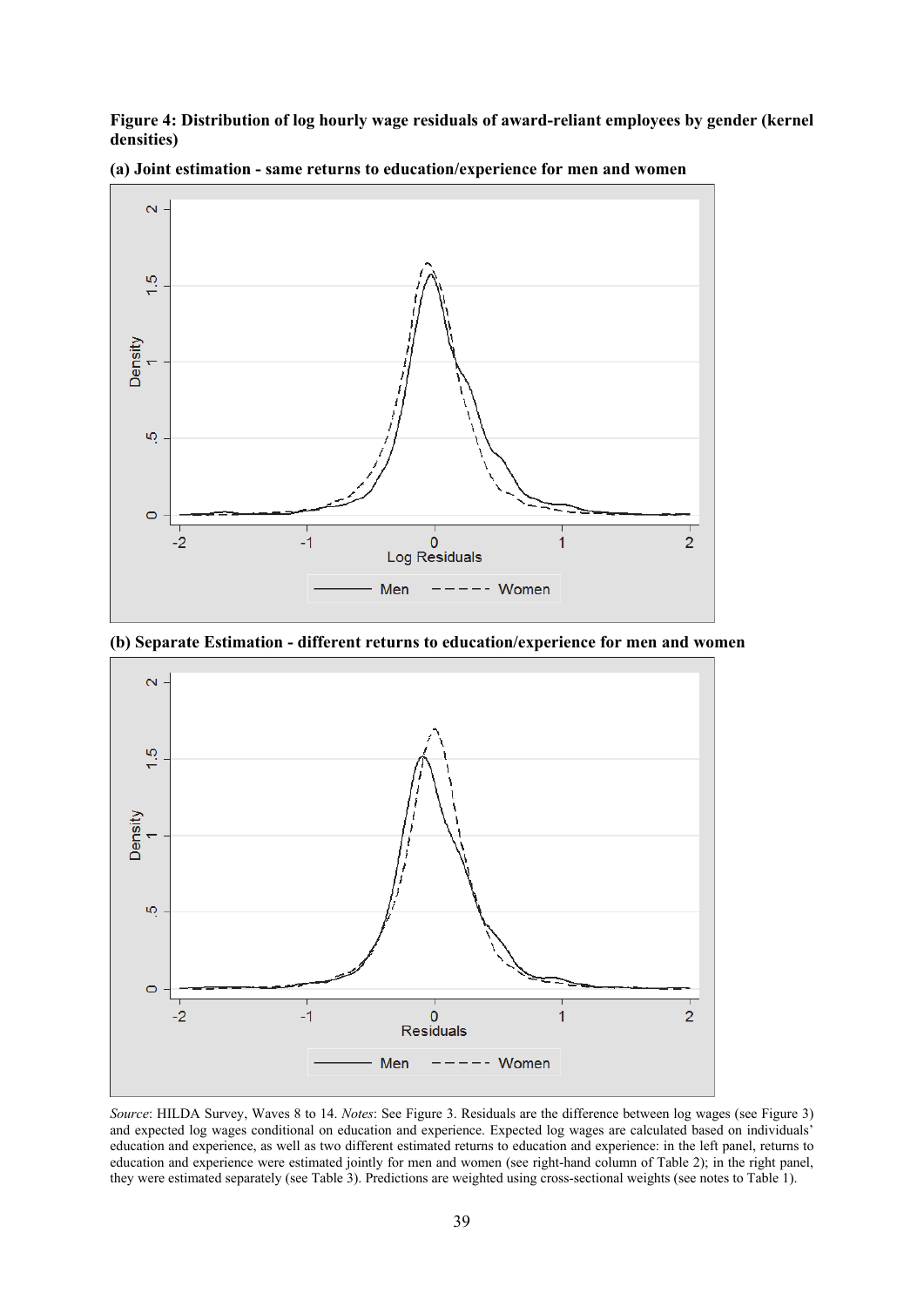**Figure 4: Distribution of log hourly wage residuals of award-reliant employees by gender (kernel densities)** 



**(a) Joint estimation - same returns to education/experience for men and women** 

**(b) Separate Estimation - different returns to education/experience for men and women** 



*Source*: HILDA Survey, Waves 8 to 14. *Notes*: See Figure 3. Residuals are the difference between log wages (see Figure 3) and expected log wages conditional on education and experience. Expected log wages are calculated based on individuals' education and experience, as well as two different estimated returns to education and experience: in the left panel, returns to education and experience were estimated jointly for men and women (see right-hand column of Table 2); in the right panel, they were estimated separately (see Table 3). Predictions are weighted using cross-sectional weights (see notes to Table 1).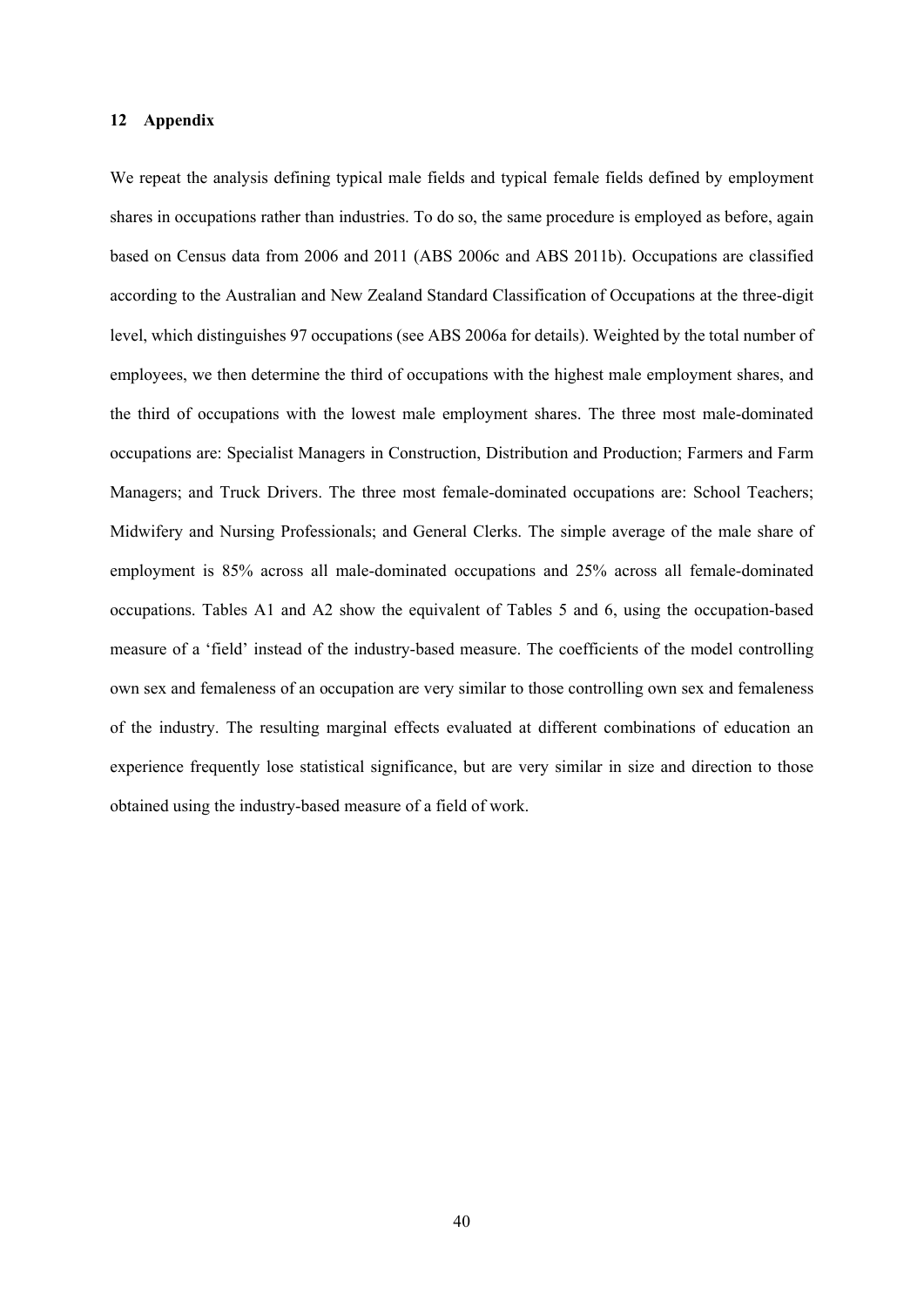#### **12 Appendix**

We repeat the analysis defining typical male fields and typical female fields defined by employment shares in occupations rather than industries. To do so, the same procedure is employed as before, again based on Census data from 2006 and 2011 (ABS 2006c and ABS 2011b). Occupations are classified according to the Australian and New Zealand Standard Classification of Occupations at the three-digit level, which distinguishes 97 occupations (see ABS 2006a for details). Weighted by the total number of employees, we then determine the third of occupations with the highest male employment shares, and the third of occupations with the lowest male employment shares. The three most male-dominated occupations are: Specialist Managers in Construction, Distribution and Production; Farmers and Farm Managers; and Truck Drivers. The three most female-dominated occupations are: School Teachers; Midwifery and Nursing Professionals; and General Clerks. The simple average of the male share of employment is 85% across all male-dominated occupations and 25% across all female-dominated occupations. Tables A1 and A2 show the equivalent of Tables 5 and 6, using the occupation-based measure of a 'field' instead of the industry-based measure. The coefficients of the model controlling own sex and femaleness of an occupation are very similar to those controlling own sex and femaleness of the industry. The resulting marginal effects evaluated at different combinations of education an experience frequently lose statistical significance, but are very similar in size and direction to those obtained using the industry-based measure of a field of work.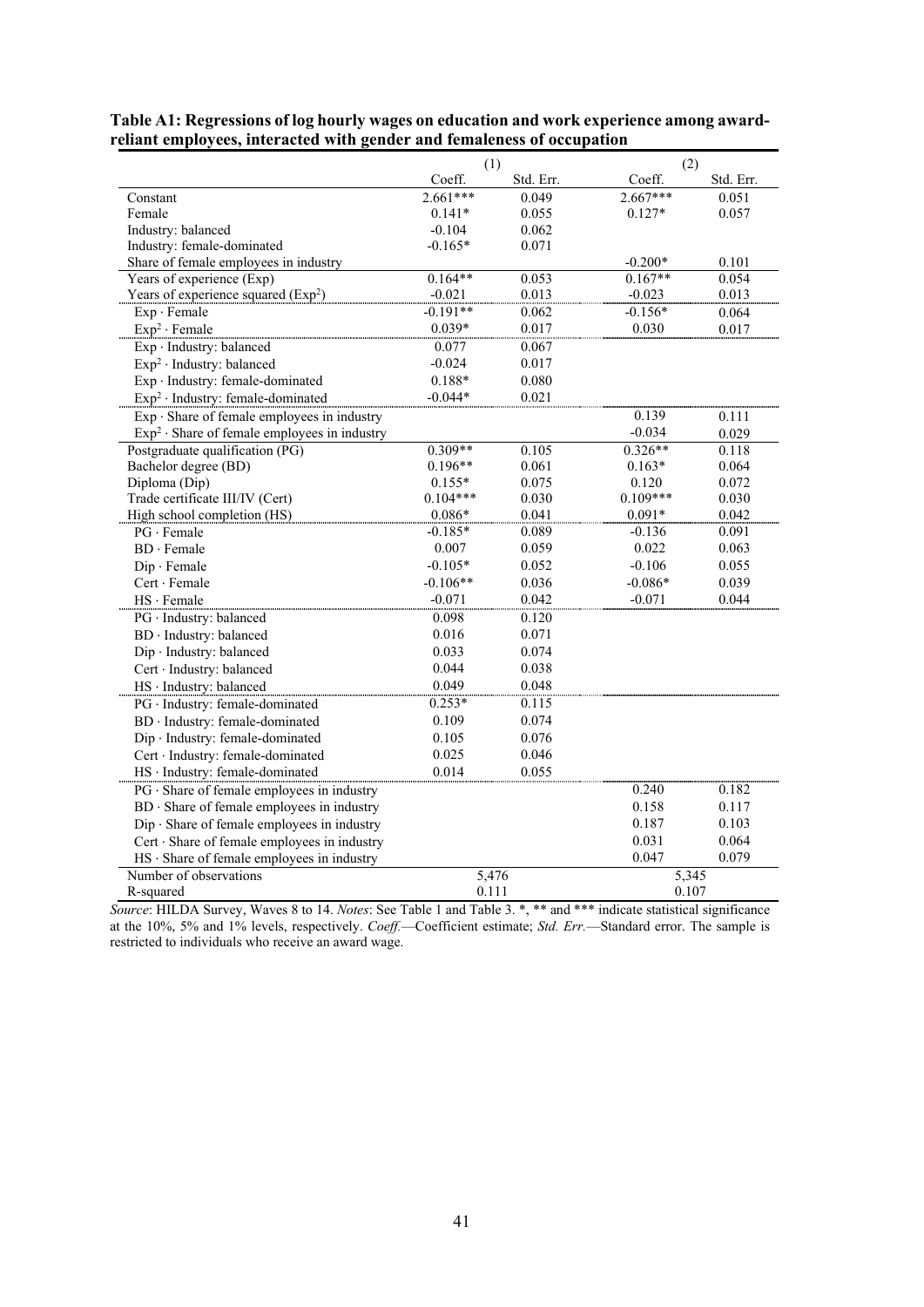|                                                   | (1)        |           | (2)        |           |
|---------------------------------------------------|------------|-----------|------------|-----------|
|                                                   | Coeff.     | Std. Err. | Coeff.     | Std. Err. |
| Constant                                          | $2.661***$ | 0.049     | $2.667***$ | 0.051     |
| Female                                            | $0.141*$   | 0.055     | $0.127*$   | 0.057     |
| Industry: balanced                                | $-0.104$   | 0.062     |            |           |
| Industry: female-dominated                        | $-0.165*$  | 0.071     |            |           |
| Share of female employees in industry             |            |           | $-0.200*$  | 0.101     |
| Years of experience (Exp)                         | $0.164**$  | 0.053     | $0.167**$  | 0.054     |
| Years of experience squared $(Exp2)$              | $-0.021$   | 0.013     | $-0.023$   | 0.013     |
| $Exp \cdot Female$                                | $-0.191**$ | 0.062     | $-0.156*$  | 0.064     |
| $Exp2 \cdot Female$                               | $0.039*$   | 0.017     | 0.030      | 0.017     |
| Exp · Industry: balanced                          | 0.077      | 0.067     |            |           |
| Exp <sup>2</sup> · Industry: balanced             | $-0.024$   | 0.017     |            |           |
| Exp · Industry: female-dominated                  | $0.188*$   | 0.080     |            |           |
| $Exp2$ · Industry: female-dominated               | $-0.044*$  | 0.021     |            |           |
| $Exp \cdot$ Share of female employees in industry |            |           | 0.139      | 0.111     |
| $Exp2$ · Share of female employees in industry    |            |           | $-0.034$   | 0.029     |
| Postgraduate qualification (PG)                   | $0.309**$  | 0.105     | $0.326**$  | 0.118     |
| Bachelor degree (BD)                              | $0.196**$  | 0.061     | $0.163*$   | 0.064     |
| Diploma (Dip)                                     | $0.155*$   | 0.075     | 0.120      | 0.072     |
| Trade certificate III/IV (Cert)                   | $0.104***$ | 0.030     | $0.109***$ | 0.030     |
| High school completion (HS)                       | $0.086*$   | 0.041     | $0.091*$   | 0.042     |
| $PG \cdot Female$                                 | $-0.185*$  | 0.089     | $-0.136$   | 0.091     |
| $BD \cdot Female$                                 | 0.007      | 0.059     | 0.022      | 0.063     |
| $Dip \cdot Female$                                | $-0.105*$  | 0.052     | $-0.106$   | 0.055     |
| Cert · Female                                     | $-0.106**$ | 0.036     | $-0.086*$  | 0.039     |
| $HS \cdot Female$                                 | $-0.071$   | 0.042     | $-0.071$   | 0.044     |
| PG · Industry: balanced                           | 0.098      | 0.120     |            |           |
| BD · Industry: balanced                           | 0.016      | 0.071     |            |           |
| Dip · Industry: balanced                          | 0.033      | 0.074     |            |           |
| Cert · Industry: balanced                         | 0.044      | 0.038     |            |           |
| HS · Industry: balanced                           | 0.049      | 0.048     |            |           |
| PG · Industry: female-dominated                   | $0.253*$   | 0.115     |            |           |
| BD · Industry: female-dominated                   | 0.109      | 0.074     |            |           |
| Dip · Industry: female-dominated                  | 0.105      | 0.076     |            |           |
| Cert · Industry: female-dominated                 | 0.025      | 0.046     |            |           |
| HS · Industry: female-dominated                   | 0.014      | 0.055     |            |           |
| $PG \cdot$ Share of female employees in industry  |            |           | 0.240      | 0.182     |
| BD · Share of female employees in industry        |            |           | 0.158      | 0.117     |
| Dip · Share of female employees in industry       |            |           | 0.187      | 0.103     |
| Cert · Share of female employees in industry      |            |           | 0.031      | 0.064     |
| $HS \cdot$ Share of female employees in industry  |            |           | 0.047      | 0.079     |
| Number of observations                            |            | 5,476     | 5,345      |           |
| R-squared                                         | 0.111      |           | 0.107      |           |

**Table A1: Regressions of log hourly wages on education and work experience among awardreliant employees, interacted with gender and femaleness of occupation** 

*Source*: HILDA Survey, Waves 8 to 14. *Notes*: See Table 1 and Table 3. \*, \*\* and \*\*\* indicate statistical significance at the 10%, 5% and 1% levels, respectively. *Coeff.*—Coefficient estimate; *Std. Err.*—Standard error. The sample is restricted to individuals who receive an award wage.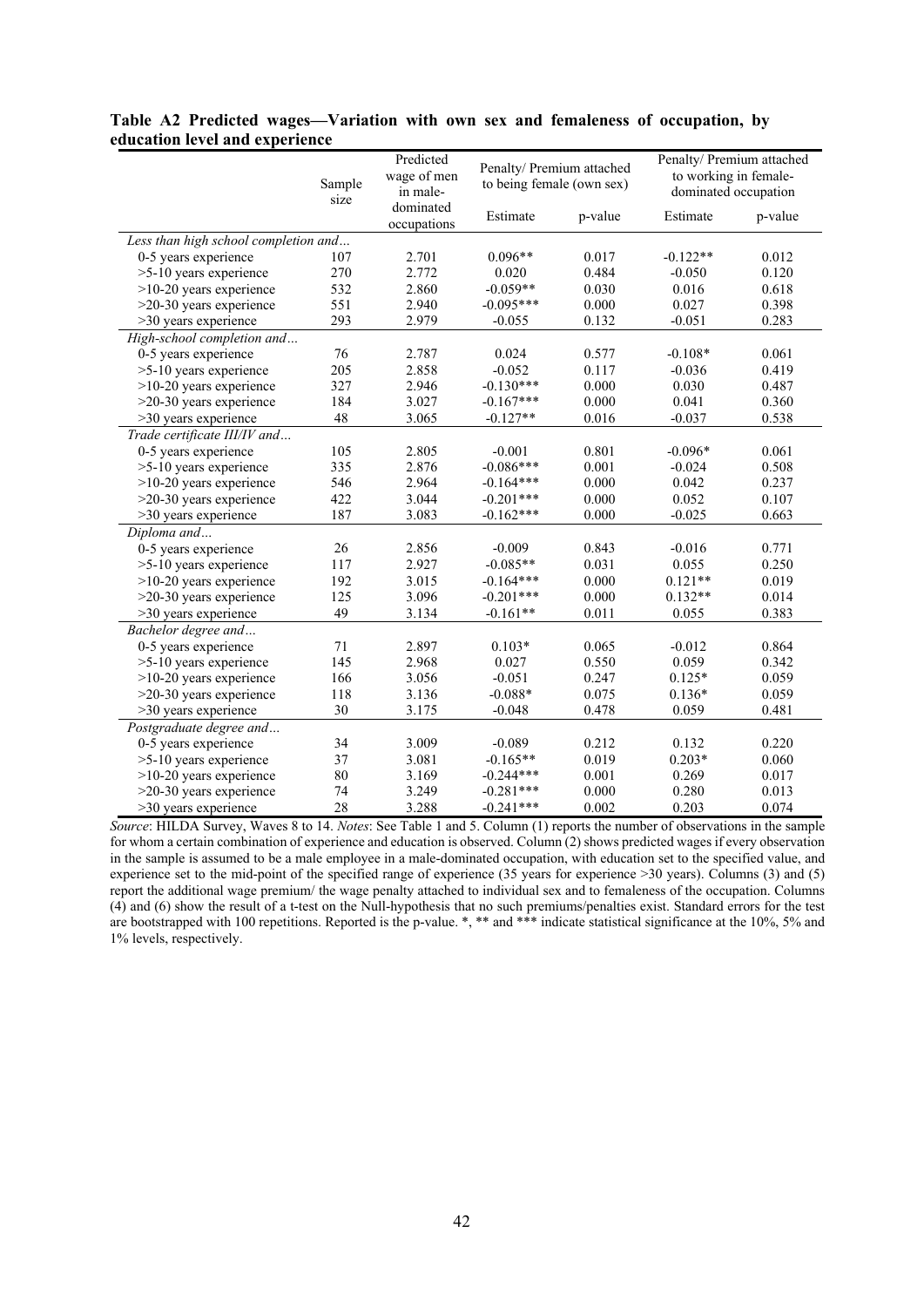|                                      | Sample<br>size | Predicted<br>wage of men<br>in male- | Penalty/ Premium attached<br>to being female (own sex) |         | Penalty/ Premium attached<br>to working in female-<br>dominated occupation |         |
|--------------------------------------|----------------|--------------------------------------|--------------------------------------------------------|---------|----------------------------------------------------------------------------|---------|
|                                      |                | dominated<br>occupations             | Estimate                                               | p-value | Estimate                                                                   | p-value |
| Less than high school completion and |                |                                      |                                                        |         |                                                                            |         |
| 0-5 years experience                 | 107            | 2.701                                | $0.096**$                                              | 0.017   | $-0.122**$                                                                 | 0.012   |
| >5-10 years experience               | 270            | 2.772                                | 0.020                                                  | 0.484   | $-0.050$                                                                   | 0.120   |
| $>10-20$ years experience            | 532            | 2.860                                | $-0.059**$                                             | 0.030   | 0.016                                                                      | 0.618   |
| $>20-30$ years experience            | 551            | 2.940                                | $-0.095***$                                            | 0.000   | 0.027                                                                      | 0.398   |
| >30 years experience                 | 293            | 2.979                                | $-0.055$                                               | 0.132   | $-0.051$                                                                   | 0.283   |
| High-school completion and           |                |                                      |                                                        |         |                                                                            |         |
| 0-5 years experience                 | 76             | 2.787                                | 0.024                                                  | 0.577   | $-0.108*$                                                                  | 0.061   |
| >5-10 years experience               | 205            | 2.858                                | $-0.052$                                               | 0.117   | $-0.036$                                                                   | 0.419   |
| $>10-20$ years experience            | 327            | 2.946                                | $-0.130***$                                            | 0.000   | 0.030                                                                      | 0.487   |
| $>20-30$ years experience            | 184            | 3.027                                | $-0.167***$                                            | 0.000   | 0.041                                                                      | 0.360   |
| >30 years experience                 | 48             | 3.065                                | $-0.127**$                                             | 0.016   | $-0.037$                                                                   | 0.538   |
| Trade certificate III/IV and         |                |                                      |                                                        |         |                                                                            |         |
| 0-5 years experience                 | 105            | 2.805                                | $-0.001$                                               | 0.801   | $-0.096*$                                                                  | 0.061   |
| >5-10 years experience               | 335            | 2.876                                | $-0.086***$                                            | 0.001   | $-0.024$                                                                   | 0.508   |
| $>10-20$ years experience            | 546            | 2.964                                | $-0.164***$                                            | 0.000   | 0.042                                                                      | 0.237   |
| >20-30 years experience              | 422            | 3.044                                | $-0.201***$                                            | 0.000   | 0.052                                                                      | 0.107   |
| >30 years experience                 | 187            | 3.083                                | $-0.162***$                                            | 0.000   | $-0.025$                                                                   | 0.663   |
| Diploma and                          |                |                                      |                                                        |         |                                                                            |         |
| 0-5 years experience                 | 26             | 2.856                                | $-0.009$                                               | 0.843   | $-0.016$                                                                   | 0.771   |
| >5-10 years experience               | 117            | 2.927                                | $-0.085**$                                             | 0.031   | 0.055                                                                      | 0.250   |
| $>10-20$ years experience            | 192            | 3.015                                | $-0.164***$                                            | 0.000   | $0.121**$                                                                  | 0.019   |
| >20-30 years experience              | 125            | 3.096                                | $-0.201***$                                            | 0.000   | $0.132**$                                                                  | 0.014   |
| >30 years experience                 | 49             | 3.134                                | $-0.161**$                                             | 0.011   | 0.055                                                                      | 0.383   |
| Bachelor degree and                  |                |                                      |                                                        |         |                                                                            |         |
| 0-5 years experience                 | 71             | 2.897                                | $0.103*$                                               | 0.065   | $-0.012$                                                                   | 0.864   |
| >5-10 years experience               | 145            | 2.968                                | 0.027                                                  | 0.550   | 0.059                                                                      | 0.342   |
| >10-20 years experience              | 166            | 3.056                                | $-0.051$                                               | 0.247   | $0.125*$                                                                   | 0.059   |
| $>20-30$ years experience            | 118            | 3.136                                | $-0.088*$                                              | 0.075   | $0.136*$                                                                   | 0.059   |
| $>30$ years experience               | 30             | 3.175                                | $-0.048$                                               | 0.478   | 0.059                                                                      | 0.481   |
| Postgraduate degree and              |                |                                      |                                                        |         |                                                                            |         |
| 0-5 years experience                 | 34             | 3.009                                | $-0.089$                                               | 0.212   | 0.132                                                                      | 0.220   |
| >5-10 years experience               | 37             | 3.081                                | $-0.165**$                                             | 0.019   | $0.203*$                                                                   | 0.060   |
| $>10-20$ years experience            | 80             | 3.169                                | $-0.244***$                                            | 0.001   | 0.269                                                                      | 0.017   |
| $>20-30$ years experience            | 74             | 3.249                                | $-0.281***$                                            | 0.000   | 0.280                                                                      | 0.013   |
| $>30$ years experience               | 28             | 3.288                                | $-0.241***$                                            | 0.002   | 0.203                                                                      | 0.074   |

## **Table A2 Predicted wages—Variation with own sex and femaleness of occupation, by education level and experience**

*Source*: HILDA Survey, Waves 8 to 14. *Notes*: See Table 1 and 5. Column (1) reports the number of observations in the sample for whom a certain combination of experience and education is observed. Column (2) shows predicted wages if every observation in the sample is assumed to be a male employee in a male-dominated occupation, with education set to the specified value, and experience set to the mid-point of the specified range of experience (35 years for experience >30 years). Columns (3) and (5) report the additional wage premium/ the wage penalty attached to individual sex and to femaleness of the occupation. Columns (4) and (6) show the result of a t-test on the Null-hypothesis that no such premiums/penalties exist. Standard errors for the test are bootstrapped with 100 repetitions. Reported is the p-value. \*, \*\* and \*\*\* indicate statistical significance at the 10%, 5% and 1% levels, respectively.